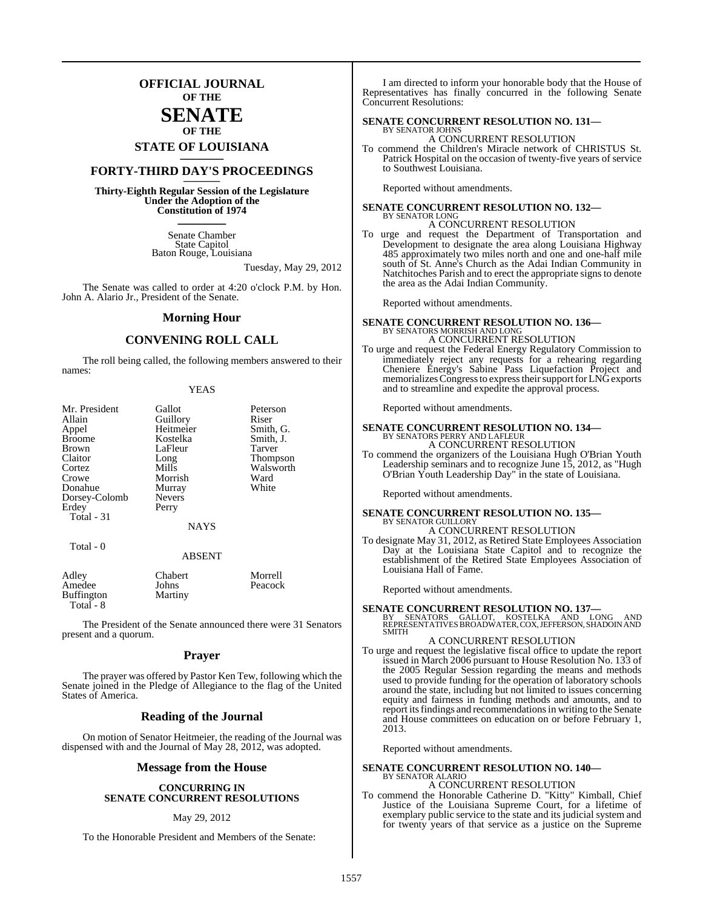## **OFFICIAL JOURNAL OF THE**

### **SENATE OF THE**

# **STATE OF LOUISIANA \_\_\_\_\_\_\_**

## **FORTY-THIRD DAY'S PROCEEDINGS \_\_\_\_\_\_\_**

**Thirty-Eighth Regular Session of the Legislature Under the Adoption of the Constitution of 1974 \_\_\_\_\_\_\_**

> Senate Chamber State Capitol Baton Rouge, Louisiana

> > Tuesday, May 29, 2012

The Senate was called to order at 4:20 o'clock P.M. by Hon. John A. Alario Jr., President of the Senate.

#### **Morning Hour**

#### **CONVENING ROLL CALL**

The roll being called, the following members answered to their names:

| Mr. President | Gallot            | Peterson             |
|---------------|-------------------|----------------------|
| Allain        | Guillory          | Riser                |
| Appel         | Heitmeier         | Smith, G.            |
| <b>Broome</b> | Kostelka          | Smith, J.            |
| <b>Brown</b>  | LaFleur           | Tarver               |
| Claitor       | Long              | <b>Thompson</b>      |
| Cortez        | Mills             | Walsworth            |
| Crowe         | Morrish           | Ward                 |
| Donahue       | Murray            | White                |
| Dorsey-Colomb | <b>Nevers</b>     |                      |
| Erdey         | Perry             |                      |
| Total - 31    |                   |                      |
|               | <b>NAYS</b>       |                      |
| Total - 0     |                   |                      |
|               | <b>ABSENT</b>     |                      |
| $A$ $Alax$    | C <sub>back</sub> | $M_{\odot}$ and $11$ |

| Adley      | <b>Chabert</b> | Morrell |
|------------|----------------|---------|
| Amedee     | Johns          | Peacock |
| Buffington | Martiny        |         |
| Total - 8  |                |         |

The President of the Senate announced there were 31 Senators present and a quorum.

#### **Prayer**

The prayer was offered by Pastor Ken Tew, following which the Senate joined in the Pledge of Allegiance to the flag of the United States of America.

#### **Reading of the Journal**

On motion of Senator Heitmeier, the reading of the Journal was dispensed with and the Journal of May 28, 2012, was adopted.

#### **Message from the House**

#### **CONCURRING IN SENATE CONCURRENT RESOLUTIONS**

#### May 29, 2012

To the Honorable President and Members of the Senate:

I am directed to inform your honorable body that the House of Representatives has finally concurred in the following Senate Concurrent Resolutions:

#### **SENATE CONCURRENT RESOLUTION NO. 131—** BY SENATOR JOHNS

A CONCURRENT RESOLUTION

To commend the Children's Miracle network of CHRISTUS St. Patrick Hospital on the occasion of twenty-five years of service to Southwest Louisiana.

Reported without amendments.

**SENATE CONCURRENT RESOLUTION NO. 132—** BY SENATOR LONG

A CONCURRENT RESOLUTION To urge and request the Department of Transportation and Development to designate the area along Louisiana Highway 485 approximately two miles north and one and one-half mile south of St. Anne's Church as the Adai Indian Community in Natchitoches Parish and to erect the appropriate signs to denote the area as the Adai Indian Community.

Reported without amendments.

# **SENATE CONCURRENT RESOLUTION NO. 136—** BY SENATORS MORRISH AND LONG

- A CONCURRENT RESOLUTION
- To urge and request the Federal Energy Regulatory Commission to immediately reject any requests for a rehearing regarding Cheniere Energy's Sabine Pass Liquefaction Project and memorializes Congress to express their support for LNG exports and to streamline and expedite the approval process.

Reported without amendments.

# **SENATE CONCURRENT RESOLUTION NO. 134—**<br>BY SENATORS PERRY AND LAFLEUR<br>A CONCURRENT RESOLUTION

To commend the organizers of the Louisiana Hugh O'Brian Youth Leadership seminars and to recognize June 15, 2012, as "Hugh O'Brian Youth Leadership Day" in the state of Louisiana.

Reported without amendments.

## **SENATE CONCURRENT RESOLUTION NO. 135—** BY SENATOR GUILLORY A CONCURRENT RESOLUTION

To designate May 31, 2012, as Retired State Employees Association Day at the Louisiana State Capitol and to recognize the establishment of the Retired State Employees Association of Louisiana Hall of Fame.

Reported without amendments.

**SENATE CONCURRENT RESOLUTION NO. 137—**<br>BY SENATORS GALLOT, KOSTELKA AND LONG AND<br>REPRESENTATIVES BROADWATER, COX, JEFFERSON, SHADOIN AND **SMITH** 

#### A CONCURRENT RESOLUTION

To urge and request the legislative fiscal office to update the report issued in March 2006 pursuant to House Resolution No. 133 of the 2005 Regular Session regarding the means and methods used to provide funding for the operation of laboratory schools around the state, including but not limited to issues concerning equity and fairness in funding methods and amounts, and to report itsfindings and recommendationsin writing to the Senate and House committees on education on or before February 1, 2013.

Reported without amendments.

## **SENATE CONCURRENT RESOLUTION NO. 140—** BY SENATOR ALARIO A CONCURRENT RESOLUTION

To commend the Honorable Catherine D. "Kitty" Kimball, Chief Justice of the Louisiana Supreme Court, for a lifetime of exemplary public service to the state and its judicial system and for twenty years of that service as a justice on the Supreme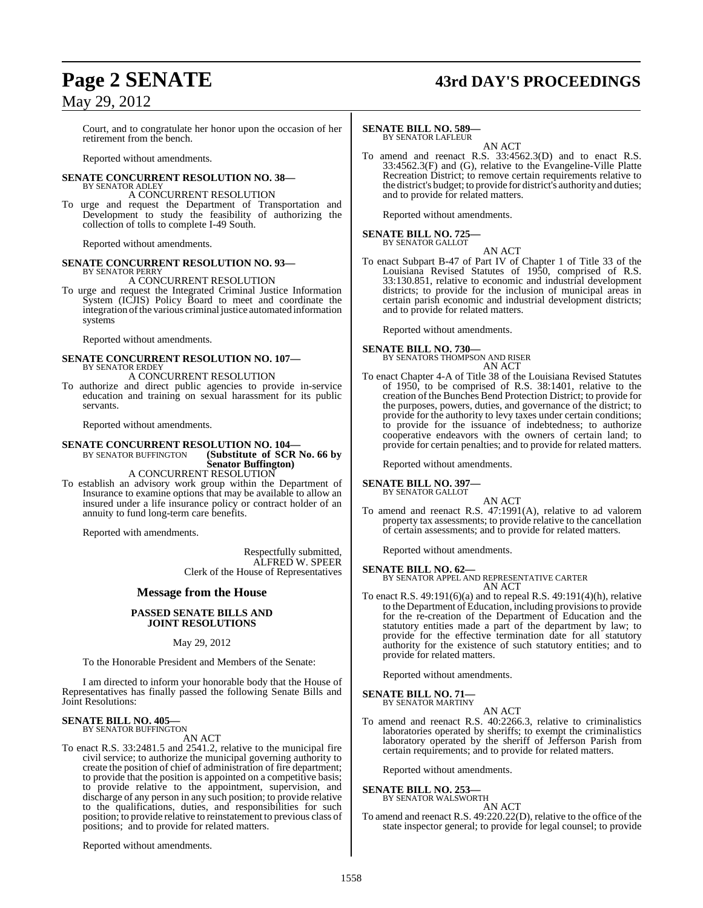## **Page 2 SENATE 43rd DAY'S PROCEEDINGS**

## May 29, 2012

Court, and to congratulate her honor upon the occasion of her retirement from the bench.

Reported without amendments.

#### **SENATE CONCURRENT RESOLUTION NO. 38—** BY SENATOR ADLEY

A CONCURRENT RESOLUTION

To urge and request the Department of Transportation and Development to study the feasibility of authorizing the collection of tolls to complete I-49 South.

Reported without amendments.

#### **SENATE CONCURRENT RESOLUTION NO. 93—** BY SENATOR PERRY

A CONCURRENT RESOLUTION

To urge and request the Integrated Criminal Justice Information System (ICJIS) Policy Board to meet and coordinate the integration of the various criminal justice automated information systems

Reported without amendments.

#### **SENATE CONCURRENT RESOLUTION NO. 107—** BY SENATOR ERDEY A CONCURRENT RESOLUTION

To authorize and direct public agencies to provide in-service education and training on sexual harassment for its public servants.

Reported without amendments.

#### **SENATE CONCURRENT RESOLUTION NO. 104-**<br>BY SENATOR BUFFINGTON (Substitute of SCR **(Substitute of SCR No. 66 by Senator Buffington)**

A CONCURRENT RESOLUTION

To establish an advisory work group within the Department of Insurance to examine options that may be available to allow an insured under a life insurance policy or contract holder of an annuity to fund long-term care benefits.

Reported with amendments.

Respectfully submitted, ALFRED W. SPEER Clerk of the House of Representatives

#### **Message from the House**

#### **PASSED SENATE BILLS AND JOINT RESOLUTIONS**

May 29, 2012

To the Honorable President and Members of the Senate:

I am directed to inform your honorable body that the House of Representatives has finally passed the following Senate Bills and Joint Resolutions:

## **SENATE BILL NO. 405—** BY SENATOR BUFFINGTON

AN ACT

To enact R.S. 33:2481.5 and 2541.2, relative to the municipal fire civil service; to authorize the municipal governing authority to create the position of chief of administration of fire department; to provide that the position is appointed on a competitive basis; to provide relative to the appointment, supervision, and discharge of any person in any such position; to provide relative to the qualifications, duties, and responsibilities for such position; to provide relative to reinstatement to previous class of positions; and to provide for related matters.

Reported without amendments.

#### **SENATE BILL NO. 589—**

BY SENATOR LAFLEUR AN ACT

To amend and reenact R.S. 33:4562.3(D) and to enact R.S. 33:4562.3(F) and (G), relative to the Evangeline-Ville Platte Recreation District; to remove certain requirements relative to the district's budget; to provide for district's authority and duties; and to provide for related matters.

Reported without amendments.

# **SENATE BILL NO. 725—** BY SENATOR GALLOT

AN ACT To enact Subpart B-47 of Part IV of Chapter 1 of Title 33 of the Louisiana Revised Statutes of 1950, comprised of R.S. 33:130.851, relative to economic and industrial development districts; to provide for the inclusion of municipal areas in certain parish economic and industrial development districts; and to provide for related matters.

Reported without amendments.

**SENATE BILL NO. 730—** BY SENATORS THOMPSON AND RISER AN ACT

To enact Chapter 4-A of Title 38 of the Louisiana Revised Statutes of 1950, to be comprised of R.S. 38:1401, relative to the creation of the Bunches Bend Protection District; to provide for the purposes, powers, duties, and governance of the district; to provide for the authority to levy taxes under certain conditions; to provide for the issuance of indebtedness; to authorize cooperative endeavors with the owners of certain land; to provide for certain penalties; and to provide for related matters.

Reported without amendments.

#### **SENATE BILL NO. 397—**

BY SENATOR GALLOT AN ACT

To amend and reenact R.S. 47:1991(A), relative to ad valorem property tax assessments; to provide relative to the cancellation of certain assessments; and to provide for related matters.

Reported without amendments.

**SENATE BILL NO. 62—** BY SENATOR APPEL AND REPRESENTATIVE CARTER AN ACT

To enact R.S. 49:191(6)(a) and to repeal R.S. 49:191(4)(h), relative to the Department of Education, including provisions to provide for the re-creation of the Department of Education and the statutory entities made a part of the department by law; to provide for the effective termination date for all statutory authority for the existence of such statutory entities; and to provide for related matters.

Reported without amendments.

## **SENATE BILL NO. 71—** BY SENATOR MARTINY

AN ACT

To amend and reenact R.S. 40:2266.3, relative to criminalistics laboratories operated by sheriffs; to exempt the criminalistics laboratory operated by the sheriff of Jefferson Parish from certain requirements; and to provide for related matters.

Reported without amendments.

#### **SENATE BILL NO. 253—**

BY SENATOR WALSWORTH AN ACT

To amend and reenact R.S. 49:220.22(D), relative to the office of the state inspector general; to provide for legal counsel; to provide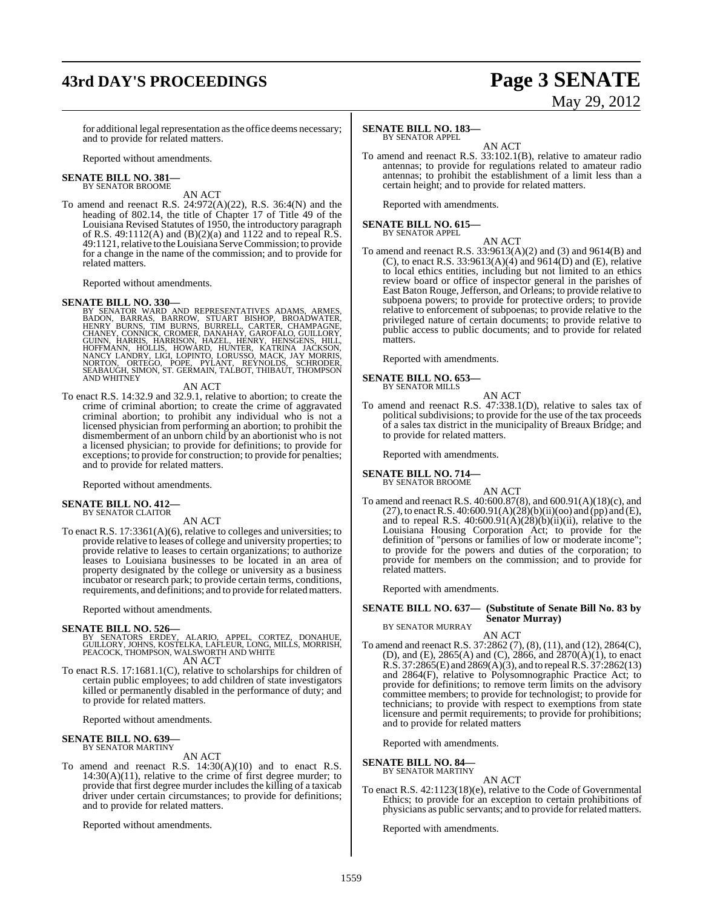## **43rd DAY'S PROCEEDINGS Page 3 SENATE**

# May 29, 2012

for additional legal representation as the office deems necessary; and to provide for related matters.

Reported without amendments.

#### **SENATE BILL NO. 381—** BY SENATOR BROOME

AN ACT

To amend and reenact R.S. 24:972(A)(22), R.S. 36:4(N) and the heading of 802.14, the title of Chapter 17 of Title 49 of the Louisiana Revised Statutes of 1950, the introductory paragraph of R.S.  $49:1112(A)$  and  $(B)(2)(a)$  and 1122 and to repeal R.S. 49:1121, relative to the Louisiana Serve Commission; to provide for a change in the name of the commission; and to provide for related matters.

Reported without amendments.

**SENATE BILL NO. 330—**<br>BY SENATOR WARD AND REPRESENTATIVES ADAMS, ARMES, BADON, BARRAS, BARROW, STUART BISHOP, BROADWATER,<br>HENRY BURNS, TIM BURNS, BURRELL, CARTER, CHAMPAGNE,<br>CHANEY, CONNICK, CROMER, DANAHAY, GAROFALO, GUI

#### AN ACT

To enact R.S. 14:32.9 and 32.9.1, relative to abortion; to create the crime of criminal abortion; to create the crime of aggravated criminal abortion; to prohibit any individual who is not a licensed physician from performing an abortion; to prohibit the dismemberment of an unborn child by an abortionist who is not a licensed physician; to provide for definitions; to provide for exceptions; to provide for construction; to provide for penalties; and to provide for related matters.

Reported without amendments.

#### **SENATE BILL NO. 412—** BY SENATOR CLAITOR

AN ACT

To enact R.S. 17:3361(A)(6), relative to colleges and universities; to provide relative to leases of college and university properties; to provide relative to leases to certain organizations; to authorize leases to Louisiana businesses to be located in an area of property designated by the college or university as a business incubator or research park; to provide certain terms, conditions, requirements, and definitions; and to provide for related matters.

Reported without amendments.

#### **SENATE BILL NO. 526—**

BY SENATORS ERDEY, ALARIO, APPEL, CORTEZ, DONAHUE,<br>GUILLORY, JOHNS, KOSTELKA, LAFLEUR, LONG, MILLS, MORRISH,<br>PEACOCK, THOMPSON, WALSWORTH AND WHITE AN ACT

To enact R.S. 17:1681.1(C), relative to scholarships for children of certain public employees; to add children of state investigators killed or permanently disabled in the performance of duty; and to provide for related matters.

Reported without amendments.

## **SENATE BILL NO. 639—** BY SENATOR MARTINY

AN ACT

To amend and reenact R.S. 14:30(A)(10) and to enact R.S.  $14:30(A)(11)$ , relative to the crime of first degree murder; to provide that first degree murder includes the killing of a taxicab driver under certain circumstances; to provide for definitions; and to provide for related matters.

Reported without amendments.

#### **SENATE BILL NO. 183—**

BY SENATOR APPEL

AN ACT To amend and reenact R.S. 33:102.1(B), relative to amateur radio antennas; to provide for regulations related to amateur radio antennas; to prohibit the establishment of a limit less than a certain height; and to provide for related matters.

Reported with amendments.

## **SENATE BILL NO. 615—** BY SENATOR APPEL

AN ACT

To amend and reenact R.S. 33:9613(A)(2) and (3) and 9614(B) and (C), to enact R.S. 33:9613(A)(4) and 9614(D) and (E), relative to local ethics entities, including but not limited to an ethics review board or office of inspector general in the parishes of East Baton Rouge,Jefferson, and Orleans; to provide relative to subpoena powers; to provide for protective orders; to provide relative to enforcement of subpoenas; to provide relative to the privileged nature of certain documents; to provide relative to public access to public documents; and to provide for related matters.

Reported with amendments.

#### **SENATE BILL NO. 653—** BY SENATOR MILLS

AN ACT

To amend and reenact R.S. 47:338.1(D), relative to sales tax of political subdivisions; to provide for the use of the tax proceeds of a sales tax district in the municipality of Breaux Bridge; and to provide for related matters.

Reported with amendments.

**SENATE BILL NO. 714—** BY SENATOR BROOME

AN ACT

To amend and reenact R.S. 40:600.87(8), and 600.91(A)(18)(c), and (27), to enact R.S. 40:600.91(A)( $\dot{28}$ )(b)(ii)(oo) and (pp) and (E), and to repeal R.S.  $40:600.91(A)(28)(b)(ii)(ii)$ , relative to the Louisiana Housing Corporation Act; to provide for the definition of "persons or families of low or moderate income"; to provide for the powers and duties of the corporation; to provide for members on the commission; and to provide for related matters.

Reported with amendments.

#### **SENATE BILL NO. 637— (Substitute of Senate Bill No. 83 by Senator Murray)** BY SENATOR MURRAY

AN ACT

To amend and reenact R.S. 37:2862 (7), (8), (11), and (12), 2864(C), (D), and (E), 2865(A) and (C), 2866, and 2870(A)(1), to enact R.S. 37:2865(E) and 2869(A)(3), and to repeal R.S. 37:2862(13) and 2864(F), relative to Polysomnographic Practice Act; to provide for definitions; to remove term limits on the advisory committee members; to provide for technologist; to provide for technicians; to provide with respect to exemptions from state licensure and permit requirements; to provide for prohibitions; and to provide for related matters

Reported with amendments.

#### **SENATE BILL NO. 84** BY SENATOR MARTINY

AN ACT

To enact R.S. 42:1123(18)(e), relative to the Code of Governmental Ethics; to provide for an exception to certain prohibitions of physicians as public servants; and to provide for related matters.

Reported with amendments.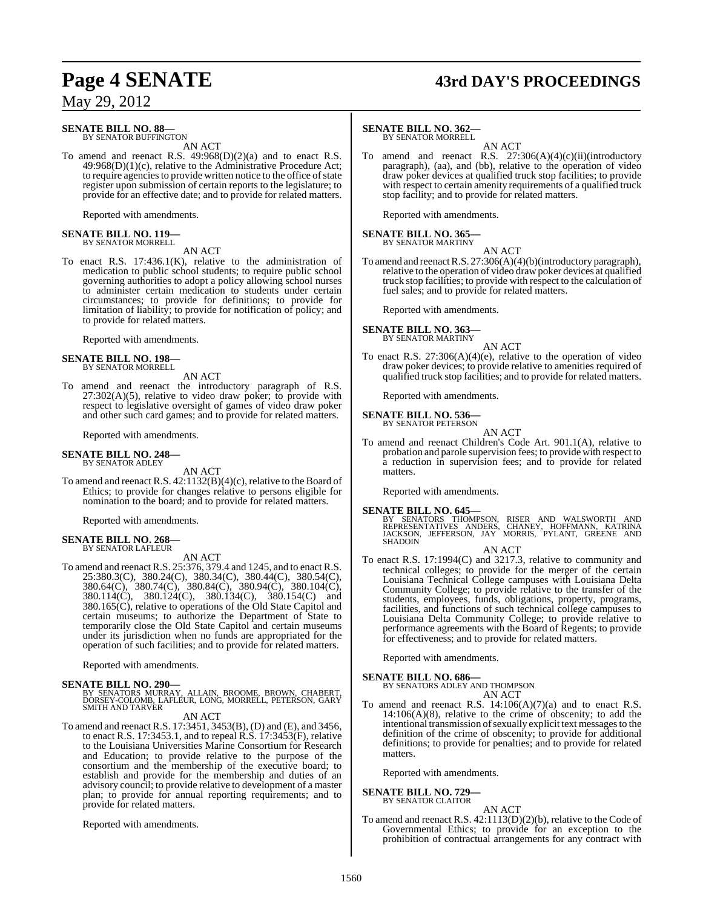# **Page 4 SENATE 43rd DAY'S PROCEEDINGS**

May 29, 2012

#### **SENATE BILL NO. 88—** BY SENATOR BUFFINGTON

AN ACT

To amend and reenact R.S. 49:968(D)(2)(a) and to enact R.S. 49:968(D)(1)(c), relative to the Administrative Procedure Act; to require agencies to provide written notice to the office of state register upon submission of certain reports to the legislature; to provide for an effective date; and to provide for related matters.

Reported with amendments.

## **SENATE BILL NO. 119—** BY SENATOR MORRELL

AN ACT

To enact R.S. 17:436.1(K), relative to the administration of medication to public school students; to require public school governing authorities to adopt a policy allowing school nurses to administer certain medication to students under certain circumstances; to provide for definitions; to provide for limitation of liability; to provide for notification of policy; and to provide for related matters.

Reported with amendments.

#### **SENATE BILL NO. 198—** BY SENATOR MORRELL

AN ACT

To amend and reenact the introductory paragraph of R.S.  $27:302(A)(5)$ , relative to video draw poker; to provide with respect to legislative oversight of games of video draw poker and other such card games; and to provide for related matters.

Reported with amendments.

#### **SENATE BILL NO. 248—** BY SENATOR ADLEY

AN ACT

To amend and reenact R.S. 42:1132(B)(4)(c), relative to the Board of Ethics; to provide for changes relative to persons eligible for nomination to the board; and to provide for related matters.

Reported with amendments.

#### **SENATE BILL NO. 268—** BY SENATOR LAFLEUR

AN ACT

To amend and reenact R.S. 25:376, 379.4 and 1245, and to enact R.S. 25:380.3(C), 380.24(C), 380.34(C), 380.44(C), 380.54(C), 380.64(C), 380.74(C), 380.84(C), 380.94(C), 380.104(C), 380.114(C), 380.124(C), 380.134(C), 380.154(C) and 380.165(C), relative to operations of the Old State Capitol and certain museums; to authorize the Department of State to temporarily close the Old State Capitol and certain museums under its jurisdiction when no funds are appropriated for the operation of such facilities; and to provide for related matters.

Reported with amendments.

#### **SENATE BILL NO. 290—**

BY SENATORS MURRAY, ALLAIN, BROOME, BROWN, CHABERT, DORSEY-COLOMB, LAFLEUR, LONG, MORRELL, PETERSON, GARY SMITH AND TARVER

#### AN ACT

To amend and reenact R.S. 17:3451, 3453(B), (D) and (E), and 3456, to enact R.S. 17:3453.1, and to repeal R.S. 17:3453(F), relative to the Louisiana Universities Marine Consortium for Research and Education; to provide relative to the purpose of the consortium and the membership of the executive board; to establish and provide for the membership and duties of an advisory council; to provide relative to development of a master plan; to provide for annual reporting requirements; and to provide for related matters.

Reported with amendments.

#### **SENATE BILL NO. 362—**

BY SENATOR MORRELL

AN ACT To amend and reenact R.S. 27:306(A)(4)(c)(ii)(introductory paragraph), (aa), and (bb), relative to the operation of video draw poker devices at qualified truck stop facilities; to provide with respect to certain amenity requirements of a qualified truck stop facility; and to provide for related matters.

Reported with amendments.

## **SENATE BILL NO. 365—** BY SENATOR MARTINY

AN ACT To amend and reenact R.S. 27:306(A)(4)(b)(introductory paragraph), relative to the operation of video draw poker devices at qualified truck stop facilities; to provide with respect to the calculation of fuel sales; and to provide for related matters.

Reported with amendments.

#### **SENATE BILL NO. 363** BY SENATOR MARTINY

AN ACT

To enact R.S. 27:306(A)(4)(e), relative to the operation of video draw poker devices; to provide relative to amenities required of qualified truck stop facilities; and to provide for related matters.

Reported with amendments.

#### **SENATE BILL NO. 536—** BY SENATOR PETERSON

AN ACT

To amend and reenact Children's Code Art. 901.1(A), relative to probation and parole supervision fees; to provide with respect to a reduction in supervision fees; and to provide for related matters.

Reported with amendments.

#### **SENATE BILL NO. 645—**

BY SENATORS THOMPSON, RISER AND WALSWORTH AND<br>REPRESENTATIVES ANDERS, CHANEY, HOFFMANN, KATRINA<br>JACKSON, JEFFERSON, JAY MORRIS, PYLANT, GREENE AND<br>SHADOIN

AN ACT

To enact R.S. 17:1994(C) and 3217.3, relative to community and technical colleges; to provide for the merger of the certain Louisiana Technical College campuses with Louisiana Delta Community College; to provide relative to the transfer of the students, employees, funds, obligations, property, programs, facilities, and functions of such technical college campuses to Louisiana Delta Community College; to provide relative to performance agreements with the Board of Regents; to provide for effectiveness; and to provide for related matters.

Reported with amendments.

#### **SENATE BILL NO. 686—**

BY SENATORS ADLEY AND THOMPSON AN ACT

To amend and reenact R.S.  $14:106(A)(7)(a)$  and to enact R.S.  $14:106(A)(8)$ , relative to the crime of obscenity; to add the intentional transmission of sexually explicit text messages to the definition of the crime of obscenity; to provide for additional definitions; to provide for penalties; and to provide for related matters.

Reported with amendments.

#### **SENATE BILL NO. 729—** BY SENATOR CLAITOR

AN ACT

To amend and reenact R.S. 42:1113(D)(2)(b), relative to the Code of Governmental Ethics; to provide for an exception to the prohibition of contractual arrangements for any contract with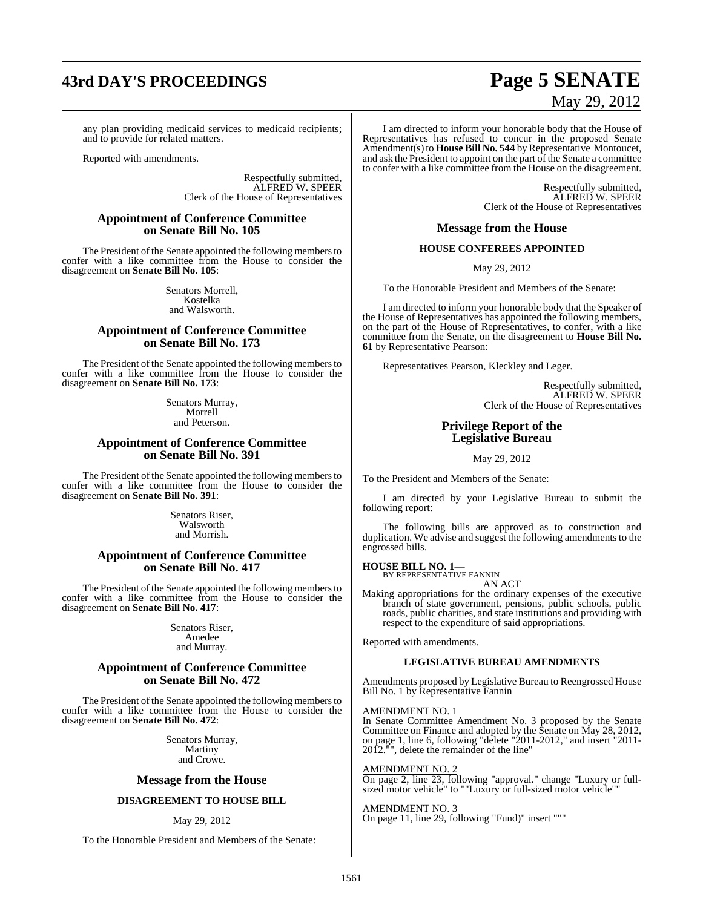# **43rd DAY'S PROCEEDINGS Page 5 SENATE**

#### any plan providing medicaid services to medicaid recipients; and to provide for related matters.

Reported with amendments.

Respectfully submitted, ALFRED W. SPEER Clerk of the House of Representatives

#### **Appointment of Conference Committee on Senate Bill No. 105**

The President of the Senate appointed the following members to confer with a like committee from the House to consider the disagreement on **Senate Bill No. 105**:

> Senators Morrell, Kostelka and Walsworth.

#### **Appointment of Conference Committee on Senate Bill No. 173**

The President of the Senate appointed the following members to confer with a like committee from the House to consider the disagreement on **Senate Bill No. 173**:

> Senators Murray, Morrell and Peterson.

#### **Appointment of Conference Committee on Senate Bill No. 391**

The President of the Senate appointed the following members to confer with a like committee from the House to consider the disagreement on **Senate Bill No. 391**:

> Senators Riser, Walsworth and Morrish.

#### **Appointment of Conference Committee on Senate Bill No. 417**

The President of the Senate appointed the following members to confer with a like committee from the House to consider the disagreement on **Senate Bill No. 417**:

> Senators Riser, Amedee and Murray.

#### **Appointment of Conference Committee on Senate Bill No. 472**

The President of the Senate appointed the following members to confer with a like committee from the House to consider the disagreement on **Senate Bill No. 472**:

> Senators Murray, Martiny and Crowe.

#### **Message from the House**

#### **DISAGREEMENT TO HOUSE BILL**

#### May 29, 2012

To the Honorable President and Members of the Senate:

# May 29, 2012

I am directed to inform your honorable body that the House of Representatives has refused to concur in the proposed Senate Amendment(s) to **House Bill No. 544** byRepresentative Montoucet, and ask the President to appoint on the part of the Senate a committee to confer with a like committee from the House on the disagreement.

> Respectfully submitted, ALFRED W. SPEER Clerk of the House of Representatives

#### **Message from the House**

#### **HOUSE CONFEREES APPOINTED**

May 29, 2012

To the Honorable President and Members of the Senate:

I am directed to inform your honorable body that the Speaker of the House of Representatives has appointed the following members, on the part of the House of Representatives, to confer, with a like committee from the Senate, on the disagreement to **House Bill No. 61** by Representative Pearson:

Representatives Pearson, Kleckley and Leger.

Respectfully submitted, ALFRED W. SPEER Clerk of the House of Representatives

#### **Privilege Report of the Legislative Bureau**

May 29, 2012

To the President and Members of the Senate:

I am directed by your Legislative Bureau to submit the following report:

The following bills are approved as to construction and duplication. We advise and suggest the following amendments to the engrossed bills.

#### **HOUSE BILL NO. 1—** BY REPRESENTATIVE FANNIN

AN ACT

Making appropriations for the ordinary expenses of the executive branch of state government, pensions, public schools, public roads, public charities, and state institutions and providing with respect to the expenditure of said appropriations.

Reported with amendments.

#### **LEGISLATIVE BUREAU AMENDMENTS**

Amendments proposed by Legislative Bureau to Reengrossed House Bill No. 1 by Representative Fannin

#### AMENDMENT NO. 1

In Senate Committee Amendment No. 3 proposed by the Senate Committee on Finance and adopted by the Senate on May 28, 2012, on page 1, line 6, following "delete "2011-2012," and insert "2011- 2012."", delete the remainder of the line"

#### AMENDMENT NO. 2

On page 2, line 23, following "approval." change "Luxury or fullsized motor vehicle" to ""Luxury or full-sized motor vehicle"

AMENDMENT NO. 3 On page 11, line 29, following "Fund)" insert """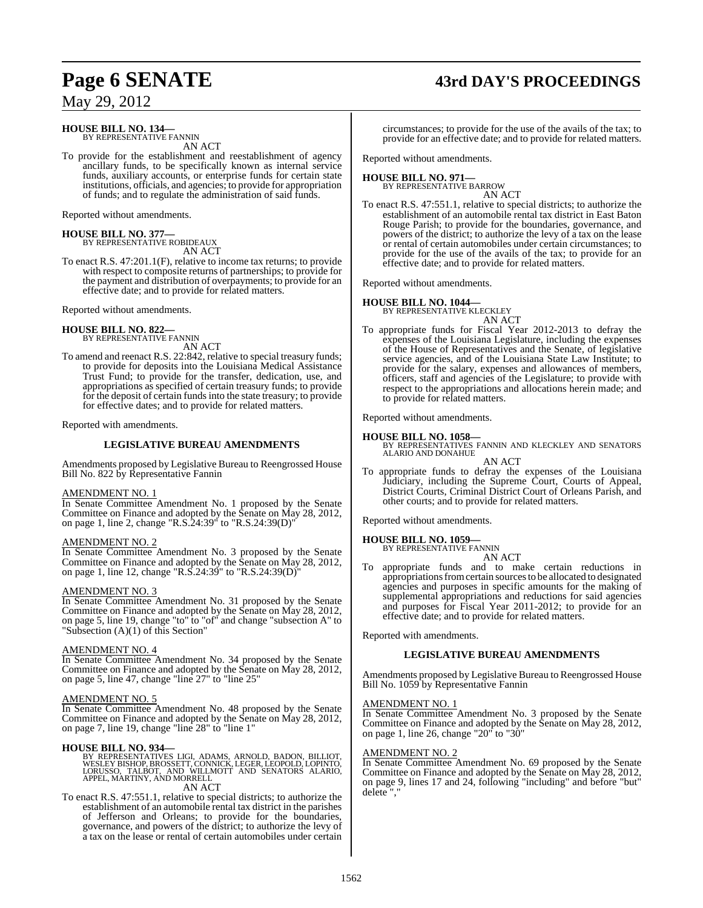# **Page 6 SENATE 43rd DAY'S PROCEEDINGS**

May 29, 2012

#### **HOUSE BILL NO. 134—** BY REPRESENTATIVE FANNIN

AN ACT

To provide for the establishment and reestablishment of agency ancillary funds, to be specifically known as internal service funds, auxiliary accounts, or enterprise funds for certain state institutions, officials, and agencies; to provide for appropriation of funds; and to regulate the administration of said funds.

Reported without amendments.

# **HOUSE BILL NO. 377—** BY REPRESENTATIVE ROBIDEAUX

AN ACT

To enact R.S. 47:201.1(F), relative to income tax returns; to provide with respect to composite returns of partnerships; to provide for the payment and distribution of overpayments; to provide for an effective date; and to provide for related matters.

Reported without amendments.

#### **HOUSE BILL NO. 822—**

BY REPRESENTATIVE FANNIN AN ACT

To amend and reenact R.S. 22:842, relative to special treasury funds; to provide for deposits into the Louisiana Medical Assistance Trust Fund; to provide for the transfer, dedication, use, and appropriations as specified of certain treasury funds; to provide for the deposit of certain fundsinto the state treasury; to provide for effective dates; and to provide for related matters.

Reported with amendments.

#### **LEGISLATIVE BUREAU AMENDMENTS**

Amendments proposed by Legislative Bureau to Reengrossed House Bill No. 822 by Representative Fannin

#### AMENDMENT NO. 1

In Senate Committee Amendment No. 1 proposed by the Senate Committee on Finance and adopted by the Senate on May 28, 2012, on page 1, line 2, change "R.S.24:39" to "R.S.24:39(D)"

#### AMENDMENT NO. 2

In Senate Committee Amendment No. 3 proposed by the Senate Committee on Finance and adopted by the Senate on May 28, 2012, on page 1, line 12, change "R.S.24:39" to "R.S.24:39(D)"

#### AMENDMENT NO. 3

In Senate Committee Amendment No. 31 proposed by the Senate Committee on Finance and adopted by the Senate on May 28, 2012, on page 5, line 19, change "to" to "of" and change "subsection A" to "Subsection (A)(1) of this Section"

#### AMENDMENT NO. 4

In Senate Committee Amendment No. 34 proposed by the Senate Committee on Finance and adopted by the Senate on May 28, 2012, on page 5, line 47, change "line 27" to "line 25"

#### AMENDMENT NO. 5

In Senate Committee Amendment No. 48 proposed by the Senate Committee on Finance and adopted by the Senate on May 28, 2012, on page 7, line 19, change "line 28" to "line 1"

#### **HOUSE BILL NO. 934—**

BY REPRESENTATIVES LIGI, ADAMS, ARNOLD, BADON, BILLIOT,<br>WESLEY BISHOP, BROSSETT, CONNICK, LEGER, LEOPOLD, LOPINTO,<br>LORUSSO, TALBOT, AND WILLMOTT AND SENATORS ALARIO,<br>APPEL, MARTINY, AND MORRELL AN ACT

To enact R.S. 47:551.1, relative to special districts; to authorize the establishment of an automobile rental tax district in the parishes of Jefferson and Orleans; to provide for the boundaries, governance, and powers of the district; to authorize the levy of a tax on the lease or rental of certain automobiles under certain circumstances; to provide for the use of the avails of the tax; to provide for an effective date; and to provide for related matters.

Reported without amendments.

#### **HOUSE BILL NO. 971—**

BY REPRESENTATIVE BARROW AN ACT

To enact R.S. 47:551.1, relative to special districts; to authorize the establishment of an automobile rental tax district in East Baton Rouge Parish; to provide for the boundaries, governance, and powers of the district; to authorize the levy of a tax on the lease or rental of certain automobiles under certain circumstances; to provide for the use of the avails of the tax; to provide for an effective date; and to provide for related matters.

Reported without amendments.

#### **HOUSE BILL NO. 1044—**

BY REPRESENTATIVE KLECKLEY

- AN ACT
- To appropriate funds for Fiscal Year 2012-2013 to defray the expenses of the Louisiana Legislature, including the expenses of the House of Representatives and the Senate, of legislative service agencies, and of the Louisiana State Law Institute; to provide for the salary, expenses and allowances of members, officers, staff and agencies of the Legislature; to provide with respect to the appropriations and allocations herein made; and to provide for related matters.

Reported without amendments.

**HOUSE BILL NO. 1058—** BY REPRESENTATIVES FANNIN AND KLECKLEY AND SENATORS ALARIO AND DONAHUE

AN ACT To appropriate funds to defray the expenses of the Louisiana Judiciary, including the Supreme Court, Courts of Appeal, District Courts, Criminal District Court of Orleans Parish, and other courts; and to provide for related matters.

Reported without amendments.

#### **HOUSE BILL NO. 1059—**

BY REPRESENTATIVE FANNIN AN ACT

To appropriate funds and to make certain reductions in appropriations from certain sources to be allocated to designated agencies and purposes in specific amounts for the making of supplemental appropriations and reductions for said agencies and purposes for Fiscal Year 2011-2012; to provide for an effective date; and to provide for related matters.

Reported with amendments.

#### **LEGISLATIVE BUREAU AMENDMENTS**

Amendments proposed by Legislative Bureau to Reengrossed House Bill No. 1059 by Representative Fannin

#### AMENDMENT NO. 1

In Senate Committee Amendment No. 3 proposed by the Senate Committee on Finance and adopted by the Senate on May 28, 2012, on page 1, line 26, change "20" to "30"

#### AMENDMENT NO. 2

In Senate Committee Amendment No. 69 proposed by the Senate Committee on Finance and adopted by the Senate on May 28, 2012, on page 9, lines 17 and 24, following "including" and before "but" delete".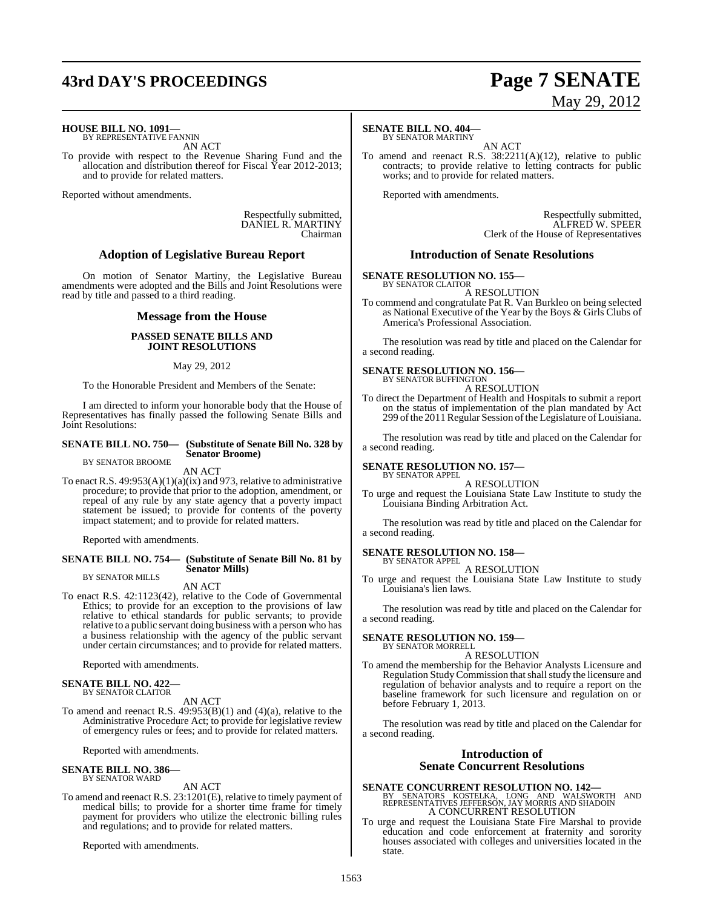## **43rd DAY'S PROCEEDINGS Page 7 SENATE**

# May 29, 2012

**HOUSE BILL NO. 1091—**

BY REPRESENTATIVE FANNIN AN ACT

To provide with respect to the Revenue Sharing Fund and the allocation and distribution thereof for Fiscal Year 2012-2013; and to provide for related matters.

Reported without amendments.

Respectfully submitted, DANIEL R. MARTINY Chairman

#### **Adoption of Legislative Bureau Report**

On motion of Senator Martiny, the Legislative Bureau amendments were adopted and the Bills and Joint Resolutions were read by title and passed to a third reading.

#### **Message from the House**

#### **PASSED SENATE BILLS AND JOINT RESOLUTIONS**

#### May 29, 2012

To the Honorable President and Members of the Senate:

I am directed to inform your honorable body that the House of Representatives has finally passed the following Senate Bills and Joint Resolutions:

#### **SENATE BILL NO. 750— (Substitute of Senate Bill No. 328 by Senator Broome)**

BY SENATOR BROOME

AN ACT To enact R.S.  $49:953(A)(1)(a)(ix)$  and 973, relative to administrative procedure; to provide that prior to the adoption, amendment, or repeal of any rule by any state agency that a poverty impact statement be issued; to provide for contents of the poverty impact statement; and to provide for related matters.

Reported with amendments.

#### **SENATE BILL NO. 754— (Substitute of Senate Bill No. 81 by Senator Mills)** BY SENATOR MILLS

AN ACT

To enact R.S. 42:1123(42), relative to the Code of Governmental Ethics; to provide for an exception to the provisions of law relative to ethical standards for public servants; to provide relative to a public servant doing business with a person who has a business relationship with the agency of the public servant under certain circumstances; and to provide for related matters.

Reported with amendments.

#### **SENATE BILL NO. 422—** BY SENATOR CLAITOR

AN ACT

To amend and reenact R.S. 49:953(B)(1) and (4)(a), relative to the Administrative Procedure Act; to provide for legislative review of emergency rules or fees; and to provide for related matters.

Reported with amendments.

#### **SENATE BILL NO. 386—** BY SENATOR WARD

AN ACT

To amend and reenact R.S. 23:1201(E), relative to timely payment of medical bills; to provide for a shorter time frame for timely payment for providers who utilize the electronic billing rules and regulations; and to provide for related matters.

Reported with amendments.

#### **SENATE BILL NO. 404—** BY SENATOR MARTINY

AN ACT

To amend and reenact R.S. 38:2211(A)(12), relative to public contracts; to provide relative to letting contracts for public works; and to provide for related matters.

Reported with amendments.

Respectfully submitted, ALFRED W. SPEER Clerk of the House of Representatives

#### **Introduction of Senate Resolutions**

#### **SENATE RESOLUTION NO. 155—**

BY SENATOR CLAITOR A RESOLUTION

To commend and congratulate Pat R. Van Burkleo on being selected as National Executive of the Year by the Boys & Girls Clubs of America's Professional Association.

The resolution was read by title and placed on the Calendar for a second reading.

#### **SENATE RESOLUTION NO. 156—** BY SENATOR BUFFINGTON

A RESOLUTION

To direct the Department of Health and Hospitals to submit a report on the status of implementation of the plan mandated by Act 299 of the 2011 Regular Session of the Legislature of Louisiana.

The resolution was read by title and placed on the Calendar for a second reading.

#### **SENATE RESOLUTION NO. 157—** BY SENATOR APPEL

A RESOLUTION

To urge and request the Louisiana State Law Institute to study the Louisiana Binding Arbitration Act.

The resolution was read by title and placed on the Calendar for a second reading.

#### **SENATE RESOLUTION NO. 158—** BY SENATOR APPEL

#### A RESOLUTION

To urge and request the Louisiana State Law Institute to study Louisiana's lien laws.

The resolution was read by title and placed on the Calendar for a second reading.

#### **SENATE RESOLUTION NO. 159—**

BY SENATOR MORRELL A RESOLUTION

To amend the membership for the Behavior Analysts Licensure and Regulation Study Commission that shall study the licensure and regulation of behavior analysts and to require a report on the baseline framework for such licensure and regulation on or before February 1, 2013.

The resolution was read by title and placed on the Calendar for a second reading.

### **Introduction of Senate Concurrent Resolutions**

**SENATE CONCURRENT RESOLUTION NO. 142—**<br>BY SENATORS KOSTELKA, LONG AND WALSWORTH AND<br>REPRESENTATIVES JEFFERSON, JAY MORRIS AND SHADOIN A CONCURRENT RESOLUTION

To urge and request the Louisiana State Fire Marshal to provide education and code enforcement at fraternity and sorority houses associated with colleges and universities located in the state.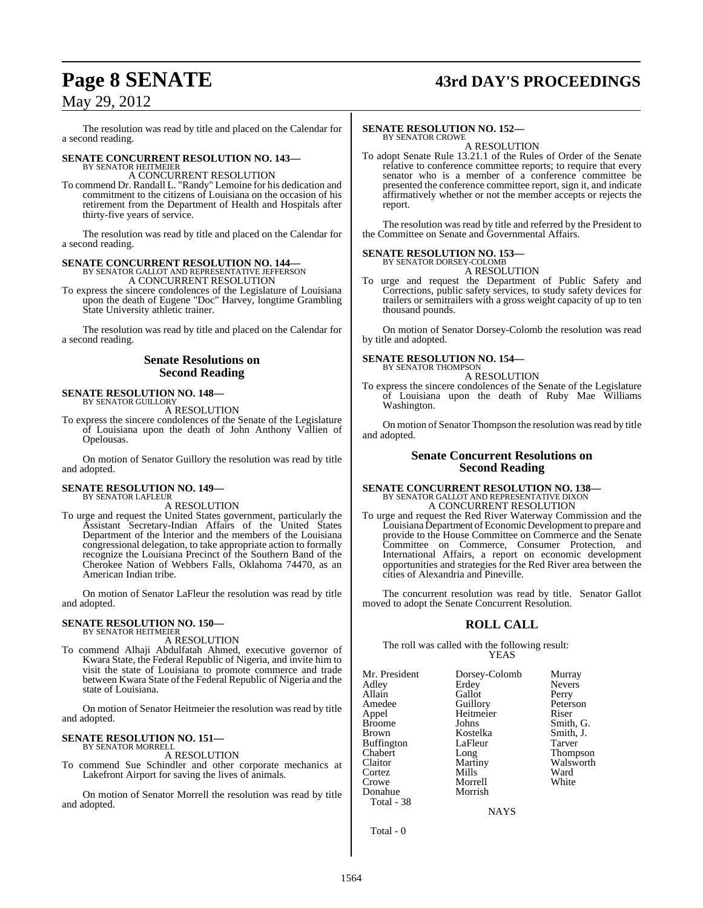## **Page 8 SENATE 43rd DAY'S PROCEEDINGS**

## May 29, 2012

The resolution was read by title and placed on the Calendar for a second reading.

## **SENATE CONCURRENT RESOLUTION NO. 143—** BY SENATOR HEITMEIER

A CONCURRENT RESOLUTION

To commend Dr. Randall L. "Randy" Lemoine for his dedication and commitment to the citizens of Louisiana on the occasion of his retirement from the Department of Health and Hospitals after thirty-five years of service.

The resolution was read by title and placed on the Calendar for a second reading.

## **SENATE CONCURRENT RESOLUTION NO. 144—** BY SENATOR GALLOT AND REPRESENTATIVE JEFFERSON A CONCURRENT RESOLUTION

To express the sincere condolences of the Legislature of Louisiana upon the death of Eugene "Doc" Harvey, longtime Grambling State University athletic trainer.

The resolution was read by title and placed on the Calendar for a second reading.

#### **Senate Resolutions on Second Reading**

#### **SENATE RESOLUTION NO. 148—** BY SENATOR GUILLORY

A RESOLUTION

To express the sincere condolences of the Senate of the Legislature of Louisiana upon the death of John Anthony Vallien of Opelousas.

On motion of Senator Guillory the resolution was read by title and adopted.

#### **SENATE RESOLUTION NO. 149—** BY SENATOR LAFLEUR

A RESOLUTION

To urge and request the United States government, particularly the Assistant Secretary-Indian Affairs of the United States Department of the Interior and the members of the Louisiana congressional delegation, to take appropriate action to formally recognize the Louisiana Precinct of the Southern Band of the Cherokee Nation of Webbers Falls, Oklahoma 74470, as an American Indian tribe.

On motion of Senator LaFleur the resolution was read by title and adopted.

#### **SENATE RESOLUTION NO. 150—** BY SENATOR HEITMEIER

A RESOLUTION

To commend Alhaji Abdulfatah Ahmed, executive governor of Kwara State, the Federal Republic of Nigeria, and invite him to visit the state of Louisiana to promote commerce and trade between Kwara State of the Federal Republic of Nigeria and the state of Louisiana.

On motion of Senator Heitmeier the resolution was read by title and adopted.

#### **SENATE RESOLUTION NO. 151—** BY SENATOR MORRELL

A RESOLUTION

To commend Sue Schindler and other corporate mechanics at Lakefront Airport for saving the lives of animals.

On motion of Senator Morrell the resolution was read by title and adopted.

#### **SENATE RESOLUTION NO. 152—**

BY SENATOR CROWE A RESOLUTION

To adopt Senate Rule 13.21.1 of the Rules of Order of the Senate relative to conference committee reports; to require that every senator who is a member of a conference committee be presented the conference committee report, sign it, and indicate affirmatively whether or not the member accepts or rejects the report.

The resolution was read by title and referred by the President to the Committee on Senate and Governmental Affairs.

#### **SENATE RESOLUTION NO. 153—** BY SENATOR DORSEY-COLOMB

A RESOLUTION

To urge and request the Department of Public Safety and Corrections, public safety services, to study safety devices for trailers or semitrailers with a gross weight capacity of up to ten thousand pounds.

On motion of Senator Dorsey-Colomb the resolution was read by title and adopted.

**SENATE RESOLUTION NO. 154—** BY SENATOR THOMPSON

A RESOLUTION

To express the sincere condolences of the Senate of the Legislature of Louisiana upon the death of Ruby Mae Williams Washington.

On motion of Senator Thompson the resolution was read by title and adopted.

#### **Senate Concurrent Resolutions on Second Reading**

## **SENATE CONCURRENT RESOLUTION NO. 138—** BY SENATOR GALLOT AND REPRESENTATIVE DIXON A CONCURRENT RESOLUTION

To urge and request the Red River Waterway Commission and the Louisiana Department of Economic Development to prepare and provide to the House Committee on Commerce and the Senate Committee on Commerce, Consumer Protection, and International Affairs, a report on economic development opportunities and strategies for the Red River area between the cities of Alexandria and Pineville.

The concurrent resolution was read by title. Senator Gallot moved to adopt the Senate Concurrent Resolution.

## **ROLL CALL**

The roll was called with the following result: YEAS

| Mr. President<br>Adley<br>Allain<br>Amedee<br>Appel<br><b>Broome</b><br><b>Brown</b><br><b>Buffington</b><br>Chabert<br>Claitor<br>Cortez<br>Crowe | Dorsey-Colomb<br>Erdey<br>Gallot<br>Guillory<br>Heitmeier<br>Johns<br>Kostelka<br>LaFleur<br>Long<br>Martiny<br>Mills<br>Morrell | Murray<br><b>Nevers</b><br>Perry<br>Peterson<br>Riser<br>Smith, G.<br>Smith, J.<br>Tarver<br>Thompson<br>Walsworth<br>Ward<br>White |
|----------------------------------------------------------------------------------------------------------------------------------------------------|----------------------------------------------------------------------------------------------------------------------------------|-------------------------------------------------------------------------------------------------------------------------------------|
|                                                                                                                                                    |                                                                                                                                  |                                                                                                                                     |
| Donahue<br>Total - 38                                                                                                                              | Morrish                                                                                                                          |                                                                                                                                     |

NAYS

Total - 0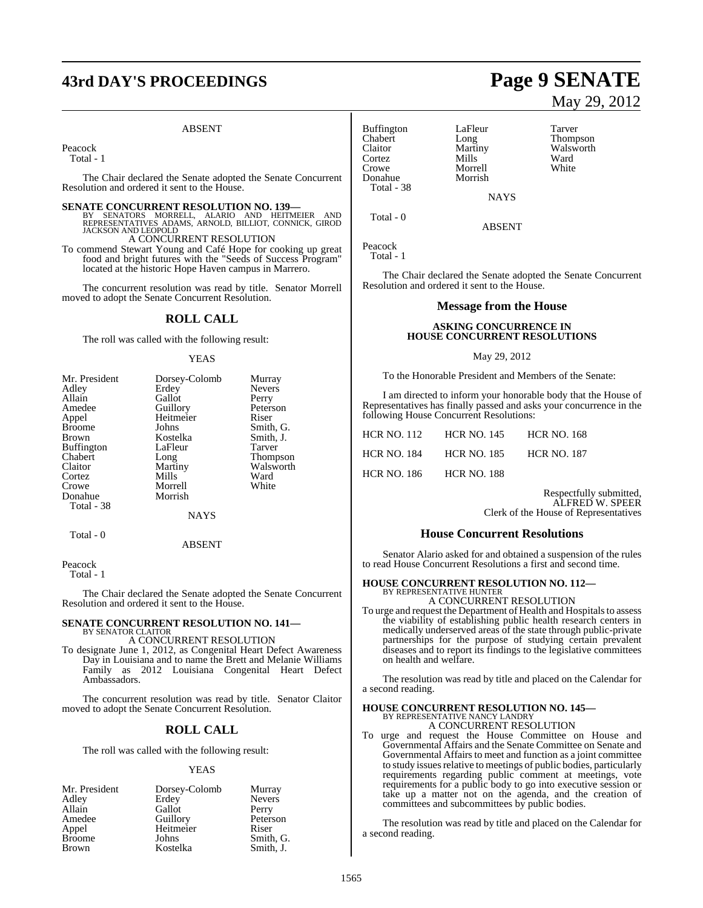# **43rd DAY'S PROCEEDINGS Page 9 SENATE**

#### ABSENT

Peacock

Total - 1

The Chair declared the Senate adopted the Senate Concurrent Resolution and ordered it sent to the House.

**SENATE CONCURRENT RESOLUTION NO. 139—**<br>BY SENATORS MORRELL, ALARIO AND HEITMEIER AND<br>REPRESENTATIVES ADAMS, ARNOLD, BILLIOT, CONNICK, GIROD<br>JACKSON AND LEOPOLD

A CONCURRENT RESOLUTION

To commend Stewart Young and Café Hope for cooking up great food and bright futures with the "Seeds of Success Program" located at the historic Hope Haven campus in Marrero.

The concurrent resolution was read by title. Senator Morrell moved to adopt the Senate Concurrent Resolution.

#### **ROLL CALL**

The roll was called with the following result:

#### YEAS

| Mr. President     | Dorsey-Colomb | Murray        |
|-------------------|---------------|---------------|
| Adley             | Erdey         | <b>Nevers</b> |
| Allain            | Gallot        | Perry         |
| Amedee            | Guillory      | Peterson      |
| Appel             | Heitmeier     | Riser         |
| <b>Broome</b>     | Johns         | Smith, G.     |
| Brown             | Kostelka      | Smith, J.     |
| <b>Buffington</b> | LaFleur       | Tarver        |
| Chabert           | Long          | Thompson      |
| Claitor           | Martiny       | Walsworth     |
| Cortez            | Mills         | Ward          |
| Crowe             | Morrell       | White         |
| Donahue           | Morrish       |               |
| Total - 38        |               |               |
|                   | NAYS          |               |
| Total - 0         |               |               |

ABSENT

Peacock

Total - 1

The Chair declared the Senate adopted the Senate Concurrent Resolution and ordered it sent to the House.

#### **SENATE CONCURRENT RESOLUTION NO. 141—** BY SENATOR CLAITOR A CONCURRENT RESOLUTION

To designate June 1, 2012, as Congenital Heart Defect Awareness Day in Louisiana and to name the Brett and Melanie Williams

Family as 2012 Louisiana Congenital Heart Defect Ambassadors.

The concurrent resolution was read by title. Senator Claitor moved to adopt the Senate Concurrent Resolution.

#### **ROLL CALL**

The roll was called with the following result:

#### **YEAS**

| Mr. President | Dorsey-Colomb | Murray        |
|---------------|---------------|---------------|
| Adley         | Erdey         | <b>Nevers</b> |
| Allain        | Gallot        | Perry         |
| Amedee        | Guillory      | Peterson      |
| Appel         | Heitmeier     | Riser         |
| <b>Broome</b> | Johns         | Smith, G.     |
| <b>Brown</b>  | Kostelka      | Smith, J.     |

Buffington LaFleur Tarver<br>
Chabert Long Thomp Chabert Long Thompson Cortez Mills Ward<br>Crowe Morrell White Donahue Total - 38

Morrell<br>Morrish

Martiny Walsworth<br>
Mills Ward

Total - 0

Peacock

Total - 1

The Chair declared the Senate adopted the Senate Concurrent Resolution and ordered it sent to the House.

**NAYS** 

ABSENT

#### **Message from the House**

#### **ASKING CONCURRENCE IN HOUSE CONCURRENT RESOLUTIONS**

#### May 29, 2012

To the Honorable President and Members of the Senate:

I am directed to inform your honorable body that the House of Representatives has finally passed and asks your concurrence in the following House Concurrent Resolutions:

| HCR NO. 112 | <b>HCR NO. 145</b> | <b>HCR NO. 168</b> |
|-------------|--------------------|--------------------|
| HCR NO. 184 | <b>HCR NO. 185</b> | <b>HCR NO. 187</b> |
| HCR NO. 186 | <b>HCR NO. 188</b> |                    |

Respectfully submitted, ALFRED W. SPEER Clerk of the House of Representatives

#### **House Concurrent Resolutions**

Senator Alario asked for and obtained a suspension of the rules to read House Concurrent Resolutions a first and second time.

#### **HOUSE CONCURRENT RESOLUTION NO. 112—** BY REPRESENTATIVE HUNTER

A CONCURRENT RESOLUTION

To urge and request the Department of Health and Hospitals to assess the viability of establishing public health research centers in medically underserved areas of the state through public-private partnerships for the purpose of studying certain prevalent diseases and to report its findings to the legislative committees on health and welfare.

The resolution was read by title and placed on the Calendar for a second reading.

## **HOUSE CONCURRENT RESOLUTION NO. 145—** BY REPRESENTATIVE NANCY LANDRY

A CONCURRENT RESOLUTION

To urge and request the House Committee on House and Governmental Affairs and the Senate Committee on Senate and Governmental Affairs to meet and function as a joint committee to study issues relative to meetings of public bodies, particularly requirements regarding public comment at meetings, vote requirements for a public body to go into executive session or take up a matter not on the agenda, and the creation of committees and subcommittees by public bodies.

The resolution was read by title and placed on the Calendar for a second reading.

# May 29, 2012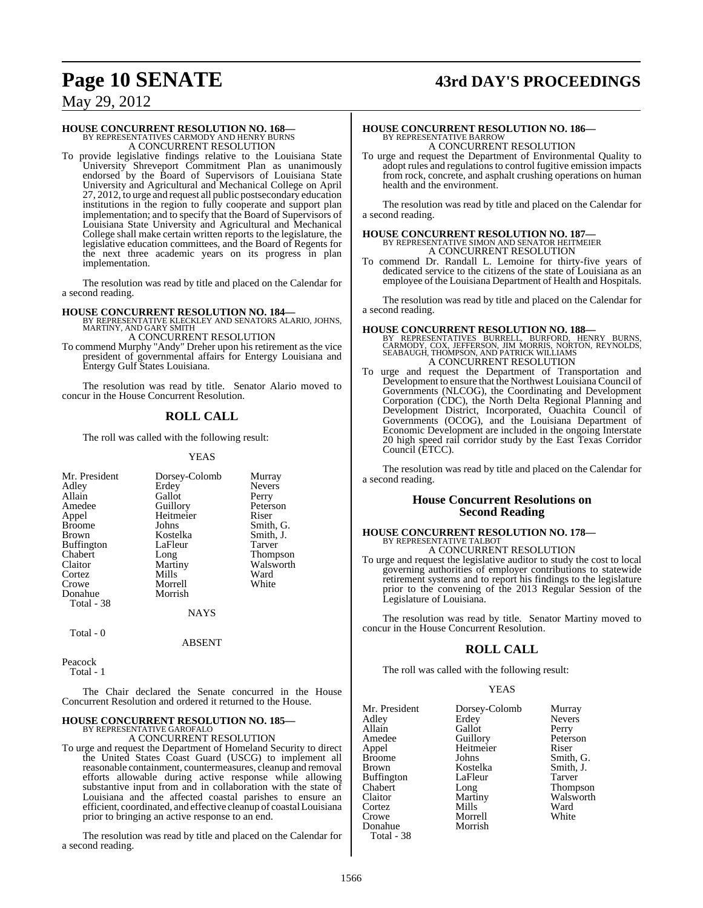## **Page 10 SENATE 43rd DAY'S PROCEEDINGS**

## May 29, 2012

# **HOUSE CONCURRENT RESOLUTION NO. 168—** BY REPRESENTATIVES CARMODY AND HENRY BURNS A CONCURRENT RESOLUTION

To provide legislative findings relative to the Louisiana State University Shreveport Commitment Plan as unanimously endorsed by the Board of Supervisors of Louisiana State University and Agricultural and Mechanical College on April 27, 2012, to urge and request all public postsecondary education institutions in the region to fully cooperate and support plan implementation; and to specify that the Board of Supervisors of Louisiana State University and Agricultural and Mechanical College shall make certain written reports to the legislature, the legislative education committees, and the Board of Regents for the next three academic years on its progress in plan implementation.

The resolution was read by title and placed on the Calendar for a second reading.

**HOUSE CONCURRENT RESOLUTION NO. 184—** BY REPRESENTATIVE KLECKLEY AND SENATORS ALARIO, JOHNS, MARTINY, AND GARY SMITH

A CONCURRENT RESOLUTION

To commend Murphy "Andy" Dreher upon his retirement as the vice president of governmental affairs for Entergy Louisiana and Entergy Gulf States Louisiana.

The resolution was read by title. Senator Alario moved to concur in the House Concurrent Resolution.

### **ROLL CALL**

The roll was called with the following result:

#### YEAS

| Mr. President     |               |                 |
|-------------------|---------------|-----------------|
|                   | Dorsey-Colomb | Murray          |
| Adley             | Erdey         | <b>Nevers</b>   |
| Allain            | Gallot        | Perry           |
| Amedee            | Guillory      | Peterson        |
| Appel             | Heitmeier     | Riser           |
| <b>Broome</b>     | Johns         | Smith, G.       |
| <b>Brown</b>      | Kostelka      | Smith, J.       |
| <b>Buffington</b> | LaFleur       | Tarver          |
| Chabert           | Long          | <b>Thompson</b> |
| Claitor           | Martiny       | Walsworth       |
| Cortez            | Mills         | Ward            |
| Crowe             | Morrell       | White           |
| Donahue           | Morrish       |                 |
| Total - 38        |               |                 |
|                   | NAYS          |                 |

Total - 0

ABSENT

Peacock Total - 1

The Chair declared the Senate concurred in the House Concurrent Resolution and ordered it returned to the House.

## **HOUSE CONCURRENT RESOLUTION NO. 185—** BY REPRESENTATIVE GAROFALO

A CONCURRENT RESOLUTION

To urge and request the Department of Homeland Security to direct the United States Coast Guard (USCG) to implement all reasonable containment, countermeasures, cleanup and removal efforts allowable during active response while allowing substantive input from and in collaboration with the state of Louisiana and the affected coastal parishes to ensure an efficient, coordinated, and effective cleanup of coastal Louisiana prior to bringing an active response to an end.

The resolution was read by title and placed on the Calendar for a second reading.

## **HOUSE CONCURRENT RESOLUTION NO. 186—** BY REPRESENTATIVE BARROW A CONCURRENT RESOLUTION

To urge and request the Department of Environmental Quality to adopt rules and regulationsto control fugitive emission impacts from rock, concrete, and asphalt crushing operations on human health and the environment.

The resolution was read by title and placed on the Calendar for a second reading.

## **HOUSE CONCURRENT RESOLUTION NO. 187—** BY REPRESENTATIVE SIMON AND SENATOR HEITMEIER A CONCURRENT RESOLUTION

To commend Dr. Randall L. Lemoine for thirty-five years of dedicated service to the citizens of the state of Louisiana as an employee of the Louisiana Department of Health and Hospitals.

The resolution was read by title and placed on the Calendar for a second reading.

**HOUSE CONCURRENT RESOLUTION NO. 188—**<br>
BY REPRESENTATIVES BURRELL, BURFORD, HENRY BURNS,<br>
CARMODY, COX, JEFFERSON, JIM MORRIS, NORTON, REYNOLDS,<br>
SEABAUGH, THOMPSON, AND PATRICK WILLIAMS<br>
A CONCURRENT RESOLUTION

To urge and request the Department of Transportation and Development to ensure that the Northwest Louisiana Council of Governments (NLCOG), the Coordinating and Development Corporation (CDC), the North Delta Regional Planning and Development District, Incorporated, Ouachita Council of Governments (OCOG), and the Louisiana Department of Economic Development are included in the ongoing Interstate 20 high speed rail corridor study by the East Texas Corridor Council (ETCC).

The resolution was read by title and placed on the Calendar for a second reading.

#### **House Concurrent Resolutions on Second Reading**

# **HOUSE CONCURRENT RESOLUTION NO. 178—** BY REPRESENTATIVE TALBOT

A CONCURRENT RESOLUTION

To urge and request the legislative auditor to study the cost to local governing authorities of employer contributions to statewide retirement systems and to report his findings to the legislature prior to the convening of the 2013 Regular Session of the Legislature of Louisiana.

The resolution was read by title. Senator Martiny moved to concur in the House Concurrent Resolution.

#### **ROLL CALL**

The roll was called with the following result:

#### YEAS

| Mr. President | Dorsey-Colomb | Murray          |
|---------------|---------------|-----------------|
| Adley         | Erdey         | <b>Nevers</b>   |
| Allain        | Gallot        | Perry           |
| Amedee        | Guillory      | Peterson        |
| Appel         | Heitmeier     | Riser           |
| Broome        | Johns         | Smith, G.       |
| Brown         | Kostelka      | Smith, J.       |
| Buffington    | LaFleur       | Tarver          |
| Chabert       | Long          | <b>Thompson</b> |
| Claitor       | Martiny       | Walsworth       |
| Cortez        | Mills         | Ward            |
| Crowe         | Morrell       | White           |
| Donahue       | Morrish       |                 |
| Total - 38    |               |                 |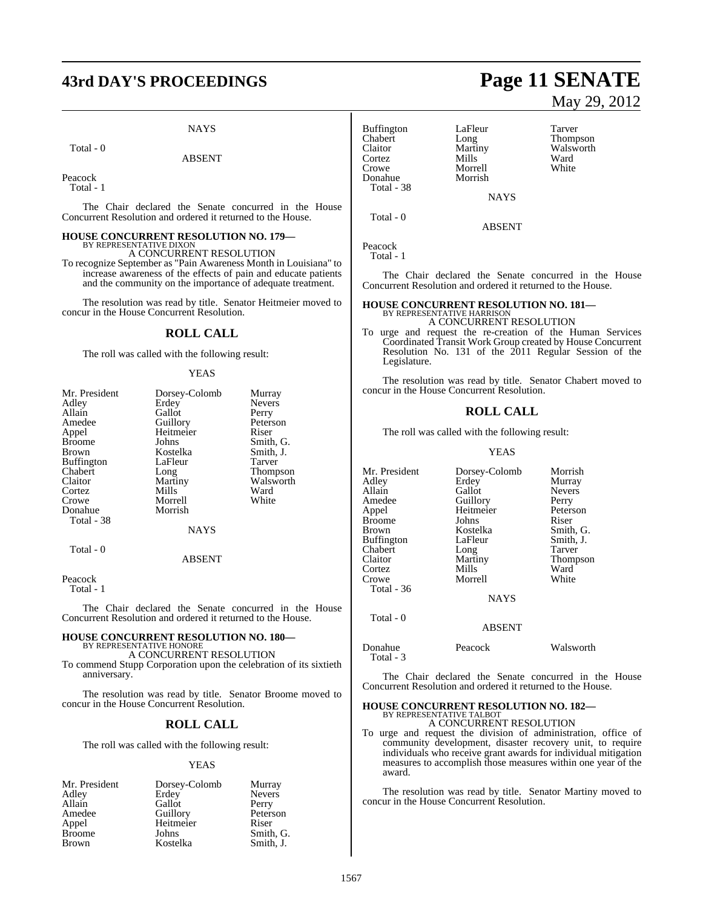# **43rd DAY'S PROCEEDINGS Page 11 SENATE**

#### **NAYS**

Total - 0

#### ABSENT

Peacock Total - 1

The Chair declared the Senate concurred in the House Concurrent Resolution and ordered it returned to the House.

#### **HOUSE CONCURRENT RESOLUTION NO. 179—** BY REPRESENTATIVE DIXON

A CONCURRENT RESOLUTION

To recognize September as "Pain Awareness Month in Louisiana" to increase awareness of the effects of pain and educate patients and the community on the importance of adequate treatment.

The resolution was read by title. Senator Heitmeier moved to concur in the House Concurrent Resolution.

#### **ROLL CALL**

The roll was called with the following result:

#### YEAS

| Mr. President     | Dorsey-Colomb | Murray          |
|-------------------|---------------|-----------------|
| Adley             | Erdey         | <b>Nevers</b>   |
| Allain            | Gallot        | Perry           |
| Amedee            | Guillory      | Peterson        |
| Appel             | Heitmeier     | Riser           |
| <b>Broome</b>     | Johns         | Smith, G.       |
| Brown             | Kostelka      | Smith, J.       |
| <b>Buffington</b> | LaFleur       | Tarver          |
| Chabert           | Long          | <b>Thompson</b> |
| Claitor           | Martiny       | Walsworth       |
| Cortez            | Mills         | Ward            |
| Crowe             | Morrell       | White           |
| Donahue           | Morrish       |                 |
| Total - 38        |               |                 |
|                   | <b>NAYS</b>   |                 |
| Total - 0         |               |                 |
|                   | <b>ABSENT</b> |                 |

Peacock

Total - 1

The Chair declared the Senate concurred in the House Concurrent Resolution and ordered it returned to the House.

#### **HOUSE CONCURRENT RESOLUTION NO. 180—** BY REPRESENTATIVE HONORE

A CONCURRENT RESOLUTION

To commend Stupp Corporation upon the celebration of its sixtieth anniversary.

The resolution was read by title. Senator Broome moved to concur in the House Concurrent Resolution.

#### **ROLL CALL**

The roll was called with the following result:

#### YEAS

| Mr. President | Dorsey-Colomb | Murray        |
|---------------|---------------|---------------|
| Adley         | Erdey         | <b>Nevers</b> |
| Allain        | Gallot        | Perry         |
| Amedee        | Guillory      | Peterson      |
| Appel         | Heitmeier     | Riser         |
| <b>Broome</b> | Johns         | Smith, G.     |
| <b>Brown</b>  | Kostelka      | Smith. J.     |

Buffington LaFleur Tarver<br>
Chabert Long Thomp Chabert Long Thompson Cortez Mills Ward<br>Crowe Morrell White Donahue Total - 38

Martiny Walsworth<br>
Mills Ward Morrell<br>Morrish

Total - 0

Peacock

Total - 1

The Chair declared the Senate concurred in the House Concurrent Resolution and ordered it returned to the House.

**NAYS** 

ABSENT

## **HOUSE CONCURRENT RESOLUTION NO. 181—** BY REPRESENTATIVE HARRISON

#### A CONCURRENT RESOLUTION

To urge and request the re-creation of the Human Services Coordinated Transit Work Group created by House Concurrent Resolution No. 131 of the 2011 Regular Session of the Legislature.

The resolution was read by title. Senator Chabert moved to concur in the House Concurrent Resolution.

#### **ROLL CALL**

The roll was called with the following result:

#### YEAS

Mr. President Dorsey-Colomb Morrish<br>Adley Erdey Murray Adley Erdey Murray Allain Gallot Nevers<br>
Amedee Guillory Perry Amedee Guillory Perry<br>
Appel Heitmeier Peterson Heitmeier Peters<br>
Johns Riser Broome Johns<br>Brown Kostelka Kostelka Smith, G.<br>LaFleur Smith, J. Buffington LaFleur Smith,<br>
Chabert Long Tarver Chabert Long<br>Claitor Martiny Martiny Thompson<br>Mills Ward Cortez Mills Ward<br>Crowe Morrell White Crowe Morrell Total - 36 NAYS Total - 0

Donahue Peacock Walsworth Total - 3

The Chair declared the Senate concurred in the House Concurrent Resolution and ordered it returned to the House.

ABSENT

## **HOUSE CONCURRENT RESOLUTION NO. 182—** BY REPRESENTATIVE TALBOT

A CONCURRENT RESOLUTION

To urge and request the division of administration, office of community development, disaster recovery unit, to require individuals who receive grant awards for individual mitigation measures to accomplish those measures within one year of the award.

The resolution was read by title. Senator Martiny moved to concur in the House Concurrent Resolution.

# May 29, 2012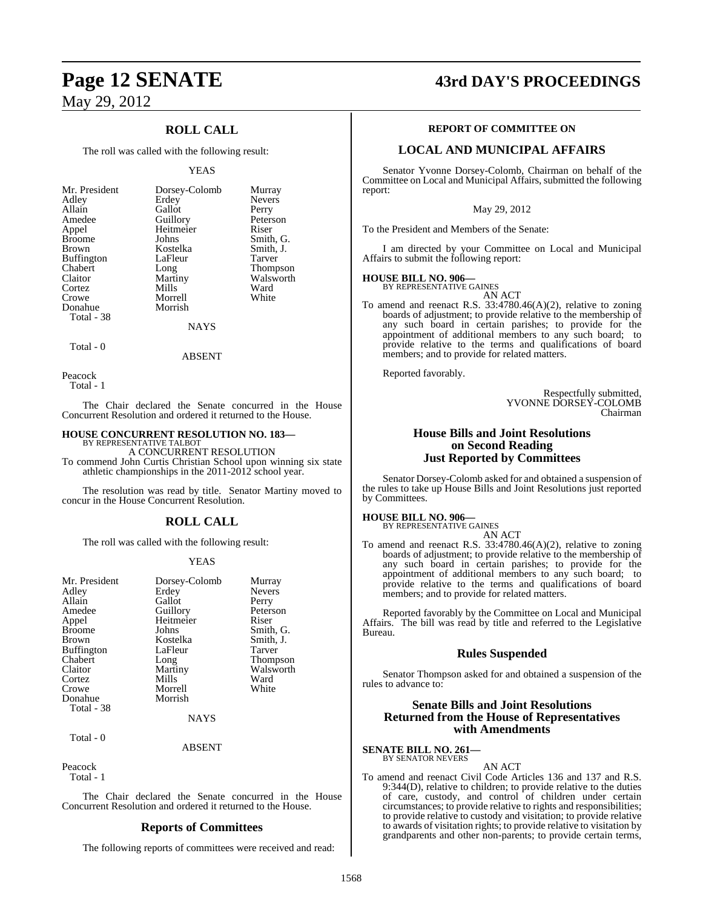## **ROLL CALL**

The roll was called with the following result:

#### YEAS

| Mr. President     | Dorsey-Colomb   | Murray        |
|-------------------|-----------------|---------------|
| Adley             | Erdey           | <b>Nevers</b> |
| Allain            | Gallot          | Perry         |
| Amedee            | Guillory        | Peterson      |
| Appel             | Heitmeier       | Riser         |
| <b>Broome</b>     | Johns           | Smith, G.     |
| Brown             | Kostelka        | Smith, J.     |
| <b>Buffington</b> | LaFleur         | Tarver        |
| Chabert           | Long            | Thompson      |
| Claitor           | Martiny         | Walsworth     |
| Cortez            | Mills           | Ward          |
| Crowe             | Morrell         | White         |
| Donahue           | Morrish         |               |
| Total - 38        |                 |               |
|                   | <b>ATA SZCI</b> |               |

#### NAYS

Total - 0

ABSENT

Peacock Total - 1

The Chair declared the Senate concurred in the House Concurrent Resolution and ordered it returned to the House.

#### **HOUSE CONCURRENT RESOLUTION NO. 183—** BY REPRESENTATIVE TALBOT

A CONCURRENT RESOLUTION

To commend John Curtis Christian School upon winning six state athletic championships in the 2011-2012 school year.

The resolution was read by title. Senator Martiny moved to concur in the House Concurrent Resolution.

#### **ROLL CALL**

The roll was called with the following result:

#### YEAS

| Mr. President         | Dorsey-Colomb | Murray          |
|-----------------------|---------------|-----------------|
| Adley                 | Erdey         | <b>Nevers</b>   |
| Allain                | Gallot        | Perry           |
| Amedee                | Guillory      | Peterson        |
| Appel                 | Heitmeier     | Riser           |
| <b>Broome</b>         | Johns         | Smith, G.       |
| <b>Brown</b>          | Kostelka      | Smith, J.       |
| <b>Buffington</b>     | LaFleur       | Tarver          |
| Chabert               | Long          | <b>Thompson</b> |
| Claitor               | Martiny       | Walsworth       |
| Cortez                | Mills         | Ward            |
| Crowe                 | Morrell       | White           |
| Donahue<br>Total - 38 | Morrish       |                 |

**NAYS** 

#### ABSENT

Peacock Total - 1

Total - 0

The Chair declared the Senate concurred in the House Concurrent Resolution and ordered it returned to the House.

#### **Reports of Committees**

The following reports of committees were received and read:

## **Page 12 SENATE 43rd DAY'S PROCEEDINGS**

#### **REPORT OF COMMITTEE ON**

#### **LOCAL AND MUNICIPAL AFFAIRS**

Senator Yvonne Dorsey-Colomb, Chairman on behalf of the Committee on Local and Municipal Affairs, submitted the following report:

May 29, 2012

To the President and Members of the Senate:

I am directed by your Committee on Local and Municipal Affairs to submit the following report:

#### **HOUSE BILL NO. 906—**

BY REPRESENTATIVE GAINES AN ACT

To amend and reenact R.S. 33:4780.46(A)(2), relative to zoning boards of adjustment; to provide relative to the membership of any such board in certain parishes; to provide for the appointment of additional members to any such board; to provide relative to the terms and qualifications of board members; and to provide for related matters.

Reported favorably.

Respectfully submitted, YVONNE DORSEY-COLOMB Chairman

#### **House Bills and Joint Resolutions on Second Reading Just Reported by Committees**

Senator Dorsey-Colomb asked for and obtained a suspension of the rules to take up House Bills and Joint Resolutions just reported by Committees.

#### **HOUSE BILL NO. 906—**

BY REPRESENTATIVE GAINES AN ACT

To amend and reenact R.S. 33:4780.46(A)(2), relative to zoning boards of adjustment; to provide relative to the membership of any such board in certain parishes; to provide for the appointment of additional members to any such board; to provide relative to the terms and qualifications of board members; and to provide for related matters.

Reported favorably by the Committee on Local and Municipal Affairs. The bill was read by title and referred to the Legislative Bureau.

#### **Rules Suspended**

Senator Thompson asked for and obtained a suspension of the rules to advance to:

#### **Senate Bills and Joint Resolutions Returned from the House of Representatives with Amendments**

#### **SENATE BILL NO. 261** BY SENATOR NEVERS

AN ACT

To amend and reenact Civil Code Articles 136 and 137 and R.S. 9:344(D), relative to children; to provide relative to the duties of care, custody, and control of children under certain circumstances; to provide relative to rights and responsibilities; to provide relative to custody and visitation; to provide relative to awards of visitation rights; to provide relative to visitation by grandparents and other non-parents; to provide certain terms,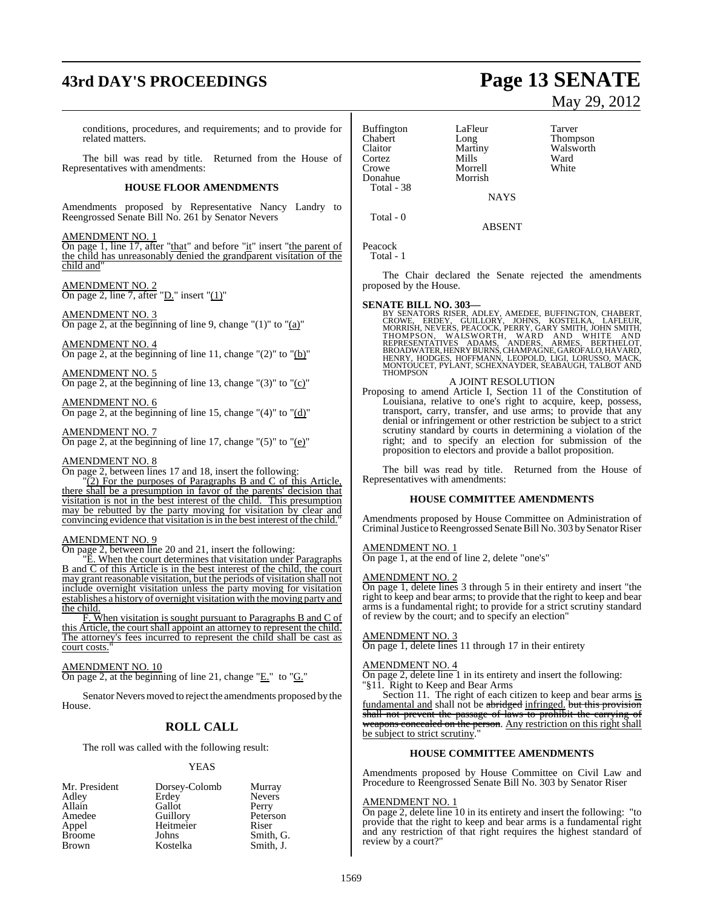# **43rd DAY'S PROCEEDINGS Page 13 SENATE**

conditions, procedures, and requirements; and to provide for related matters.

The bill was read by title. Returned from the House of Representatives with amendments:

#### **HOUSE FLOOR AMENDMENTS**

Amendments proposed by Representative Nancy Landry to Reengrossed Senate Bill No. 261 by Senator Nevers

#### AMENDMENT NO. 1

On page 1, line 17, after "that" and before "it" insert "the parent of the child has unreasonably denied the grandparent visitation of the child and"

## AMENDMENT NO. 2

On page 2, line 7, after " $D$ ." insert " $(1)$ "

## AMENDMENT NO. 3

On page 2, at the beginning of line 9, change " $(1)$ " to " $(a)$ "

AMENDMENT NO. 4 On page 2, at the beginning of line 11, change  $\degree$  (2) $\degree$  to  $\degree$  (b) $\degree$ 

AMENDMENT NO. 5 On page 2, at the beginning of line 13, change " $(3)$ " to " $(c)$ "

AMENDMENT NO. 6 On page 2, at the beginning of line 15, change " $(4)$ " to " $(d)$ "

AMENDMENT NO. 7 On page 2, at the beginning of line 17, change  $\degree(5)$ " to  $\degree(e)$ "

#### AMENDMENT NO. 8

On page 2, between lines 17 and 18, insert the following:

"(2) For the purposes of Paragraphs B and C of this Article, there shall be a presumption in favor of the parents' decision that visitation is not in the best interest of the child. This presumption may be rebutted by the party moving for visitation by clear and convincing evidence that visitation is in the best interest of the child."

### AMENDMENT NO. 9

On page 2, between line 20 and 21, insert the following:

"E. When the court determines that visitation under Paragraphs B and  $\overline{C}$  of this Article is in the best interest of the child, the court may grant reasonable visitation, but the periods of visitation shall not include overnight visitation unless the party moving for visitation establishes a history of overnight visitation with the moving party and the child.

F. When visitation is sought pursuant to Paragraphs B and C of this Article, the court shall appoint an attorney to represent the child. The attorney's fees incurred to represent the child shall be cast as court costs."

#### AMENDMENT NO. 10

On page 2, at the beginning of line 21, change " $E$ ." to " $G$ ."

Senator Nevers moved to reject the amendments proposed by the House.

#### **ROLL CALL**

The roll was called with the following result:

#### YEAS

| Mr. President | Dorsey-Colomb | Murray        |
|---------------|---------------|---------------|
| Adley         | Erdey         | <b>Nevers</b> |
| Allain        | Gallot        | Perry         |
| Amedee        | Guillory      | Peterson      |
| Appel         | Heitmeier     | Riser         |
| <b>Broome</b> | Johns         | Smith, G.     |
| <b>Brown</b>  | Kostelka      | Smith, J.     |

| <b>Buffington</b> | LaFleur | Tarver |
|-------------------|---------|--------|
| Chabert           | Long    | Thomp  |
| Claitor           | Martiny | Walsw  |
| Cortez            | Mills   | Ward   |
| Crowe             | Morrell | White  |
| Donahue           | Morrish |        |
| Total - 38        |         |        |

Long Thompson<br>
Martiny Walsworth Martiny Walsworth<br>
Mills Ward Morrell White

Total - 0

ABSENT

**NAYS** 

Peacock Total - 1

The Chair declared the Senate rejected the amendments proposed by the House.

#### **SENATE BILL NO. 303—**

BY SENATORS RISER, ADLEY, AMEDEE, BUFFINGTON, CHABERT, CROWE, ERDEY, GUILLORY, JOHNS, KOSTELKA, LAFLEUR, DRING<br>CROWE, ERDEY, GUILLORY, JOHNS, KOSTELKA, LAFLEUR,<br>MORRISH, NEVERS, PEACOCK, PERRY, GARY SMITH, JOHN SMITH,<br>THOM

#### A JOINT RESOLUTION

Proposing to amend Article I, Section 11 of the Constitution of Louisiana, relative to one's right to acquire, keep, possess, transport, carry, transfer, and use arms; to provide that any denial or infringement or other restriction be subject to a strict scrutiny standard by courts in determining a violation of the right; and to specify an election for submission of the proposition to electors and provide a ballot proposition.

The bill was read by title. Returned from the House of Representatives with amendments:

#### **HOUSE COMMITTEE AMENDMENTS**

Amendments proposed by House Committee on Administration of Criminal Justice to Reengrossed Senate Bill No. 303 by Senator Riser

#### AMENDMENT NO. 1

On page 1, at the end of line 2, delete "one's"

#### AMENDMENT NO. 2

On page 1, delete lines 3 through 5 in their entirety and insert "the right to keep and bear arms; to provide that the right to keep and bear arms is a fundamental right; to provide for a strict scrutiny standard of review by the court; and to specify an election"

#### AMENDMENT NO. 3

On page 1, delete lines 11 through 17 in their entirety

#### AMENDMENT NO. 4

On page 2, delete line 1 in its entirety and insert the following: "§11. Right to Keep and Bear Arms

Section 11. The right of each citizen to keep and bear arms is fundamental and shall not be abridged infringed. but this provision shall not prevent the passage of laws to prohibit the carrying of weapons concealed on the person. Any restriction on this right shall be subject to strict scrutiny.

#### **HOUSE COMMITTEE AMENDMENTS**

Amendments proposed by House Committee on Civil Law and Procedure to Reengrossed Senate Bill No. 303 by Senator Riser

#### AMENDMENT NO. 1

On page 2, delete line 10 in its entirety and insert the following: "to provide that the right to keep and bear arms is a fundamental right and any restriction of that right requires the highest standard of review by a court?"

# May 29, 2012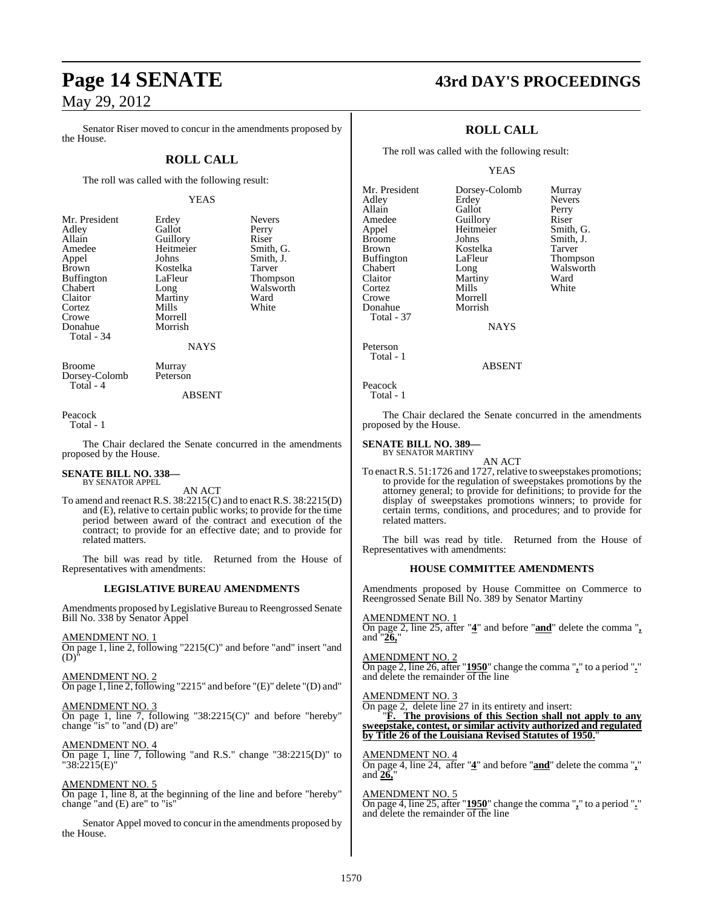Senator Riser moved to concur in the amendments proposed by the House.

### **ROLL CALL**

The roll was called with the following result:

#### YEAS

Smith, J.<br>Tarver

Walsworth<br>Ward

| Mr. President | Erdey          | Never  |
|---------------|----------------|--------|
| Adley         | Gallot         | Perry  |
| Allain        | Guillory       | Riser  |
| Amedee        | Heitmeier      | Smith  |
| Appel         | Johns          | Smith  |
| <b>Brown</b>  | Kostelka       | Tarver |
| Buffington    | LaFleur        | Thom   |
| Chabert       | Long           | Walsy  |
| Claitor       | Martiny        | Ward   |
| Cortez        | Mills          | White  |
| Crowe         | Morrell        |        |
| Donahue       | Morrish        |        |
| Total - 34    |                |        |
|               | <b>ATA 370</b> |        |

Erdey Nevers<br>Gallot Perry Gallot Perry<br>Guillory Riser Guillory<br>Heitmeier Heitmeier Smith, G.<br>
Iohns Smith I Kostelka<br>LaFleur LaFleur Thompson<br>Long Walsworth Martiny Ward<br>
Mills White Morrell Morrish NAYS

Broome Murray<br>Dorsey-Colomb Peterson Dorsey-Colomb Total - 4

ABSENT

Peacock

Total - 1

The Chair declared the Senate concurred in the amendments proposed by the House.

# **SENATE BILL NO. 338—** BY SENATOR APPEL

AN ACT

To amend and reenact R.S. 38:2215(C) and to enact R.S. 38:2215(D) and (E), relative to certain public works; to provide for the time period between award of the contract and execution of the contract; to provide for an effective date; and to provide for related matters.

The bill was read by title. Returned from the House of Representatives with amendments:

#### **LEGISLATIVE BUREAU AMENDMENTS**

Amendments proposed by Legislative Bureau to Reengrossed Senate Bill No. 338 by Senator Appel

AMENDMENT NO. 1

On page 1, line 2, following "2215(C)" and before "and" insert "and  $(D)^{\dagger}$ 

AMENDMENT NO. 2

On page 1, line 2, following "2215" and before "(E)" delete "(D) and"

AMENDMENT NO. 3 On page 1, line 7, following "38:2215(C)" and before "hereby" change "is" to "and (D) are"

AMENDMENT NO. 4

On page 1, line 7, following "and R.S." change "38:2215(D)" to "38:2215(E)"

AMENDMENT NO. 5 On page 1, line 8, at the beginning of the line and before "hereby" change "and (E) are" to "is"

Senator Appel moved to concur in the amendments proposed by the House.

## **Page 14 SENATE 43rd DAY'S PROCEEDINGS**

Nevers

## **ROLL CALL**

The roll was called with the following result:

Morrell<br>Morrish

YEAS

Mr. President Dorsey-Colomb Murray<br>Adley Erdey Nevers Allain Gallot Perry<br>
Amedee Guillory Riser Amedee Guillory Riser<br>
Appel Heitmeier Smith, G. Appel Heitmeier<br>Broome Johns Broome Johns Smith, J.<br>Brown Kostelka Tarver Brown Kostelka<br>Buffington LaFleur Buffington LaFleur Thompson<br>Chabert Long Walsworth Chabert Long Walsworth<br>Claitor Martiny Ward Cortez<br>Crowe Donahue Total - 37

**NAYS** 

Martiny Ward<br>
Mills White

Peterson Total - 1

ABSENT

```
Peacock
   Total - 1
```
The Chair declared the Senate concurred in the amendments proposed by the House.

#### **SENATE BILL NO. 389—** BY SENATOR MARTINY

AN ACT To enact R.S. 51:1726 and 1727, relative to sweepstakes promotions; to provide for the regulation of sweepstakes promotions by the attorney general; to provide for definitions; to provide for the display of sweepstakes promotions winners; to provide for certain terms, conditions, and procedures; and to provide for related matters.

The bill was read by title. Returned from the House of Representatives with amendments:

#### **HOUSE COMMITTEE AMENDMENTS**

Amendments proposed by House Committee on Commerce to Reengrossed Senate Bill No. 389 by Senator Martiny

AMENDMENT NO. 1 On page 2, line 25, after "**4**" and before "**and**" delete the comma "**,** and "**26,**"

AMENDMENT NO. 2 On page 2, line 26, after "**1950**" change the comma "**,**" to a period "**.**" and delete the remainder of the line

AMENDMENT NO. 3

On page 2, delete line 27 in its entirety and insert:

"**F. The provisions of this Section shall not apply to any sweepstake, contest, or similar activity authorized and regulated by Title 26 of the Louisiana Revised Statutes of 1950.**"

AMENDMENT NO. 4

On page 4, line 24, after "**4**" and before "**and**" delete the comma "**,**" and **26,**"

AMENDMENT NO. 5 On page 4, line 25, after "**1950**" change the comma "**,**" to a period "**.**" and delete the remainder  $\overline{of}$  the line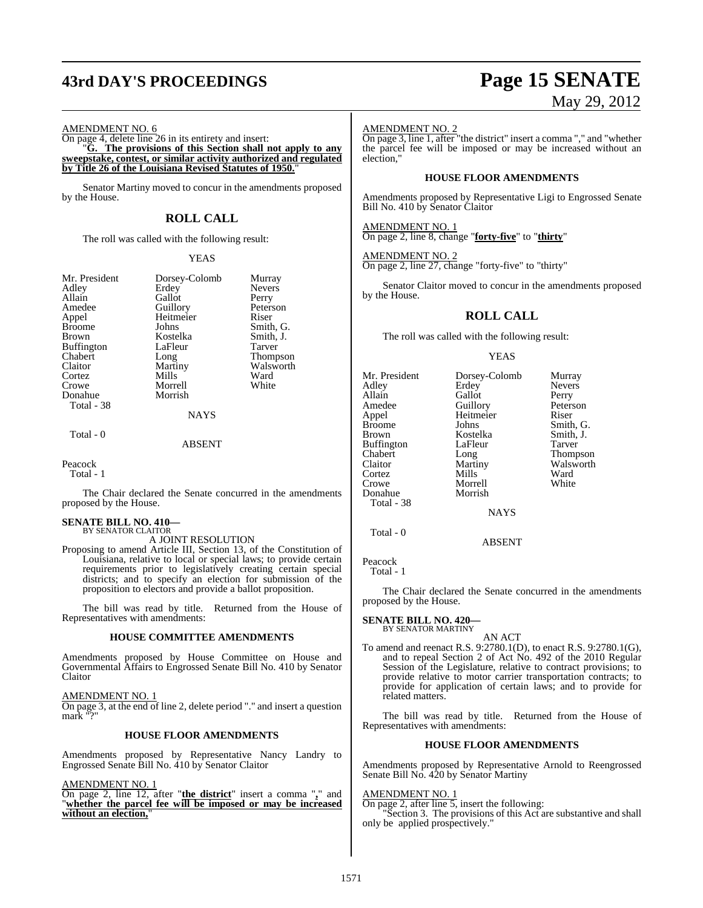# **43rd DAY'S PROCEEDINGS Page 15 SENATE**

# May 29, 2012

AMENDMENT NO. 6

On page 4, delete line 26 in its entirety and insert: "**G. The provisions of this Section shall not apply to any sweepstake, contest, or similar activity authorized and regulated by Title 26 of the Louisiana Revised Statutes of 1950.**"

Senator Martiny moved to concur in the amendments proposed by the House.

## **ROLL CALL**

The roll was called with the following result:

#### YEAS

| Dorsey-Colomb | Murray        |
|---------------|---------------|
| Erdey         | <b>Nevers</b> |
| Gallot        | Perry         |
| Guillory      | Peterson      |
| Heitmeier     | Riser         |
| Johns         | Smith, G.     |
| Kostelka      | Smith, J.     |
| LaFleur       | Tarver        |
| Long          | Thompson      |
| Martiny       | Walsworth     |
| Mills         | Ward          |
| Morrell       | White         |
| Morrish       |               |
|               |               |
| <b>NAYS</b>   |               |
|               |               |

Total - 0

#### ABSENT

Peacock

Total - 1

The Chair declared the Senate concurred in the amendments proposed by the House.

#### **SENATE BILL NO. 410—**

BY SENATOR CLAITOR A JOINT RESOLUTION

Proposing to amend Article III, Section 13, of the Constitution of Louisiana, relative to local or special laws; to provide certain requirements prior to legislatively creating certain special districts; and to specify an election for submission of the proposition to electors and provide a ballot proposition.

The bill was read by title. Returned from the House of Representatives with amendments:

#### **HOUSE COMMITTEE AMENDMENTS**

Amendments proposed by House Committee on House and Governmental Affairs to Engrossed Senate Bill No. 410 by Senator Claitor

AMENDMENT NO. 1 On page 3, at the end of line 2, delete period "." and insert a question mark "?"

#### **HOUSE FLOOR AMENDMENTS**

Amendments proposed by Representative Nancy Landry to Engrossed Senate Bill No. 410 by Senator Claitor

AMENDMENT NO. 1

On page 2, line 12, after "**the district**" insert a comma "**,**" and "**whether the parcel fee will be imposed or may be increased without an election,**"

#### AMENDMENT NO. 2

On page 3, line 1, after "the district" insert a comma "," and "whether the parcel fee will be imposed or may be increased without an election,"

#### **HOUSE FLOOR AMENDMENTS**

Amendments proposed by Representative Ligi to Engrossed Senate Bill No. 410 by Senator Claitor

AMENDMENT NO. 1 On page 2, line 8, change "**forty-five**" to "**thirty**"

AMENDMENT NO. 2

On page 2, line 27, change "forty-five" to "thirty"

Senator Claitor moved to concur in the amendments proposed by the House.

### **ROLL CALL**

The roll was called with the following result:

#### YEAS

| Mr. President<br>Adley<br>Allain<br>Amedee<br>Appel<br><b>Broome</b><br><b>Brown</b><br><b>Buffington</b><br>Chabert<br>Claitor | Dorsey-Colomb<br>Erdey<br>Gallot<br>Guillory<br>Heitmeier<br>Johns<br>Kostelka<br>LaFleur<br>Long<br>Martiny | Murray<br><b>Nevers</b><br>Perry<br>Peterson<br>Riser<br>Smith, G.<br>Smith, J.<br>Tarver<br><b>Thompson</b><br>Walsworth |
|---------------------------------------------------------------------------------------------------------------------------------|--------------------------------------------------------------------------------------------------------------|---------------------------------------------------------------------------------------------------------------------------|
|                                                                                                                                 |                                                                                                              |                                                                                                                           |
| Cortez                                                                                                                          | Mills                                                                                                        | Ward                                                                                                                      |
| Crowe<br>Donahue<br>Total - 38                                                                                                  | Morrell<br>Morrish                                                                                           | White                                                                                                                     |
|                                                                                                                                 | <b>NAYS</b>                                                                                                  |                                                                                                                           |

#### ABSENT

Peacock Total - 1

Total - 0

The Chair declared the Senate concurred in the amendments proposed by the House.

#### **SENATE BILL NO. 420—** BY SENATOR MARTINY

AN ACT To amend and reenact R.S. 9:2780.1(D), to enact R.S. 9:2780.1(G), and to repeal Section 2 of Act No. 492 of the 2010 Regular Session of the Legislature, relative to contract provisions; to provide relative to motor carrier transportation contracts; to provide for application of certain laws; and to provide for related matters.

The bill was read by title. Returned from the House of Representatives with amendments:

#### **HOUSE FLOOR AMENDMENTS**

Amendments proposed by Representative Arnold to Reengrossed Senate Bill No. 420 by Senator Martiny

#### AMENDMENT NO. 1

On page 2, after line 5, insert the following:

"Section 3. The provisions of this Act are substantive and shall only be applied prospectively."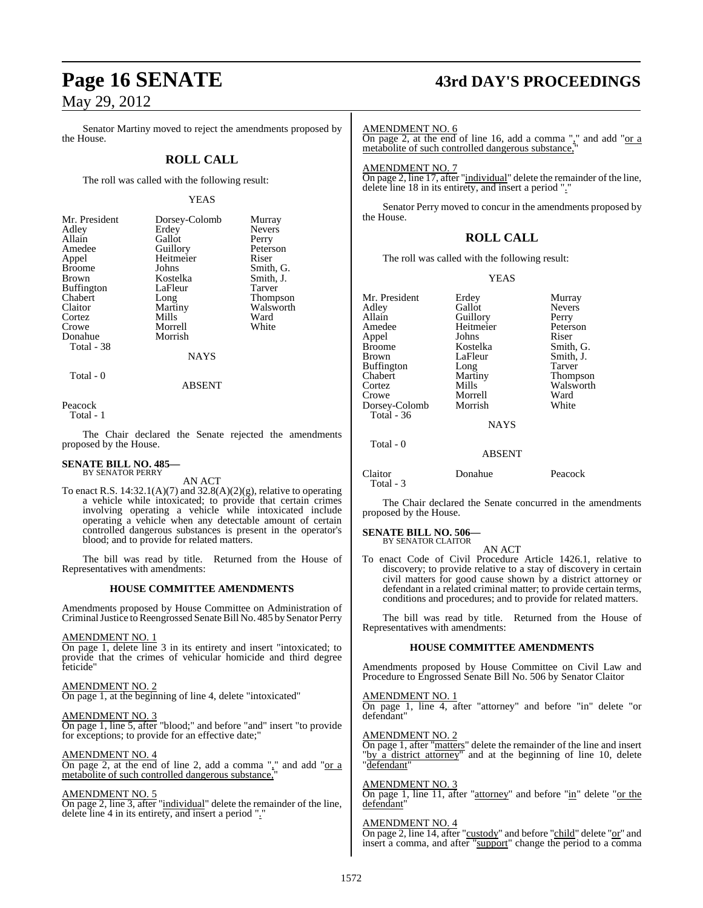Senator Martiny moved to reject the amendments proposed by the House.

### **ROLL CALL**

The roll was called with the following result:

#### YEAS

Nevers Perry Peterson

Smith, G. Smith, J. Tarver Thompson Walsworth Ward White

| Mr. President     | Dorsey-  |
|-------------------|----------|
| Adley             | Erdey    |
| Allain            | Gallot   |
| Amedee            | Guillory |
| Appel             | Heitmei  |
| <b>Broome</b>     | Johns    |
| <b>Brown</b>      | Kostelka |
| <b>Buffington</b> | LaFleur  |
| Chabert           | Long     |
| Claitor           | Martiny  |
| Cortez            | Mills    |
| Crowe             | Morrell  |
| Donahue           | Morrish  |
| Total - 38        |          |

| Mr. President<br>Adley | Dorsey-Colomb<br>Erdey | Murray<br><b>Nevers</b> |
|------------------------|------------------------|-------------------------|
| Allain                 | Gallot                 | Perry                   |
| Amedee                 | Guillory               | Peterso                 |
| Appel                  | Heitmeier              | Riser                   |
| Broome                 | Johns                  | Smith,                  |
| Brown                  | Kostelka               | Smith,                  |
| Buffington             | LaFleur                | Tarver                  |
| Chabert                | Long                   | <b>Thomps</b>           |
| Claitor                | Martiny                | Walswo                  |
| Cortez                 | Mills                  | Ward                    |
| Crowe                  | Morrell                | White                   |
| Donahue                | Morrish                |                         |
| Total - 38             |                        |                         |
|                        | <b>NAYS</b>            |                         |
|                        |                        |                         |

ABSENT

Peacock

Total - 1

Total - 0

The Chair declared the Senate rejected the amendments proposed by the House.

#### **SENATE BILL NO. 485—** BY SENATOR PERRY

AN ACT

To enact R.S.  $14:32.1(A)(7)$  and  $32.8(A)(2)(g)$ , relative to operating a vehicle while intoxicated; to provide that certain crimes involving operating a vehicle while intoxicated include operating a vehicle when any detectable amount of certain controlled dangerous substances is present in the operator's blood; and to provide for related matters.

The bill was read by title. Returned from the House of Representatives with amendments:

#### **HOUSE COMMITTEE AMENDMENTS**

Amendments proposed by House Committee on Administration of Criminal Justice to Reengrossed Senate Bill No. 485 by Senator Perry

#### AMENDMENT NO. 1

On page 1, delete line 3 in its entirety and insert "intoxicated; to provide that the crimes of vehicular homicide and third degree feticide"

#### AMENDMENT NO. 2

On page 1, at the beginning of line 4, delete "intoxicated"

## AMENDMENT NO. 3

On page 1, line 5, after "blood;" and before "and" insert "to provide for exceptions; to provide for an effective date;

#### AMENDMENT NO. 4

On page 2, at the end of line 2, add a comma "," and add "or a metabolite of such controlled dangerous substance,

#### AMENDMENT NO. 5

On page 2, line 3, after "individual" delete the remainder of the line, delete line 4 in its entirety, and insert a period "."

## **Page 16 SENATE 43rd DAY'S PROCEEDINGS**

AMENDMENT NO. 6

On page 2, at the end of line 16, add a comma "," and add "or a metabolite of such controlled dangerous substance,"

AMENDMENT NO. 7

On page 2, line 17, after "individual" delete the remainder of the line, delete line 18 in its entirety, and insert a period "."

Senator Perry moved to concur in the amendments proposed by the House.

### **ROLL CALL**

The roll was called with the following result:

#### YEAS

| Mr. President | Erdey         | Murray        |
|---------------|---------------|---------------|
| Adley         | Gallot        | <b>Nevers</b> |
| Allain        | Guillory      | Perry         |
| Amedee        | Heitmeier     | Peterson      |
| Appel         | Johns         | Riser         |
| <b>Broome</b> | Kostelka      | Smith, G.     |
| <b>Brown</b>  | LaFleur       | Smith, J.     |
| Buffington    | Long          | Tarver        |
| Chabert       | Martiny       | Thompson      |
| Cortez        | Mills         | Walsworth     |
| Crowe         | Morrell       | Ward          |
| Dorsey-Colomb | Morrish       | White         |
| Total $-36$   |               |               |
|               | <b>NAYS</b>   |               |
| Total - 0     |               |               |
|               | <b>ABSENT</b> |               |
| Claitor       | Donahue       | Peacock       |

Total - 3

The Chair declared the Senate concurred in the amendments proposed by the House.

#### **SENATE BILL NO. 506—** BY SENATOR CLAITOR

AN ACT

To enact Code of Civil Procedure Article 1426.1, relative to discovery; to provide relative to a stay of discovery in certain civil matters for good cause shown by a district attorney or defendant in a related criminal matter; to provide certain terms, conditions and procedures; and to provide for related matters.

The bill was read by title. Returned from the House of Representatives with amendments:

#### **HOUSE COMMITTEE AMENDMENTS**

Amendments proposed by House Committee on Civil Law and Procedure to Engrossed Senate Bill No. 506 by Senator Claitor

#### AMENDMENT NO. 1

On page 1, line 4, after "attorney" and before "in" delete "or defendant"

#### AMENDMENT NO. 2

On page 1, after "matters" delete the remainder of the line and insert "by a district attorney" and at the beginning of line 10, delete "defendant"

#### AMENDMENT NO. 3

On page 1, line 11, after "attorney" and before "in" delete "or the defendant"

#### AMENDMENT NO. 4

On page 2, line 14, after "custody" and before "child" delete "or" and insert a comma, and after "support" change the period to a comma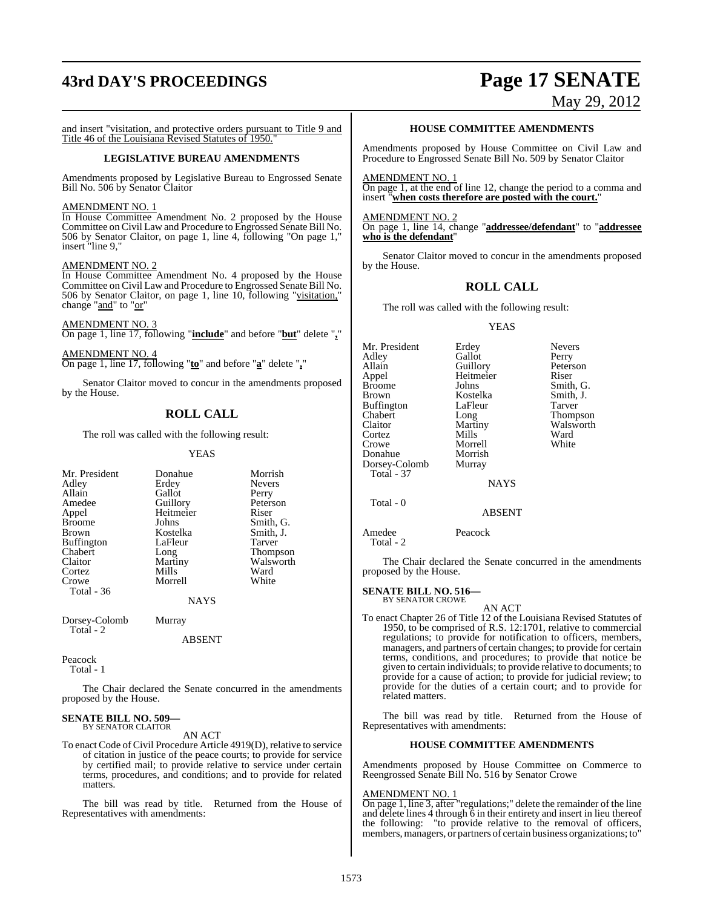# **43rd DAY'S PROCEEDINGS Page 17 SENATE**

# May 29, 2012

and insert "visitation, and protective orders pursuant to Title 9 and Title 46 of the Louisiana Revised Statutes of 1950.

#### **LEGISLATIVE BUREAU AMENDMENTS**

Amendments proposed by Legislative Bureau to Engrossed Senate Bill No. 506 by Senator Claitor

#### AMENDMENT NO. 1

In House Committee Amendment No. 2 proposed by the House Committee on Civil Law and Procedure to Engrossed Senate Bill No. 506 by Senator Claitor, on page 1, line 4, following "On page 1," insert "line 9,"

#### AMENDMENT NO. 2

In House Committee Amendment No. 4 proposed by the House Committee on Civil Law and Procedure to Engrossed Senate Bill No. 506 by Senator Claitor, on page 1, line 10, following "visitation," change "and" to "or"

AMENDMENT NO. 3 On page 1, line 17, following "**include**" and before "**but**" delete "**,**"

AMENDMENT NO. 4 On page 1, line 17, following "**to**" and before "**a**" delete "**,**"

Senator Claitor moved to concur in the amendments proposed by the House.

## **ROLL CALL**

The roll was called with the following result:

YEAS

| Mr. President     | Donahue   | Morrish       |
|-------------------|-----------|---------------|
| Adley             | Erdey     | <b>Nevers</b> |
| Allain            | Gallot    | Perry         |
| Amedee            | Guillory  | Petersor      |
| Appel             | Heitmeier | Riser         |
| <b>Broome</b>     | Johns     | Smith, O      |
| <b>Brown</b>      | Kostelka  | Smith, J      |
| <b>Buffington</b> | LaFleur   | Tarver        |
| Chabert           | Long      | <b>Thomps</b> |
| Claitor           | Martiny   | Walswo        |
| Cortez            | Mills     | Ward          |
| Crowe             | Morrell   | White         |
| Total - 36        |           |               |
|                   | NAVC      |               |

Nevers<br>Perry Peterson Smith, G. Smith, J.<br>Tarver Thompson Walsworth<br>Ward

NAYS

Dorsey-Colomb Murray Total - 2

ABSENT

Peacock

Total - 1

The Chair declared the Senate concurred in the amendments proposed by the House.

#### **SENATE BILL NO. 509—** BY SENATOR CLAITOR

AN ACT

To enact Code of Civil Procedure Article 4919(D), relative to service of citation in justice of the peace courts; to provide for service by certified mail; to provide relative to service under certain terms, procedures, and conditions; and to provide for related matters.

The bill was read by title. Returned from the House of Representatives with amendments:

#### **HOUSE COMMITTEE AMENDMENTS**

Amendments proposed by House Committee on Civil Law and Procedure to Engrossed Senate Bill No. 509 by Senator Claitor

AMENDMENT NO. 1 On page 1, at the end of line 12, change the period to a comma and insert "**when costs therefore are posted with the court.**"

AMENDMENT NO. 2 On page 1, line 14, change "**addressee/defendant**" to "**addressee who is the defendant**"

Senator Claitor moved to concur in the amendments proposed by the House.

#### **ROLL CALL**

The roll was called with the following result:

#### YEAS

Mr. President Erdey Nevers<br>Adley Gallot Perry Adley Gallot Perry Allain Guillory Peters<br>
Appel Heitmeier Riser Appel Heitmeier<br>Broome Johns Broome Johns Smith, G.<br>Brown Kostelka Smith, J. Kostelka Smith,<br>LaFleur Tarver Buffington LaFle<br>Chabert Long Chabert Long Thompson<br>Claitor Martiny Walsworth Martiny Walsworth<br>
Mills Ward Cortez Mills Ward<br>Crowe Morrell White Morrell<br>Morrish Donahue Morrish<br>Dorsey-Colomb Murray Dorsey-Colomb  $Total - 37$ NAYS

Total - 0

ABSENT

Amedee Peacock Total - 2

The Chair declared the Senate concurred in the amendments proposed by the House.

## **SENATE BILL NO. 516—** BY SENATOR CROWE

AN ACT

To enact Chapter 26 of Title 12 of the Louisiana Revised Statutes of 1950, to be comprised of R.S. 12:1701, relative to commercial regulations; to provide for notification to officers, members, managers, and partners of certain changes; to provide for certain terms, conditions, and procedures; to provide that notice be given to certain individuals; to provide relative to documents; to provide for a cause of action; to provide for judicial review; to provide for the duties of a certain court; and to provide for related matters.

The bill was read by title. Returned from the House of Representatives with amendments:

#### **HOUSE COMMITTEE AMENDMENTS**

Amendments proposed by House Committee on Commerce to Reengrossed Senate Bill No. 516 by Senator Crowe

#### AMENDMENT NO. 1

On page 1, line 3, after "regulations;" delete the remainder of the line and delete lines 4 through 6 in their entirety and insert in lieu thereof and defect thes 4 unough o m mean empty means the following: "to provide relative to the removal of officers, members, managers, or partners of certain business organizations; to'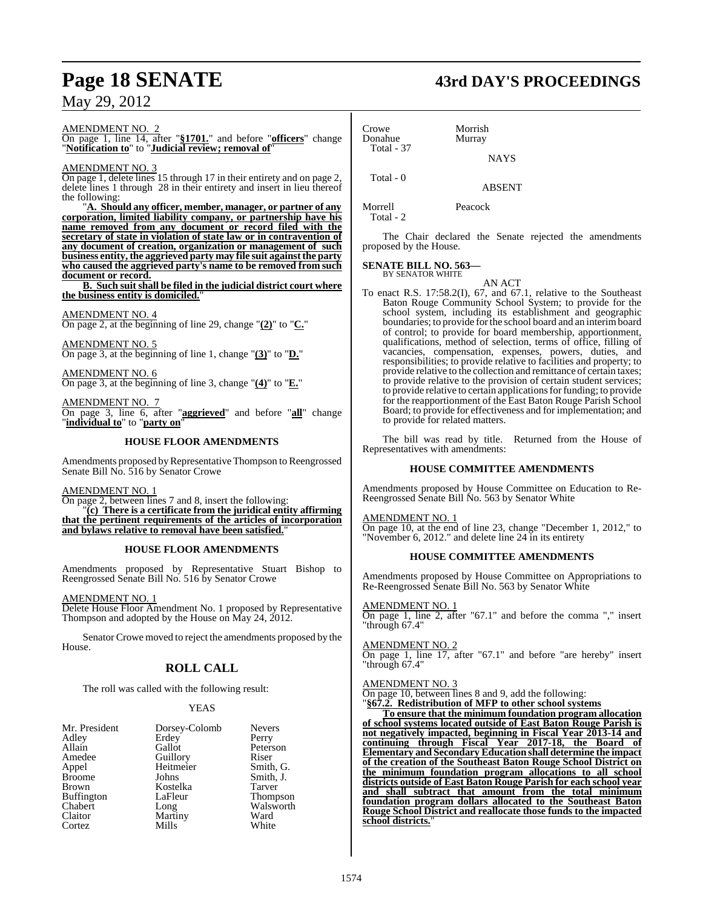## AMENDMENT NO. 2

On page 1, line 14, after "**§1701.**" and before "**officers**" change "**Notification to**" to "**Judicial review; removal of**"

#### AMENDMENT NO. 3

On page 1, delete lines 15 through 17 in their entirety and on page 2, delete lines 1 through 28 in their entirety and insert in lieu thereof the following:

"**A. Should any officer, member, manager, or partner of any corporation, limited liability company, or partnership have his name removed from any document or record filed with the secretary of state in violation of state law or in contravention of any document of creation, organization or management of such business entity, the aggrieved party may file suit againstthe party who caused the aggrieved party's name to be removed from such document or record.**

**B. Such suit shall be filed in the judicial district court where the business entity is domiciled.**"

AMENDMENT NO. 4 On page 2, at the beginning of line 29, change "**(2)**" to "**C.**"

AMENDMENT NO. 5 On page 3, at the beginning of line 1, change "**(3)**" to "**D.**"

AMENDMENT NO. 6 On page 3, at the beginning of line 3, change "**(4)**" to "**E.**"

AMENDMENT NO. 7 On page 3, line 6, after "**aggrieved**" and before "**all**" change "**individual to**" to "**party on**"

#### **HOUSE FLOOR AMENDMENTS**

Amendments proposed by Representative Thompson to Reengrossed Senate Bill No. 516 by Senator Crowe

#### AMENDMENT NO. 1

On page 2, between lines 7 and 8, insert the following: "**(c) There is a certificate from the juridical entity affirming that the pertinent requirements of the articles of incorporation and bylaws relative to removal have been satisfied.**"

#### **HOUSE FLOOR AMENDMENTS**

Amendments proposed by Representative Stuart Bishop to Reengrossed Senate Bill No. 516 by Senator Crowe

#### AMENDMENT NO. 1

Delete House Floor Amendment No. 1 proposed by Representative Thompson and adopted by the House on May 24, 2012.

Senator Crowe moved to reject the amendments proposed by the House.

## **ROLL CALL**

The roll was called with the following result:

#### YEAS

| Mr. President     | Dorsey-Colomb | <b>Nevers</b>   |
|-------------------|---------------|-----------------|
| Adley             | Erdey         | Perry           |
| Allain            | Gallot        | Peterson        |
| Amedee            | Guillory      | Riser           |
| Appel             | Heitmeier     | Smith, G.       |
| <b>Broome</b>     | Johns         | Smith, J.       |
| <b>Brown</b>      | Kostelka      | Tarver          |
| <b>Buffington</b> | LaFleur       | <b>Thompson</b> |
| Chabert           | Long          | Walsworth       |
| Claitor           | Martiny       | Ward            |
| Cortez            | Mills         | White           |

Crowe Morrish<br>Donahue Murray Donahue Total - 37 Total - 0

Morrell Peacock Total - 2

The Chair declared the Senate rejected the amendments proposed by the House.

NAYS

ABSENT

#### **SENATE BILL NO. 563—** BY SENATOR WHITE

AN ACT

To enact R.S. 17:58.2(I), 67, and 67.1, relative to the Southeast Baton Rouge Community School System; to provide for the school system, including its establishment and geographic boundaries; to provide for the school board and an interimboard of control; to provide for board membership, apportionment, qualifications, method of selection, terms of office, filling of vacancies, compensation, expenses, powers, duties, and responsibilities; to provide relative to facilities and property; to provide relative to the collection and remittance of certain taxes; to provide relative to the provision of certain student services; to provide relative to certain applications for funding; to provide for the reapportionment of the East Baton Rouge Parish School Board; to provide for effectiveness and for implementation; and to provide for related matters.

The bill was read by title. Returned from the House of Representatives with amendments:

#### **HOUSE COMMITTEE AMENDMENTS**

Amendments proposed by House Committee on Education to Re-Reengrossed Senate Bill No. 563 by Senator White

#### AMENDMENT NO. 1

On page 10, at the end of line 23, change "December 1, 2012," to "November 6, 2012." and delete line 24 in its entirety

#### **HOUSE COMMITTEE AMENDMENTS**

Amendments proposed by House Committee on Appropriations to Re-Reengrossed Senate Bill No. 563 by Senator White

#### AMENDMENT NO. 1

On page 1, line 2, after "67.1" and before the comma "," insert "through 67.4"

#### AMENDMENT NO. 2

On page 1, line 17, after "67.1" and before "are hereby" insert "through 67.4"

#### AMENDMENT NO. 3

On page 10, between lines 8 and 9, add the following:

"**§67.2. Redistribution of MFP to other school systems**

**To ensure that the minimum foundation program allocation of school systems located outside of East Baton Rouge Parish is not negatively impacted, beginning in Fiscal Year 2013-14 and continuing through Fiscal Year 2017-18, the Board of Elementary and Secondary Education shall determine the impact of the creation of the Southeast Baton Rouge School District on the minimum foundation program allocations to all school districts outside of East Baton Rouge Parish for each school year and shall subtract that amount from the total minimum foundation program dollars allocated to the Southeast Baton Rouge School District and reallocate those funds to the impacted school districts.**"

#### 1574

# **Page 18 SENATE 43rd DAY'S PROCEEDINGS**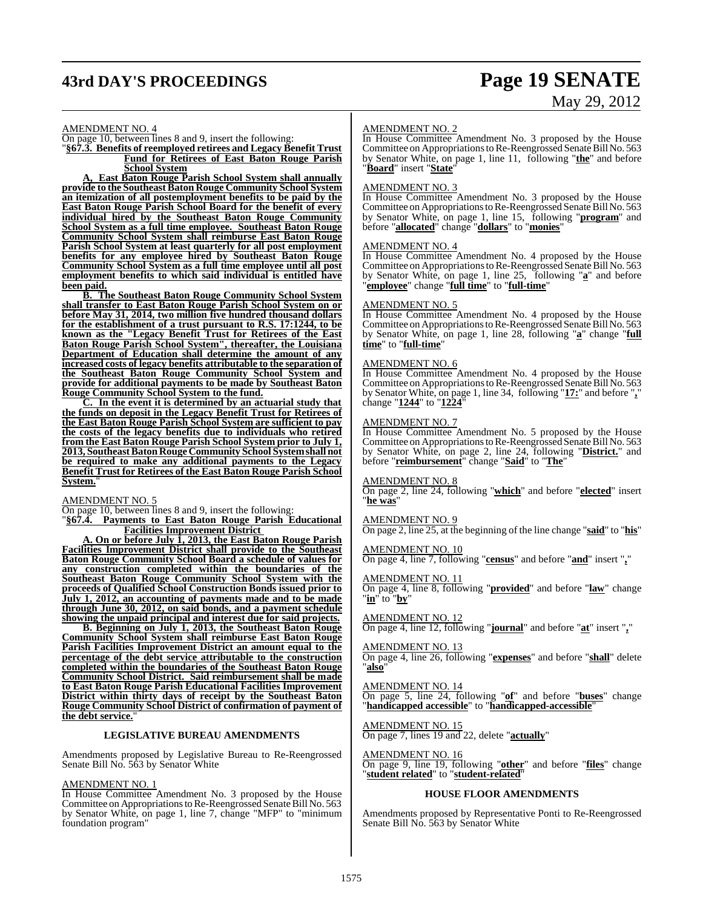## **43rd DAY'S PROCEEDINGS Page 19 SENATE**

# May 29, 2012

#### AMENDMENT NO. 4

On page 10, between lines 8 and 9, insert the following:

"**§67.3. Benefits of reemployed retirees and Legacy Benefit Trust Fund for Retirees of East Baton Rouge Parish School System**

**A, East Baton Rouge Parish School System shall annually provide to the Southeast Baton Rouge Community School System an itemization of all postemployment benefits to be paid by the East Baton Rouge Parish School Board for the benefit of every individual hired by the Southeast Baton Rouge Community School System as a full time employee. Southeast Baton Rouge Community School System shall reimburse East Baton Rouge Parish School System at least quarterly for all post employment benefits for any employee hired by Southeast Baton Rouge Community School System as a full time employee until all post employment benefits to which said individual is entitled have been paid.**

**B. The Southeast Baton Rouge Community School System shall transfer to East Baton Rouge Parish School System on or before May 31, 2014, two million five hundred thousand dollars for the establishment of a trust pursuant to R.S. 17:1244, to be known as the "Legacy Benefit Trust for Retirees of the East Baton Rouge Parish School System", thereafter, the Louisiana Department of Education shall determine the amount of any increased costs of legacy benefits attributable to the separation of the Southeast Baton Rouge Community School System and provide for additional payments to be made by Southeast Baton Rouge Community School System to the fund.**

**C. In the event it is determined by an actuarial study that the funds on deposit in the Legacy Benefit Trust for Retirees of the East Baton Rouge Parish School System are sufficient to pay the costs of the legacy benefits due to individuals who retired from the East Baton Rouge Parish School System prior to July 1, 2013, SoutheastBatonRougeCommunity School Systemshall not be required to make any additional payments to the Legacy Benefit Trust for Retirees of the East Baton Rouge Parish School System.**"

AMENDMENT NO. 5

On page 10, between lines 8 and 9, insert the following: "**§67.4. Payments to East Baton Rouge Parish Educational**

**Facilities Improvement District A. On or before July 1, 2013, the East Baton Rouge Parish Facilities Improvement District shall provide to the Southeast Baton Rouge Community School Board a schedule of values for any construction completed within the boundaries of the Southeast Baton Rouge Community School System with the proceeds of Qualified School Construction Bonds issued prior to July 1, 2012, an accounting of payments made and to be made through June 30, 2012, on said bonds, and a payment schedule**

**showing the unpaid principal and interest due for said projects. B. Beginning on July 1, 2013, the Southeast Baton Rouge Community School System shall reimburse East Baton Rouge Parish Facilities Improvement District an amount equal to the percentage of the debt service attributable to the construction completed within the boundaries of the Southeast Baton Rouge Community School District. Said reimbursement shall be made to East Baton Rouge Parish Educational Facilities Improvement District within thirty days of receipt by the Southeast Baton Rouge Community School District of confirmation of payment of the debt service.**"

#### **LEGISLATIVE BUREAU AMENDMENTS**

Amendments proposed by Legislative Bureau to Re-Reengrossed Senate Bill No. 563 by Senator White

#### AMENDMENT NO. 1

In House Committee Amendment No. 3 proposed by the House Committee on Appropriations to Re-Reengrossed Senate Bill No. 563 by Senator White, on page 1, line 7, change "MFP" to "minimum foundation program"

#### AMENDMENT NO. 2

In House Committee Amendment No. 3 proposed by the House Committee on Appropriations to Re-Reengrossed Senate Bill No. 563 by Senator White, on page 1, line 11, following "**the**" and before "**Board**" insert "**State**"

#### AMENDMENT NO. 3

In House Committee Amendment No. 3 proposed by the House Committee on Appropriations to Re-Reengrossed Senate Bill No. 563 by Senator White, on page 1, line 15, following "**program**" and before "**allocated**" change "**dollars**" to "**monies**"

#### AMENDMENT NO. 4

In House Committee Amendment No. 4 proposed by the House Committee on Appropriations to Re-Reengrossed Senate Bill No. 563 by Senator White, on page 1, line 25, following "**a**" and before "**employee**" change "**full time**" to "**full-time**"

#### AMENDMENT NO. 5

In House Committee Amendment No. 4 proposed by the House Committee on Appropriations to Re-Reengrossed Senate Bill No. 563 by Senator White, on page 1, line 28, following "**a**" change "**full time**" to "**full-time**"

#### AMENDMENT NO. 6

In House Committee Amendment No. 4 proposed by the House Committee on Appropriations to Re-Reengrossed Senate Bill No. 563 by Senator White, on page 1, line 34, following "**17:**" and before "**,**" change "**1244**" to "**1224**"

#### AMENDMENT NO. 7

In House Committee Amendment No. 5 proposed by the House Committee on Appropriations to Re-Reengrossed Senate Bill No. 563 by Senator White, on page 2, line 24, following "**District.**" and before "**reimbursement**" change "**Said**" to "**The**"

#### AMENDMENT NO. 8

On page 2, line 24, following "**which**" and before "**elected**" insert "**he was**"

#### AMENDMENT NO. 9

On page 2, line 25, at the beginning of the line change "**said**" to "**his**"

#### AMENDMENT NO. 10

On page 4, line 7, following "**census**" and before "**and**" insert "**,**"

#### AMENDMENT NO. 11

On page 4, line 8, following "**provided**" and before "**law**" change "**in**" to "**by**"

#### AMENDMENT NO. 12

On page 4, line 12, following "**journal**" and before "**at**" insert "**,**"

#### AMENDMENT NO. 13

On page 4, line 26, following "**expenses**" and before "**shall**" delete "**also**"

#### AMENDMENT NO. 14

On page 5, line 24, following "**of**" and before "**buses**" change "**handicapped accessible**" to "**handicapped-accessible**"

#### AMENDMENT NO. 15

On page 7, lines 19 and 22, delete "**actually**"

#### AMENDMENT NO. 16

On page 9, line 19, following "**other**" and before "**files**" change "**student related**" to "**student-related**"

#### **HOUSE FLOOR AMENDMENTS**

Amendments proposed by Representative Ponti to Re-Reengrossed Senate Bill No. 563 by Senator White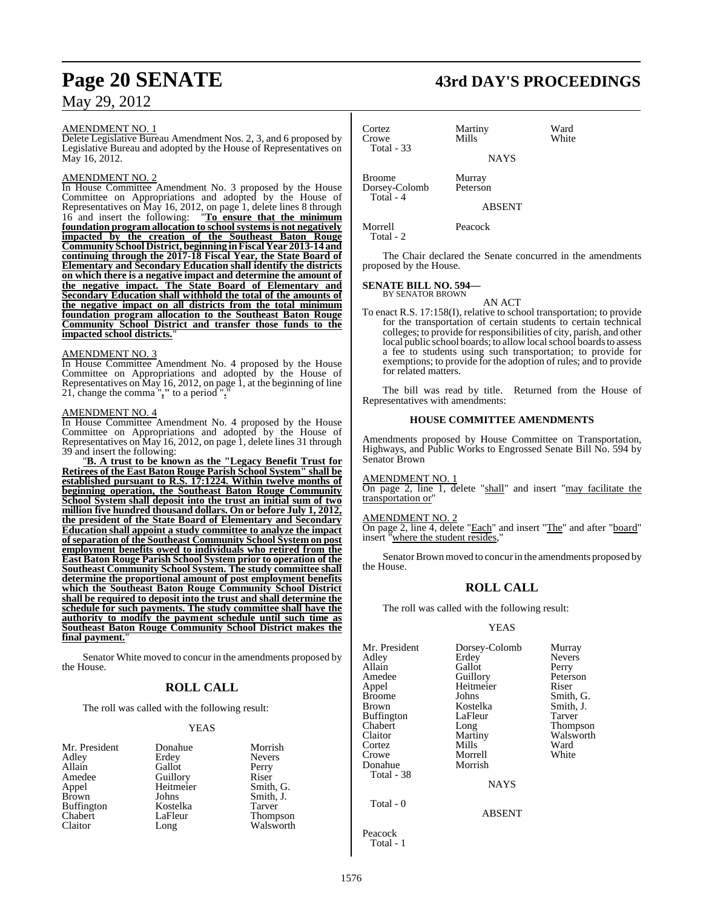#### AMENDMENT NO. 1

Delete Legislative Bureau Amendment Nos. 2, 3, and 6 proposed by Legislative Bureau and adopted by the House of Representatives on May 16, 2012.

#### AMENDMENT NO. 2

In House Committee Amendment No. 3 proposed by the House Committee on Appropriations and adopted by the House of Representatives on May 16, 2012, on page 1, delete lines 8 through 16 and insert the following: "**To ensure that the minimum foundation program allocation to school systemsis not negatively impacted by the creation of the Southeast Baton Rouge Community School District, beginning inFiscal Year 2013-14 and continuing through the 2017-18 Fiscal Year, the State Board of Elementary and Secondary Education shall identify the districts on which there is a negative impact and determine the amount of the negative impact. The State Board of Elementary and Secondary Education shall withhold the total of the amounts of the negative impact on all districts from the total minimum foundation program allocation to the Southeast Baton Rouge Community School District and transfer those funds to the impacted school districts.**"

#### AMENDMENT NO. 3

In House Committee Amendment No. 4 proposed by the House Committee on Appropriations and adopted by the House of Representatives on May 16, 2012, on page 1, at the beginning of line 21, change the comma "**,"** to a period "**.**"

## AMENDMENT NO. 4

In House Committee Amendment No. 4 proposed by the House Committee on Appropriations and adopted by the House of Representatives on May 16, 2012, on page 1, delete lines 31 through 39 and insert the following:

"**B. A trust to be known as the "Legacy Benefit Trust for Retirees of the East Baton Rouge Parish School System" shall be established pursuant to R.S. 17:1224. Within twelve months of beginning operation, the Southeast Baton Rouge Community School System shall deposit into the trust an initial sum of two million five hundred thousand dollars. On or before July 1, 2012, the president of the State Board of Elementary and Secondary Education shall appoint a study committee to analyze the impact of separation of the Southeast Community School System on post employment benefits owed to individuals who retired from the East Baton Rouge Parish School System prior to operation of the Southeast Community School System. The study committee shall determine the proportional amount of post employment benefits which the Southeast Baton Rouge Community School District shall be required to deposit into the trust and shall determine the schedule for such payments. The study committee shall have the authority to modify the payment schedule until such time as Southeast Baton Rouge Community School District makes the final payment.**"

Senator White moved to concur in the amendments proposed by the House.

### **ROLL CALL**

The roll was called with the following result:

Gallot

Heitmeier<br>Johns

#### YEAS

| Mr. President     |
|-------------------|
| Adley             |
| Allain            |
| Amedee            |
| Appel             |
| Brown             |
| <b>Buffington</b> |
| Chabert           |
| Claitor           |

Donahue Morrish<br>Frdev Nevers Erdey Never<br>Gallot Perry Guillory<br>
Heitmeier Smith, G. Smith, J. Kostelka Tarver<br>LaFleur Thomp LaFleur Thompson<br>Long Walsworth Walsworth

## **Page 20 SENATE 43rd DAY'S PROCEEDINGS**

| Cortez<br>Crowe<br><b>Total - 33</b>          | Martiny<br>Mills   | Ward<br>White |
|-----------------------------------------------|--------------------|---------------|
|                                               | <b>NAYS</b>        |               |
| <b>Broome</b><br>Dorsey-Colomb<br>$Total - 4$ | Murray<br>Peterson |               |
|                                               | <b>ABSENT</b>      |               |
| Morrell                                       | Peacock            |               |

Total - 2

The Chair declared the Senate concurred in the amendments proposed by the House.

## **SENATE BILL NO. 594—** BY SENATOR BROWN

AN ACT

To enact R.S. 17:158(I), relative to school transportation; to provide for the transportation of certain students to certain technical colleges; to provide for responsibilities of city, parish, and other local public school boards; to allow local school boards to assess a fee to students using such transportation; to provide for exemptions; to provide for the adoption of rules; and to provide for related matters.

The bill was read by title. Returned from the House of Representatives with amendments:

#### **HOUSE COMMITTEE AMENDMENTS**

Amendments proposed by House Committee on Transportation, Highways, and Public Works to Engrossed Senate Bill No. 594 by Senator Brown

#### AMENDMENT NO. 1

On page 2, line 1, delete "shall" and insert "may facilitate the transportation or"

#### AMENDMENT NO. 2

On page 2, line 4, delete "Each" and insert "The" and after "board" insert "where the student resides,"

Senator Brown moved to concur in the amendments proposed by the House.

#### **ROLL CALL**

The roll was called with the following result:

#### YEAS

| Mr. President<br>Adley<br>Allain<br>Amedee<br>Appel<br><b>Broome</b><br><b>Brown</b><br><b>Buffington</b><br>Chabert<br>Claitor<br>Cortez<br>Crowe<br>Donahue<br>Total - 38 | Dorsey-Colomb<br>Erdey<br>Gallot<br>Guillory<br>Heitmeier<br>Johns<br>Kostelka<br>LaFleur<br>Long<br>Martiny<br>Mills<br>Morrell<br>Morrish | Murray<br><b>Nevers</b><br>Perry<br>Peterson<br>Riser<br>Smith, G.<br>Smith, J.<br>Tarver<br>Thompson<br>Walsworth<br>Ward<br>White |
|-----------------------------------------------------------------------------------------------------------------------------------------------------------------------------|---------------------------------------------------------------------------------------------------------------------------------------------|-------------------------------------------------------------------------------------------------------------------------------------|
|                                                                                                                                                                             | <b>NAYS</b>                                                                                                                                 |                                                                                                                                     |
| Total - 0                                                                                                                                                                   | <b>ABSENT</b>                                                                                                                               |                                                                                                                                     |

Peacock Total - 1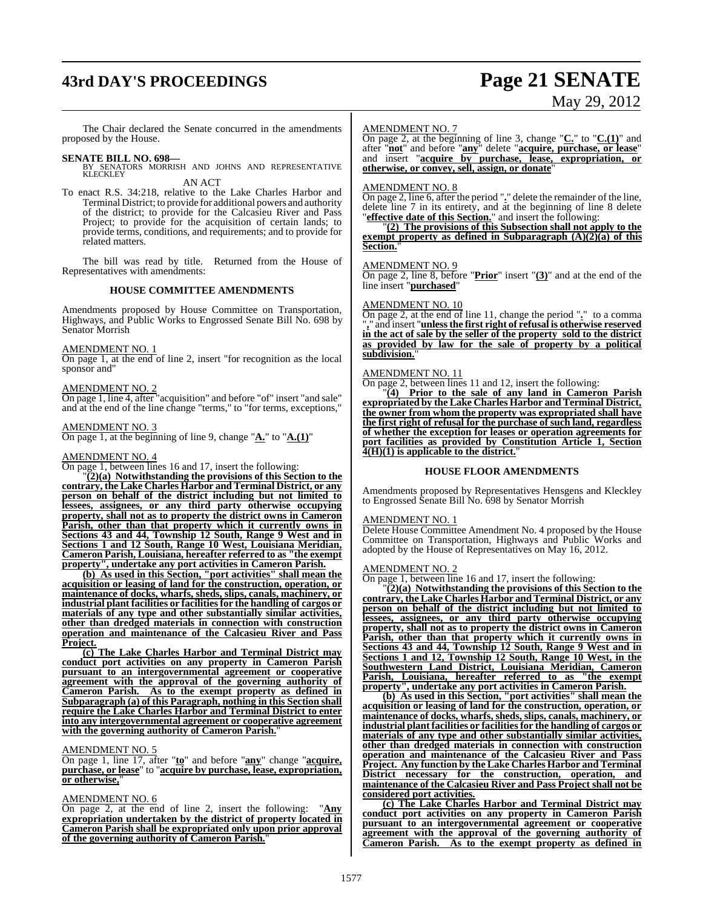# **43rd DAY'S PROCEEDINGS Page 21 SENATE**

# May 29, 2012

The Chair declared the Senate concurred in the amendments proposed by the House.

**SENATE BILL NO. 698—**<br>BY SENATORS MORRISH AND JOHNS AND REPRESENTATIVE<br>KLECKLEY AN ACT

To enact R.S. 34:218, relative to the Lake Charles Harbor and Terminal District; to provide for additional powers and authority of the district; to provide for the Calcasieu River and Pass Project; to provide for the acquisition of certain lands; to provide terms, conditions, and requirements; and to provide for related matters.

The bill was read by title. Returned from the House of Representatives with amendments:

#### **HOUSE COMMITTEE AMENDMENTS**

Amendments proposed by House Committee on Transportation, Highways, and Public Works to Engrossed Senate Bill No. 698 by Senator Morrish

#### AMENDMENT NO. 1

On page 1, at the end of line 2, insert "for recognition as the local sponsor and"

#### AMENDMENT NO. 2

On page 1, line 4, after "acquisition" and before "of" insert "and sale" and at the end of the line change "terms," to "for terms, exceptions,"

#### AMENDMENT NO. 3

On page 1, at the beginning of line 9, change "**A.**" to "**A.(1)**"

#### AMENDMENT NO. 4

On page 1, between lines 16 and 17, insert the following:

"**(2)(a) Notwithstanding the provisions of this Section to the contrary, the Lake Charles Harbor and Terminal District, or any person on behalf of the district including but not limited to lessees, assignees, or any third party otherwise occupying property, shall not as to property the district owns in Cameron Parish, other than that property which it currently owns in Sections 43 and 44, Township 12 South, Range 9 West and in Sections 1 and 12 South, Range 10 West, Louisiana Meridian, Cameron Parish, Louisiana, hereafter referred to as "the exempt property", undertake any port activities in Cameron Parish.**

**(b) As used in this Section, "port activities" shall mean the acquisition or leasing of land for the construction, operation, or maintenance of docks, wharfs, sheds, slips, canals, machinery, or industrial plant facilities or facilitiesfor the handling of cargos or materials of any type and other substantially similar activities, other than dredged materials in connection with construction operation and maintenance of the Calcasieu River and Pass Project.**

**(c) The Lake Charles Harbor and Terminal District may conduct port activities on any property in Cameron Parish pursuant to an intergovernmental agreement or cooperative agreement with the approval of the governing authority of Cameron Parish. As to the exempt property as defined in Subparagraph (a) of this Paragraph, nothing in this Section shall require the Lake Charles Harbor and Terminal District to enter into any intergovernmental agreement or cooperative agreement with the governing authority of Cameron Parish.**"

#### AMENDMENT NO. 5

On page 1, line 17, after "**to**" and before "**any**" change "**acquire, purchase, or lease**" to "**acquire by purchase, lease, expropriation, or otherwise,**"

#### AMENDMENT NO. 6

On page 2, at the end of line 2, insert the following: "**Any expropriation undertaken by the district of property located in Cameron Parish shall be expropriated only upon prior approval of the governing authority of Cameron Parish.**"

#### AMENDMENT NO. 7

On page 2, at the beginning of line 3, change "**C.**" to "**C.(1)**" and after "**not**" and before "**any**" delete "**acquire, purchase, or lease**" and insert "**acquire by purchase, lease, expropriation, or otherwise, or convey, sell, assign, or donate**"

#### AMENDMENT NO. 8

On page 2, line 6, after the period "**.**" delete the remainder of the line, delete line 7 in its entirety, and at the beginning of line 8 delete "**effective date of this Section.**" and insert the following:

"**(2) The provisions of this Subsection shall not apply to the exempt property as defined in Subparagraph (A)(2)(a) of this Section.**"

#### AMENDMENT NO. 9

On page 2, line 8, before "**Prior**" insert "**(3)**" and at the end of the line insert "**purchased**"

#### AMENDMENT NO. 10

On page 2, at the end of line 11, change the period "**.**" to a comma "**,**" and insert "**unlessthe first right of refusal is otherwise reserved in the act of sale by the seller of the property sold to the district as provided by law for the sale of property by a political** subdivision.

#### AMENDMENT NO. 11

On page 2, between lines 11 and 12, insert the following:

"**(4) Prior to the sale of any land in Cameron Parish expropriated by the Lake Charles Harbor and Terminal District, the owner from whom the property was expropriated shall have the first right of refusal for the purchase of such land, regardless of whether the exception for leases or operation agreements for port facilities as provided by Constitution Article 1, Section 4(H)(1) is applicable to the district.**"

#### **HOUSE FLOOR AMENDMENTS**

Amendments proposed by Representatives Hensgens and Kleckley to Engrossed Senate Bill No. 698 by Senator Morrish

#### AMENDMENT NO. 1

Delete House Committee Amendment No. 4 proposed by the House Committee on Transportation, Highways and Public Works and adopted by the House of Representatives on May 16, 2012.

#### AMENDMENT NO. 2

On page 1, between line 16 and 17, insert the following:

"**(2)(a) Notwithstanding the provisions of this Section to the contrary, the Lake Charles Harbor andTerminal District, or any person on behalf of the district including but not limited to lessees, assignees, or any third party otherwise occupying property, shall not as to property the district owns in Cameron Parish, other than that property which it currently owns in Sections 43 and 44, Township 12 South, Range 9 West and in Sections 1 and 12, Township 12 South, Range 10 West, in the Southwestern Land District, Louisiana Meridian, Cameron Parish, Louisiana, hereafter referred to as "the exempt property", undertake any port activities in Cameron Parish.**

**(b) As used in this Section, "port activities" shall mean the acquisition or leasing of land for the construction, operation, or maintenance of docks, wharfs, sheds, slips, canals, machinery, or industrial plant facilities or facilitiesfor the handling of cargos or materials of any type and other substantially similar activities, other than dredged materials in connection with construction operation and maintenance of the Calcasieu River and Pass Project. Any function by the Lake Charles Harbor and Terminal District necessary for the construction, operation, and maintenance of the Calcasieu River and Pass Project shall not be considered port activities.**

**(c) The Lake Charles Harbor and Terminal District may conduct port activities on any property in Cameron Parish pursuant to an intergovernmental agreement or cooperative agreement with the approval of the governing authority of Cameron Parish. As to the exempt property as defined in**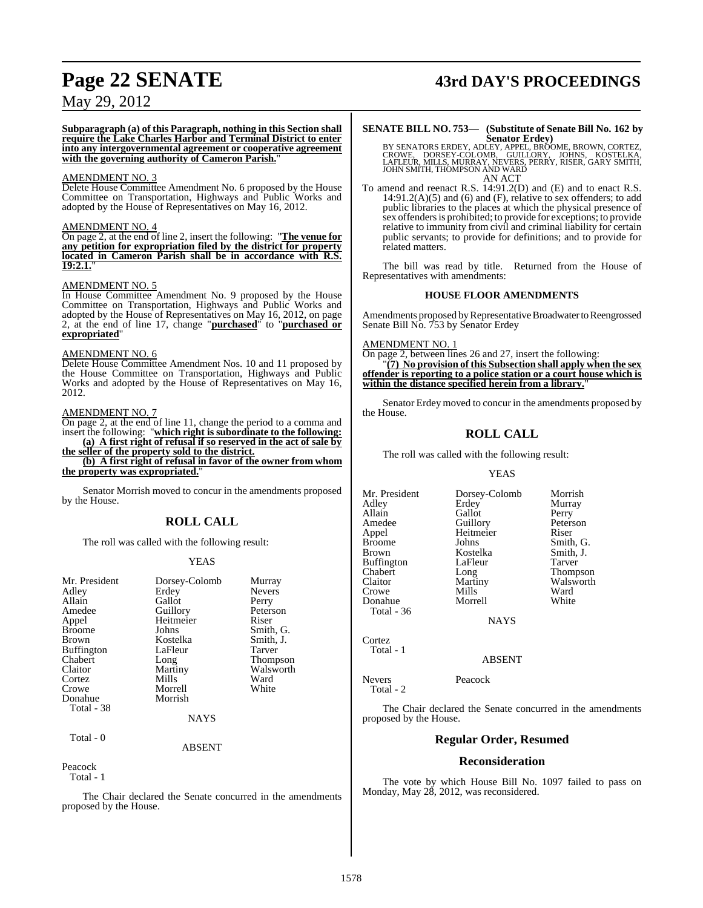**Subparagraph (a) of this Paragraph, nothing in this Section shall require the Lake Charles Harbor and Terminal District to enter into any intergovernmental agreement or cooperative agreement with the governing authority of Cameron Parish.**"

#### AMENDMENT NO. 3

Delete House Committee Amendment No. 6 proposed by the House Committee on Transportation, Highways and Public Works and adopted by the House of Representatives on May 16, 2012.

#### AMENDMENT NO. 4

On page 2, at the end of line 2, insert the following: "**The venue for any petition for expropriation filed by the district for property located in Cameron Parish shall be in accordance with R.S. 19:2.1.**"

#### AMENDMENT NO. 5

In House Committee Amendment No. 9 proposed by the House Committee on Transportation, Highways and Public Works and adopted by the House of Representatives on May 16, 2012, on page 2, at the end of line 17, change "**purchased**" to "**purchased or expropriated**"

#### AMENDMENT NO. 6

Delete House Committee Amendment Nos. 10 and 11 proposed by the House Committee on Transportation, Highways and Public Works and adopted by the House of Representatives on May 16, 2012.

#### AMENDMENT NO. 7

On page 2, at the end of line 11, change the period to a comma and insert the following: "**which right is subordinate to the following:**

**(a) A first right of refusal if so reserved in the act of sale by the seller of the property sold to the district.**

**(b) A first right of refusal in favor of the owner from whom the property was expropriated.**"

Senator Morrish moved to concur in the amendments proposed by the House.

## **ROLL CALL**

The roll was called with the following result:

#### YEAS

| Mr. President<br>Adley<br>Allain<br>Amedee<br>Appel<br><b>Broome</b><br><b>Brown</b><br><b>Buffington</b><br>Chabert<br>Claitor<br>Cortez | Dorsey-Colomb<br>Erdey<br>Gallot<br>Guillory<br>Heitmeier<br>Johns<br>Kostelka<br>LaFleur<br>Long<br>Martiny<br>Mills | Murray<br><b>Nevers</b><br>Perry<br>Peterson<br>Riser<br>Smith, G.<br>Smith, J.<br>Tarver<br>Thompson<br>Walsworth<br>Ward |
|-------------------------------------------------------------------------------------------------------------------------------------------|-----------------------------------------------------------------------------------------------------------------------|----------------------------------------------------------------------------------------------------------------------------|
| Crowe                                                                                                                                     | Morrell                                                                                                               | White                                                                                                                      |
| Donahue<br>Total - 38                                                                                                                     | Morrish                                                                                                               |                                                                                                                            |

## ABSENT

**NAYS** 

#### Peacock

Total - 1

Total - 0

The Chair declared the Senate concurred in the amendments proposed by the House.

## **Page 22 SENATE 43rd DAY'S PROCEEDINGS**

## **SENATE BILL NO. 753— (Substitute of Senate Bill No. 162 by**

Senators Erdey)<br>BY SENATORS ERDEY, ADLEY, APPEL, BROOME, BROWN, CORTEZ,<br>CROWE, DORSEY-COLOMB, GUILLORY, JOHNS, KOSTELKA,<br>LAFLEUR, MILLS, MURRAY, NEVERS, PERRY, RISER, GARY SMITH,<br>JOHN SMITH, THOMPSON AND WARD AN ACT

To amend and reenact R.S. 14:91.2(D) and (E) and to enact R.S.  $14:91.2(A)(5)$  and  $(6)$  and  $(F)$ , relative to sex offenders; to add public libraries to the places at which the physical presence of sex offenders is prohibited; to provide for exceptions; to provide relative to immunity from civil and criminal liability for certain public servants; to provide for definitions; and to provide for related matters.

The bill was read by title. Returned from the House of Representatives with amendments:

#### **HOUSE FLOOR AMENDMENTS**

Amendments proposed by Representative Broadwater to Reengrossed Senate Bill No. 753 by Senator Erdey

#### AMENDMENT NO. 1

On page 2, between lines 26 and 27, insert the following: "**(7) No provision of this Subsection shall apply when the sex offender is reporting to a police station or a court house which is within the distance specified herein from a library.**"

Senator Erdey moved to concur in the amendments proposed by the House.

### **ROLL CALL**

The roll was called with the following result:

#### YEAS

Mr. President Dorsey-Colomb Morrish Adley Erdey Murray Allain Gallot<br>
Amedee Guillory Amedee Guillory Peterson<br>
Appel Heitmeier Riser Appel Heitmeier<br>Broome Iohns Brown Kostelka Smith, J.<br>Buffington LaFleur Tarver Buffington LaFle<br>Chabert Long Chabert Long Thompson<br>Claitor Martiny Walsworth Claitor Martiny Walsworth<br>
Crowe Mills Ward Crowe Mills Ward Donahue Morrell White Total - 36

Smith, G.

**NAYS** 

Total - 1

Cortez

ABSENT

Nevers Peacock Total - 2

The Chair declared the Senate concurred in the amendments proposed by the House.

#### **Regular Order, Resumed**

#### **Reconsideration**

The vote by which House Bill No. 1097 failed to pass on Monday, May 28, 2012, was reconsidered.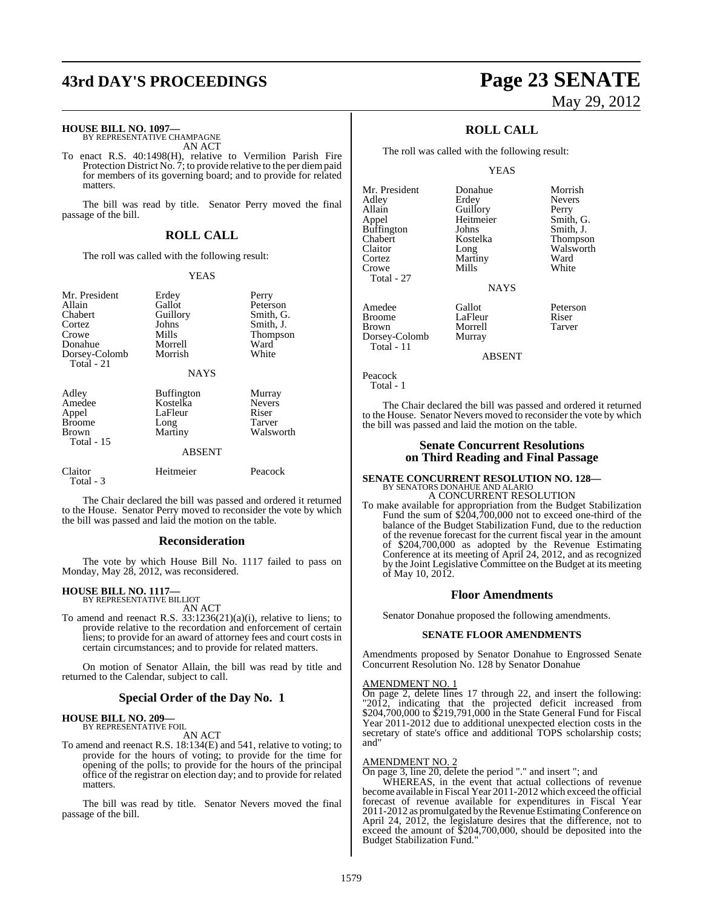## **43rd DAY'S PROCEEDINGS Page 23 SENATE**

#### **HOUSE BILL NO. 1097—**

BY REPRESENTATIVE CHAMPAGNE AN ACT

To enact R.S. 40:1498(H), relative to Vermilion Parish Fire Protection District No.  $\tilde{7}$ ; to provide relative to the per diempaid for members of its governing board; and to provide for related matters.

The bill was read by title. Senator Perry moved the final passage of the bill.

#### **ROLL CALL**

The roll was called with the following result:

#### YEAS

| Mr. President<br>Allain<br>Chabert<br>Cortez<br>Crowe<br>Donahue<br>Dorsey-Colomb<br>Total $-21$ | Erdey<br>Gallot<br>Guillory<br>Johns<br>Mills<br>Morrell<br>Morrish<br><b>NAYS</b> | Perry<br>Peterson<br>Smith, G.<br>Smith, J.<br>Thompson<br>Ward<br>White |
|--------------------------------------------------------------------------------------------------|------------------------------------------------------------------------------------|--------------------------------------------------------------------------|
| Adley<br>Amedee<br>Appel<br><b>Broome</b><br>Brown<br><b>Total - 15</b>                          | <b>Buffington</b><br>Kostelka<br>LaFleur<br>Long<br>Martiny<br><b>ABSENT</b>       | Murray<br><b>Nevers</b><br>Riser<br>Tarver<br>Walsworth                  |
| Claitor                                                                                          | Heitmeier                                                                          | Peacock                                                                  |

The Chair declared the bill was passed and ordered it returned to the House. Senator Perry moved to reconsider the vote by which the bill was passed and laid the motion on the table.

#### **Reconsideration**

The vote by which House Bill No. 1117 failed to pass on Monday, May 28, 2012, was reconsidered.

## **HOUSE BILL NO. 1117—** BY REPRESENTATIVE BILLIOT

Total - 3

AN ACT

To amend and reenact R.S. 33:1236(21)(a)(i), relative to liens; to provide relative to the recordation and enforcement of certain liens; to provide for an award of attorney fees and court costs in certain circumstances; and to provide for related matters.

On motion of Senator Allain, the bill was read by title and returned to the Calendar, subject to call.

#### **Special Order of the Day No. 1**

## **HOUSE BILL NO. 209—** BY REPRESENTATIVE FOIL

AN ACT

To amend and reenact R.S. 18:134(E) and 541, relative to voting; to provide for the hours of voting; to provide for the time for opening of the polls; to provide for the hours of the principal office of the registrar on election day; and to provide for related matters.

The bill was read by title. Senator Nevers moved the final passage of the bill.

# May 29, 2012

**Nevers** 

### **ROLL CALL**

The roll was called with the following result:

#### YEAS

- Mr. President Donahue Morrish<br>Adley Erdey Nevers Allain Guillory Perry<br>
Appel Heitmeier Smith Buffington Johns<br>Chabert Kostelka Chabert Kostelka Thompson Claitor Long Walsworth<br>
Cortez Martiny Ward Crowe Total - 27
- Amedee Gallot Peterson<br>Broome LaFleur Riser Broome LaFleur Riser<br>Brown Morrell Tarver Dorsey-Colomb Total - 11

Martiny Ward<br>
Mills White NAYS

Morrell<br>Murrav

Heitmeier Smith, G.<br>Johns Smith, J.

ABSENT

Peacock Total - 1

The Chair declared the bill was passed and ordered it returned to the House. Senator Nevers moved to reconsider the vote by which the bill was passed and laid the motion on the table.

#### **Senate Concurrent Resolutions on Third Reading and Final Passage**

# **SENATE CONCURRENT RESOLUTION NO. 128—** BY SENATORS DONAHUE AND ALARIO

A CONCURRENT RESOLUTION To make available for appropriation from the Budget Stabilization Fund the sum of \$204,700,000 not to exceed one-third of the balance of the Budget Stabilization Fund, due to the reduction of the revenue forecast for the current fiscal year in the amount of \$204,700,000 as adopted by the Revenue Estimating Conference at its meeting of April 24, 2012, and as recognized by the Joint Legislative Committee on the Budget at its meeting of May 10, 2012.

#### **Floor Amendments**

Senator Donahue proposed the following amendments.

#### **SENATE FLOOR AMENDMENTS**

Amendments proposed by Senator Donahue to Engrossed Senate Concurrent Resolution No. 128 by Senator Donahue

#### AMENDMENT NO. 1

On page 2, delete lines 17 through 22, and insert the following: "2012, indicating that the projected deficit increased from \$204,700,000 to \$219,791,000 in the State General Fund for Fiscal Year 2011-2012 due to additional unexpected election costs in the secretary of state's office and additional TOPS scholarship costs; and"

#### AMENDMENT NO. 2

On page 3, line 20, delete the period "." and insert "; and

WHEREAS, in the event that actual collections of revenue become available in Fiscal Year 2011-2012 which exceed the official forecast of revenue available for expenditures in Fiscal Year 2011-2012 as promulgated by the Revenue Estimating Conference on April 24, 2012, the legislature desires that the difference, not to exceed the amount of \$204,700,000, should be deposited into the Budget Stabilization Fund."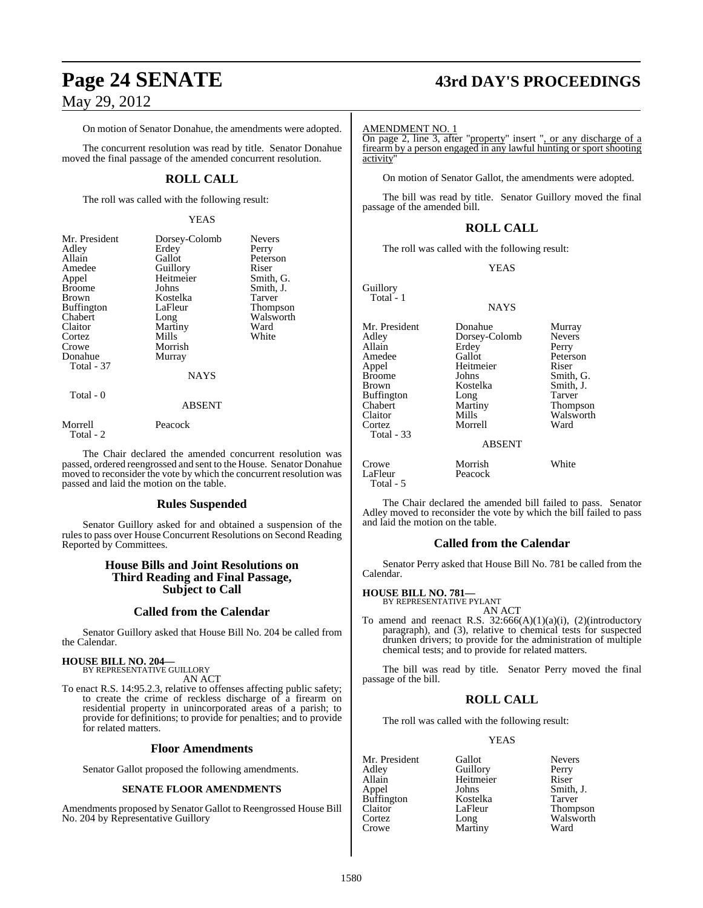# **Page 24 SENATE 43rd DAY'S PROCEEDINGS**

On motion of Senator Donahue, the amendments were adopted.

The concurrent resolution was read by title. Senator Donahue moved the final passage of the amended concurrent resolution.

## **ROLL CALL**

The roll was called with the following result:

#### YEAS

| Mr. President     | Dorsey-Colomb | <b>Nevers</b> |
|-------------------|---------------|---------------|
| Adley             | Erdey         | Perry         |
| Allain            | Gallot        | Peterson      |
| Amedee            | Guillory      | Riser         |
| Appel             | Heitmeier     | Smith, G.     |
| Broome            | Johns         | Smith, J.     |
| Brown             | Kostelka      | Tarver        |
| <b>Buffington</b> | LaFleur       | Thompson      |
| Chabert           | Long          | Walsworth     |
| Claitor           | Martiny       | Ward          |
| Cortez            | Mills         | White         |
| Crowe             | Morrish       |               |
| Donahue           | Murray        |               |
| Total - 37        |               |               |
|                   | <b>NAYS</b>   |               |
| Total - 0         |               |               |
|                   | <b>ABSENT</b> |               |
| Morrell           | Peacock       |               |

Total - 2

The Chair declared the amended concurrent resolution was passed, ordered reengrossed and sent to the House. Senator Donahue moved to reconsider the vote by which the concurrent resolution was passed and laid the motion on the table.

#### **Rules Suspended**

Senator Guillory asked for and obtained a suspension of the rulesto pass over House Concurrent Resolutions on Second Reading Reported by Committees.

#### **House Bills and Joint Resolutions on Third Reading and Final Passage, Subject to Call**

#### **Called from the Calendar**

Senator Guillory asked that House Bill No. 204 be called from the Calendar.

## **HOUSE BILL NO. 204—**

BY REPRESENTATIVE GUILLORY AN ACT

To enact R.S. 14:95.2.3, relative to offenses affecting public safety; to create the crime of reckless discharge of a firearm on residential property in unincorporated areas of a parish; to provide for definitions; to provide for penalties; and to provide for related matters.

#### **Floor Amendments**

Senator Gallot proposed the following amendments.

#### **SENATE FLOOR AMENDMENTS**

Amendments proposed by Senator Gallot to Reengrossed House Bill No. 204 by Representative Guillory

#### AMENDMENT NO. 1

On page 2, line 3, after "property" insert ", or any discharge of a firearm by a person engaged in any lawful hunting or sport shooting activity"

On motion of Senator Gallot, the amendments were adopted.

The bill was read by title. Senator Guillory moved the final passage of the amended bill.

#### **ROLL CALL**

The roll was called with the following result:

#### YEAS

NAYS

Dorsey-Colomb

**Guillory** Total - 1

Mr. President Donahue Murray<br>Adley Dorsev-Colomb Nevers Allain **Erdey** Perry<br>
Amedee Gallot Peters Amedee Gallot Peterson<br>
Appel Heitmeier Riser Appel Heitmeier<br>Broome Johns Broome Johns Smith, G.<br>Brown Kostelka Smith, J. Buffington Long<br>Chabert Martiny Chabert Martiny Thompson Cortez Morrell Total - 33

Kostelka Smith,<br>Long Tarver Walsworth<br>Ward

ABSENT

Crowe Morrish White<br>
LaFleur Peacock White Peacock Total - 5

The Chair declared the amended bill failed to pass. Senator Adley moved to reconsider the vote by which the bill failed to pass and laid the motion on the table.

#### **Called from the Calendar**

Senator Perry asked that House Bill No. 781 be called from the Calendar.

#### **HOUSE BILL NO. 781—**

BY REPRESENTATIVE PYLANT AN ACT

To amend and reenact R.S.  $32:666(A)(1)(a)(i)$ ,  $(2)(introducing$ paragraph), and (3), relative to chemical tests for suspected drunken drivers; to provide for the administration of multiple chemical tests; and to provide for related matters.

The bill was read by title. Senator Perry moved the final passage of the bill.

### **ROLL CALL**

The roll was called with the following result:

Guillory

Martiny

#### YEAS

Mr. President Gallot Nevers<br>Adley Guillory Perry Allain Heitmeier Riser **Buffington** Claitor LaFleur Thompson<br>Cortez Long Walsworth Cortez Long Walsworth<br>Crowe Martiny Ward

Johns Smith, J.<br>Kostelka Tarver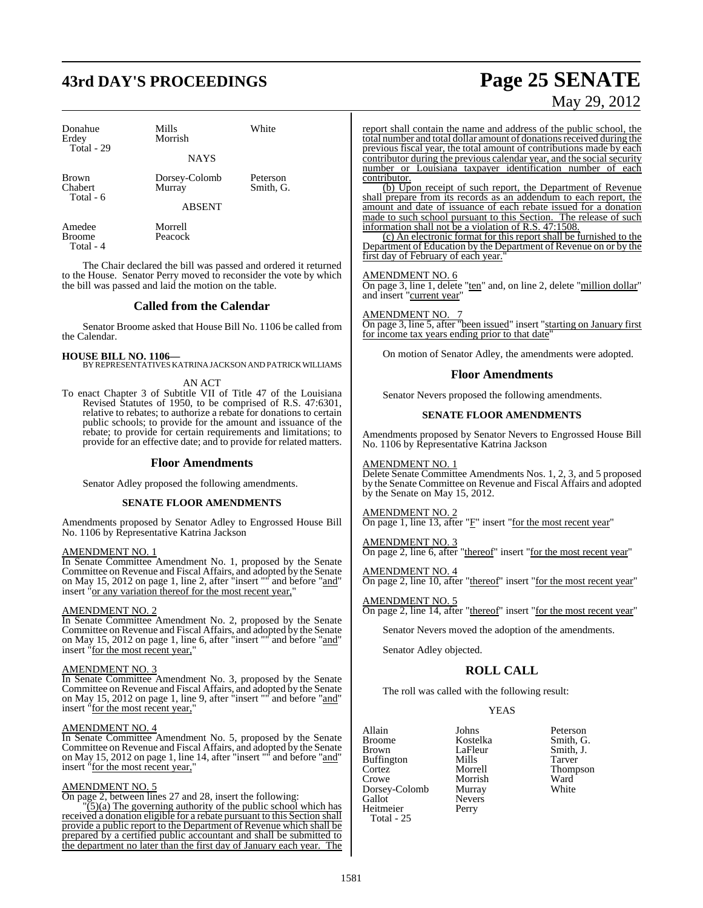# **43rd DAY'S PROCEEDINGS Page 25 SENATE**

| Donahue<br>Erdey                     | Mills<br>Morrish                         | White                 |
|--------------------------------------|------------------------------------------|-----------------------|
| Total - 29                           | <b>NAYS</b>                              |                       |
| <b>Brown</b><br>Chabert<br>Total - 6 | Dorsey-Colomb<br>Murray<br><b>ABSENT</b> | Peterson<br>Smith, G. |
| Amedee                               | Morrell                                  |                       |

Broome Peacock Total - 4

The Chair declared the bill was passed and ordered it returned to the House. Senator Perry moved to reconsider the vote by which the bill was passed and laid the motion on the table.

#### **Called from the Calendar**

Senator Broome asked that House Bill No. 1106 be called from the Calendar.

**HOUSE BILL NO. 1106—** BY REPRESENTATIVESKATRINAJACKSON AND PATRICK WILLIAMS

#### AN ACT

To enact Chapter 3 of Subtitle VII of Title 47 of the Louisiana Revised Statutes of 1950, to be comprised of R.S. 47:6301, relative to rebates; to authorize a rebate for donations to certain public schools; to provide for the amount and issuance of the rebate; to provide for certain requirements and limitations; to provide for an effective date; and to provide for related matters.

#### **Floor Amendments**

Senator Adley proposed the following amendments.

#### **SENATE FLOOR AMENDMENTS**

Amendments proposed by Senator Adley to Engrossed House Bill No. 1106 by Representative Katrina Jackson

#### AMENDMENT NO. 1

In Senate Committee Amendment No. 1, proposed by the Senate Committee on Revenue and Fiscal Affairs, and adopted by the Senate on May 15, 2012 on page 1, line 2, after "insert "" and before "and" insert "or any variation thereof for the most recent year,"

#### AMENDMENT NO. 2

In Senate Committee Amendment No. 2, proposed by the Senate Committee on Revenue and Fiscal Affairs, and adopted by the Senate on May 15, 2012 on page 1, line 6, after "insert "" and before "and" insert "for the most recent year,"

#### AMENDMENT NO. 3

In Senate Committee Amendment No. 3, proposed by the Senate Committee on Revenue and Fiscal Affairs, and adopted by the Senate on May 15, 2012 on page 1, line 9, after "insert "" and before "and" insert "for the most recent year,"

#### AMENDMENT NO. 4

In Senate Committee Amendment No. 5, proposed by the Senate Committee on Revenue and Fiscal Affairs, and adopted by the Senate on May 15, 2012 on page 1, line 14, after "insert " and before "and" insert "for the most recent year,"

#### AMENDMENT NO. 5

On page 2, between lines 27 and 28, insert the following:

 $\frac{1}{2}$ (3)(a) The governing authority of the public school which has received a donation eligible for a rebate pursuant to this Section shall provide a public report to the Department of Revenue which shall be prepared by a certified public accountant and shall be submitted to the department no later than the first day of January each year. The

# May 29, 2012

report shall contain the name and address of the public school, the total number and total dollar amount of donationsreceived during the previous fiscal year, the total amount of contributions made by each contributor during the previous calendar year, and the social security number or Louisiana taxpayer identification number of each contributor.

(b) Upon receipt of such report, the Department of Revenue shall prepare from its records as an addendum to each report, the amount and date of issuance of each rebate issued for a donation made to such school pursuant to this Section. The release of such information shall not be a violation of R.S. 47:1508.

(c) An electronic format for this report shall be furnished to the Department of Education by the Department of Revenue on or by the first day of February of each year.

#### AMENDMENT NO. 6

On page 3, line 1, delete "ten" and, on line 2, delete "million dollar" and insert "current year"

#### AMENDMENT NO. 7

On page 3, line 5, after "been issued" insert "starting on January first for income tax years ending prior to that date

On motion of Senator Adley, the amendments were adopted.

#### **Floor Amendments**

Senator Nevers proposed the following amendments.

#### **SENATE FLOOR AMENDMENTS**

Amendments proposed by Senator Nevers to Engrossed House Bill No. 1106 by Representative Katrina Jackson

#### AMENDMENT NO. 1

Delete Senate Committee Amendments Nos. 1, 2, 3, and 5 proposed by the Senate Committee on Revenue and Fiscal Affairs and adopted by the Senate on May 15, 2012.

#### AMENDMENT NO. 2

On page 1, line 13, after "F" insert "for the most recent year"

#### AMENDMENT NO. 3

On page 2, line 6, after "thereof" insert "for the most recent year"

#### AMENDMENT NO. 4 On page 2, line 10, after "thereof" insert "for the most recent year"

AMENDMENT NO. 5

On page 2, line 14, after "thereof" insert "for the most recent year"

Senator Nevers moved the adoption of the amendments.

Senator Adley objected.

#### **ROLL CALL**

The roll was called with the following result:

Nevers<br>Perry

#### YEAS

Allain Johns Peterson Broome Kostelka<br>Brown LaFleur Buffington Mills<br>Cortez Morrell Crowe Morrish Ward<br>
Dorsey-Colomb Murray White Dorsey-Colomb<br>Gallot Heitmeier Total - 25

LaFleur Smith, J.<br>Mills Tarver Thompson<br>Ward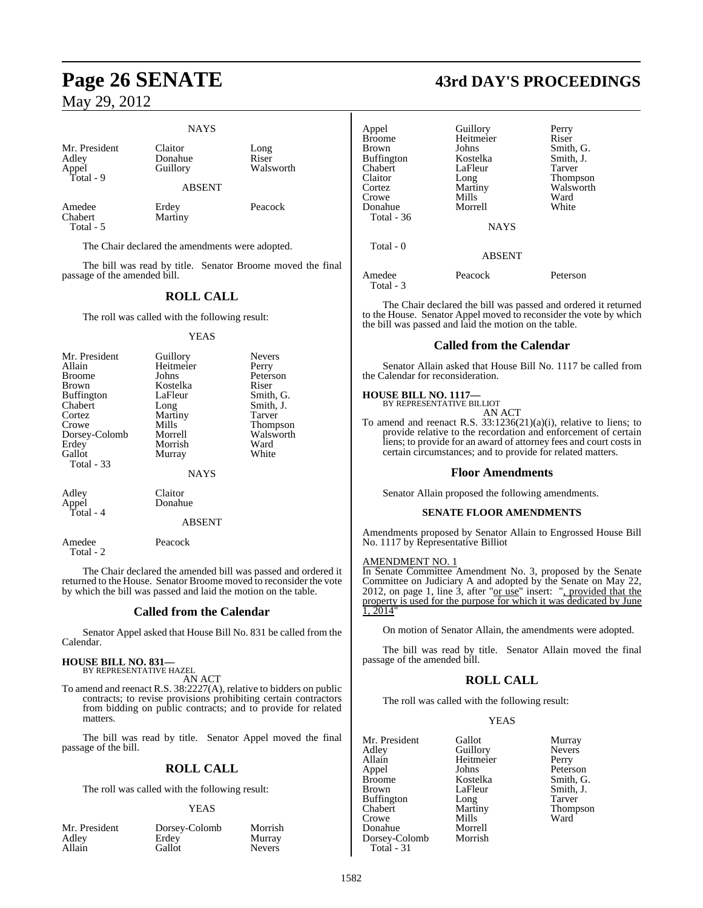#### **NAYS**

Mr. President Claitor Long<br>
Adley Donahue Riser Adley Donahue Riser Total - 9

Guillory

ABSENT

Amedee Erdey Peacock<br>
Chabert Martiny Total - 5

The Chair declared the amendments were adopted.

Martiny

The bill was read by title. Senator Broome moved the final passage of the amended bill.

### **ROLL CALL**

The roll was called with the following result:

#### YEAS

| Mr. President     | Guillory    | <b>Nevers</b>   |
|-------------------|-------------|-----------------|
| Allain            | Heitmeier   | Perry           |
| <b>Broome</b>     | Johns       | Peterson        |
| <b>Brown</b>      | Kostelka    | Riser           |
| <b>Buffington</b> | LaFleur     | Smith, G.       |
| Chabert           | Long        | Smith, J.       |
| Cortez            | Martiny     | Tarver          |
| Crowe             | Mills       | <b>Thompson</b> |
| Dorsey-Colomb     | Morrell     | Walsworth       |
| Erdey             | Morrish     | Ward            |
| Gallot            | Murray      | White           |
| Total - 33        |             |                 |
|                   | <b>NAYS</b> |                 |
| Adley             | Claitor     |                 |
| Appel             | Donahue     |                 |
|                   |             |                 |

Total - 4

Total - 2

Amedee Peacock

The Chair declared the amended bill was passed and ordered it returned to the House. Senator Broome moved to reconsider the vote by which the bill was passed and laid the motion on the table.

#### **Called from the Calendar**

ABSENT

Senator Appel asked that House Bill No. 831 be called from the Calendar.

#### **HOUSE BILL NO. 831—** BY REPRESENTATIVE HAZEL

AN ACT

To amend and reenact R.S. 38:2227(A), relative to bidders on public contracts; to revise provisions prohibiting certain contractors from bidding on public contracts; and to provide for related matters.

The bill was read by title. Senator Appel moved the final passage of the bill.

## **ROLL CALL**

The roll was called with the following result:

#### YEAS

| Mr. President | Dorsey-Colomb | Morrish       |
|---------------|---------------|---------------|
| Adley         | Erdey         | Murray        |
| Allain        | Gallot        | <b>Nevers</b> |

## **Page 26 SENATE 43rd DAY'S PROCEEDINGS**

| Appel<br><b>Broome</b><br>Brown<br><b>Buffington</b><br>Chabert<br>Claitor<br>Cortez<br>Crowe<br>Donahue<br>Total - 36<br>Total - 0 | Guillory<br>Heitmeier<br>Johns<br>Kostelka<br>LaFleur<br>Long<br>Martiny<br>Mills<br>Morrell<br><b>NAYS</b><br><b>ABSENT</b> | Perry<br>Riser<br>Smith, G.<br>Smith, J.<br>Tarver<br><b>Thompson</b><br>Walsworth<br>Ward<br>White |
|-------------------------------------------------------------------------------------------------------------------------------------|------------------------------------------------------------------------------------------------------------------------------|-----------------------------------------------------------------------------------------------------|
|                                                                                                                                     |                                                                                                                              |                                                                                                     |
| Amedee<br>Total - 3                                                                                                                 | Peacock                                                                                                                      | Peterson                                                                                            |

The Chair declared the bill was passed and ordered it returned to the House. Senator Appel moved to reconsider the vote by which the bill was passed and laid the motion on the table.

### **Called from the Calendar**

Senator Allain asked that House Bill No. 1117 be called from the Calendar for reconsideration.

#### **HOUSE BILL NO. 1117—**

BY REPRESENTATIVE BILLIOT AN ACT

To amend and reenact R.S. 33:1236(21)(a)(i), relative to liens; to provide relative to the recordation and enforcement of certain liens; to provide for an award of attorney fees and court costs in certain circumstances; and to provide for related matters.

#### **Floor Amendments**

Senator Allain proposed the following amendments.

#### **SENATE FLOOR AMENDMENTS**

Amendments proposed by Senator Allain to Engrossed House Bill No. 1117 by Representative Billiot

#### AMENDMENT NO. 1

In Senate Committee Amendment No. 3, proposed by the Senate Committee on Judiciary A and adopted by the Senate on May 22, 2012, on page 1, line 3, after " $or$  use" insert: ", provided that the</u> property is used for the purpose for which it was dedicated by June 1, 2014"

On motion of Senator Allain, the amendments were adopted.

The bill was read by title. Senator Allain moved the final passage of the amended bill.

## **ROLL CALL**

The roll was called with the following result:

#### YEAS

Mr. President Gallot Murray<br>Adley Guillory Nevers Adley Guillory Nevers Allain Heitmeier<br>
Appel Johns Broome Kostelka Smith, G.<br>Brown LaFleur Smith, J. Buffington Long<br>Chabert Martiny Chabert Martiny Thompson<br>Crowe Mills Ward Crowe Mills<br>
Donahue Morrell Donahue Morrell<br>Dorsey-Colomb Morrish Dorsey-Colomb Total - 31

Peterson LaFleur Smith, J.<br>
Long Tarver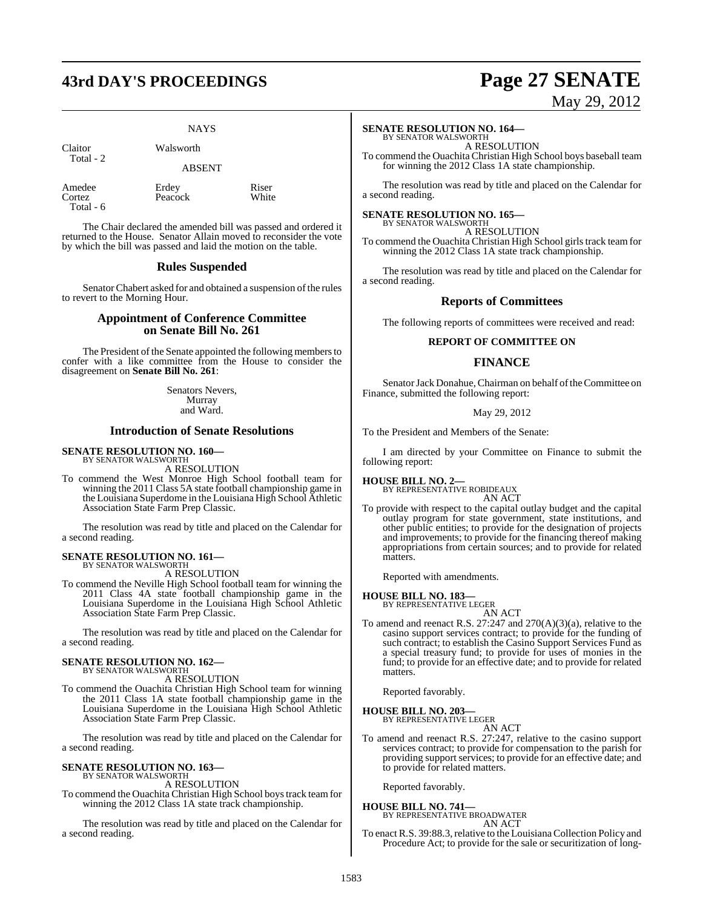## **43rd DAY'S PROCEEDINGS Page 27 SENATE**

#### **NAYS**

Claitor Walsworth Total - 2

ABSENT

Amedee Erdey Riser<br>
Cortez Peacock White Total - 6

Peacock

The Chair declared the amended bill was passed and ordered it returned to the House. Senator Allain moved to reconsider the vote by which the bill was passed and laid the motion on the table.

#### **Rules Suspended**

Senator Chabert asked for and obtained a suspension of the rules to revert to the Morning Hour.

#### **Appointment of Conference Committee on Senate Bill No. 261**

The President of the Senate appointed the following members to confer with a like committee from the House to consider the disagreement on **Senate Bill No. 261**:

> Senators Nevers, Murray and Ward.

### **Introduction of Senate Resolutions**

## **SENATE RESOLUTION NO. 160—** BY SENATOR WALSWORTH

A RESOLUTION

To commend the West Monroe High School football team for winning the 2011 Class 5A state football championship game in the Louisiana Superdome in the Louisiana High School Athletic Association State Farm Prep Classic.

The resolution was read by title and placed on the Calendar for a second reading.

#### **SENATE RESOLUTION NO. 161—** BY SENATOR WALSWORTH

A RESOLUTION

To commend the Neville High School football team for winning the 2011 Class 4A state football championship game in the Louisiana Superdome in the Louisiana High School Athletic Association State Farm Prep Classic.

The resolution was read by title and placed on the Calendar for a second reading.

#### **SENATE RESOLUTION NO. 162—** BY SENATOR WALSWORTH

A RESOLUTION

To commend the Ouachita Christian High School team for winning the 2011 Class 1A state football championship game in the Louisiana Superdome in the Louisiana High School Athletic Association State Farm Prep Classic.

The resolution was read by title and placed on the Calendar for a second reading.

#### **SENATE RESOLUTION NO. 163—** BY SENATOR WALSWORTH

A RESOLUTION

To commend the Ouachita Christian High School boys track team for winning the 2012 Class 1A state track championship.

The resolution was read by title and placed on the Calendar for a second reading.

# May 29, 2012

#### **SENATE RESOLUTION NO. 164—**

BY SENATOR WALSWORTH A RESOLUTION To commend the Ouachita Christian High School boys baseball team for winning the 2012 Class 1A state championship.

The resolution was read by title and placed on the Calendar for a second reading.

#### **SENATE RESOLUTION NO. 165—** BY SENATOR WALSWORTH

A RESOLUTION To commend the Ouachita Christian High School girls track team for winning the 2012 Class 1A state track championship.

The resolution was read by title and placed on the Calendar for a second reading.

#### **Reports of Committees**

The following reports of committees were received and read:

#### **REPORT OF COMMITTEE ON**

#### **FINANCE**

Senator Jack Donahue, Chairman on behalf of the Committee on Finance, submitted the following report:

#### May 29, 2012

To the President and Members of the Senate:

I am directed by your Committee on Finance to submit the following report:

#### **HOUSE BILL NO. 2—** BY REPRESENTATIVE ROBIDEAUX

AN ACT

To provide with respect to the capital outlay budget and the capital outlay program for state government, state institutions, and other public entities; to provide for the designation of projects and improvements; to provide for the financing thereof making appropriations from certain sources; and to provide for related matters.

Reported with amendments.

#### **HOUSE BILL NO. 183—**

- BY REPRESENTATIVE LEGER AN ACT
- To amend and reenact R.S.  $27:247$  and  $270(A)(3)(a)$ , relative to the casino support services contract; to provide for the funding of such contract; to establish the Casino Support Services Fund as a special treasury fund; to provide for uses of monies in the fund; to provide for an effective date; and to provide for related matters.

Reported favorably.

#### **HOUSE BILL NO. 203—** BY REPRESENT

AN ACT

To amend and reenact R.S. 27:247, relative to the casino support services contract; to provide for compensation to the parish for providing support services; to provide for an effective date; and to provide for related matters.

Reported favorably.

**HOUSE BILL NO. 741—** BY REPRESENTATIVE BROADWATER AN ACT

To enact R.S. 39:88.3, relative to the Louisiana Collection Policy and Procedure Act; to provide for the sale or securitization of long-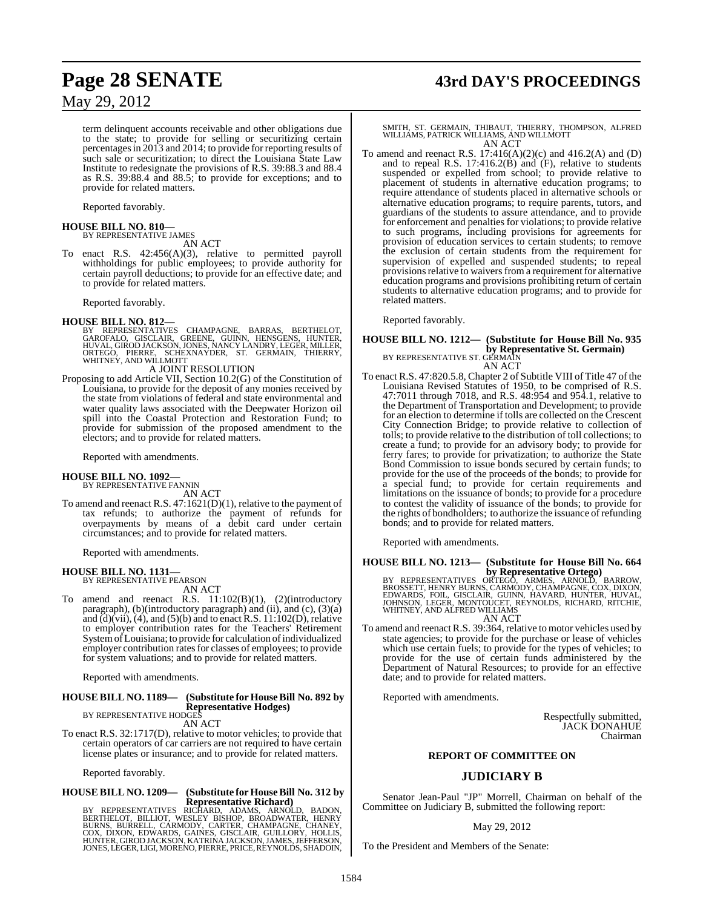term delinquent accounts receivable and other obligations due to the state; to provide for selling or securitizing certain percentages in 2013 and 2014; to provide for reporting results of such sale or securitization; to direct the Louisiana State Law Institute to redesignate the provisions of R.S. 39:88.3 and 88.4 as R.S. 39:88.4 and 88.5; to provide for exceptions; and to provide for related matters.

Reported favorably.

#### **HOUSE BILL NO. 810—** BY REPRESENTATIVE JAMES

AN ACT

To enact R.S. 42:456(A)(3), relative to permitted payroll withholdings for public employees; to provide authority for certain payroll deductions; to provide for an effective date; and to provide for related matters.

Reported favorably.

#### **HOUSE BILL NO. 812—**

BY REPRESENTATIVES CHAMPAGNE, BARRAS, BERTHELOT,<br>GAROFALO, GISCLAIR, GREENE, GUINN, HENSGENS, HUNTER,<br>HUVAL,GIRODJACKSON,JONES,NANCYLANDRY,LEGER,MILLER,<br>ORTEGO, PIERRE, SCHEXNAYDER, ST. GERMAIN, THIERRY,<br>WHITNEY,ANDWILLMOT

#### A JOINT RESOLUTION

Proposing to add Article VII, Section 10.2(G) of the Constitution of Louisiana, to provide for the deposit of any monies received by the state from violations of federal and state environmental and water quality laws associated with the Deepwater Horizon oil spill into the Coastal Protection and Restoration Fund; to provide for submission of the proposed amendment to the electors; and to provide for related matters.

Reported with amendments.

## **HOUSE BILL NO. 1092—** BY REPRESENTATIVE FANNIN

AN ACT

To amend and reenact R.S. 47:1621(D)(1), relative to the payment of tax refunds; to authorize the payment of refunds for overpayments by means of a debit card under certain circumstances; and to provide for related matters.

Reported with amendments.

#### **HOUSE BILL NO. 1131—** BY REPRESENTATIVE PEARSON

AN ACT

To amend and reenact R.S. 11:102(B)(1), (2)(introductory paragraph), (b)(introductory paragraph) and (ii), and (c), (3)(a) and  $\ddot{d}$ ) $\ddot{v}$  (vii), (4), and (5)(b) and to enact R.S. 11:102(D), relative to employer contribution rates for the Teachers' Retirement System of Louisiana; to provide for calculation of individualized employer contribution rates for classes of employees; to provide for system valuations; and to provide for related matters.

Reported with amendments.

#### **HOUSE BILL NO. 1189— (Substitute for HouseBill No. 892 by Representative Hodges)** BY REPRESENTATIVE HODGES

AN ACT

To enact R.S. 32:1717(D), relative to motor vehicles; to provide that certain operators of car carriers are not required to have certain license plates or insurance; and to provide for related matters.

Reported favorably.

## **HOUSE BILL NO. 1209— (Substitute for HouseBill No. 312 by**

**Representative Richard)**<br>BERTHELOT, BILLIOT, WESLEY BISHOP, BROADS, ARNOLD, BADON,<br>BERTHELOT, BILLIOT, WESLEY BISHOP, BROADWATER, HENRY<br>BURNS, BURRELL, CARMODY, CARTER, CHAMPAGNE, CHANEY,<br>HONTER, GIROD JACKSON, KATRINA JA

## **Page 28 SENATE 43rd DAY'S PROCEEDINGS**

### SMITH, ST. GERMAIN, THIBAUT, THIERRY, THOMPSON, ALFRED WILLIAMS, PATRICK WILLIAMS, AND WILLMOTT AN ACT

To amend and reenact R.S.  $17:416(A)(2)(c)$  and  $416.2(A)$  and (D) and to repeal R.S.  $17:416.2(B)$  and  $(F)$ , relative to students suspended or expelled from school; to provide relative to placement of students in alternative education programs; to require attendance of students placed in alternative schools or alternative education programs; to require parents, tutors, and guardians of the students to assure attendance, and to provide for enforcement and penalties for violations; to provide relative to such programs, including provisions for agreements for provision of education services to certain students; to remove the exclusion of certain students from the requirement for supervision of expelled and suspended students; to repeal provisions relative to waivers from a requirement for alternative education programs and provisions prohibiting return of certain students to alternative education programs; and to provide for related matters.

Reported favorably.

#### **HOUSE BILL NO. 1212— (Substitute for House Bill No. 935 by Representative St. Germain**)<br>BY REPRESENTATIVE ST. GERMAIN AN ACT

To enact R.S. 47:820.5.8, Chapter 2 of Subtitle VIII of Title 47 of the Louisiana Revised Statutes of 1950, to be comprised of R.S. 47:7011 through 7018, and R.S. 48:954 and 954.1, relative to the Department of Transportation and Development; to provide for an election to determine if tolls are collected on the Crescent City Connection Bridge; to provide relative to collection of tolls; to provide relative to the distribution of toll collections; to create a fund; to provide for an advisory body; to provide for ferry fares; to provide for privatization; to authorize the State Bond Commission to issue bonds secured by certain funds; to provide for the use of the proceeds of the bonds; to provide for a special fund; to provide for certain requirements and limitations on the issuance of bonds; to provide for a procedure to contest the validity of issuance of the bonds; to provide for the rights of bondholders; to authorize the issuance of refunding bonds; and to provide for related matters.

Reported with amendments.

# **HOUSE BILL NO. 1213— (Substitute for House Bill No. 664**

**by Representative Ortego)**<br>BY REPRESENTATIVES ORTEGO, ARMES, ARNOLD, BARROW,<br>BROSSETT, HENRY BURNS, CARMOY, CHAMPAGNE, COX, DIXON,<br>EDWARDS, FOIL, GISCLAIR, GUINN, HAVARD, HUNTER, HUVAL,<br>JOHNSON, LEGER, MONTOUCET, REYNOLDS WHITNEY, AND ALFRED WILLIAMS AN ACT

To amend and reenact R.S. 39:364, relative to motor vehicles used by state agencies; to provide for the purchase or lease of vehicles which use certain fuels; to provide for the types of vehicles; to provide for the use of certain funds administered by the Department of Natural Resources; to provide for an effective date; and to provide for related matters.

Reported with amendments.

Respectfully submitted, JACK DONAHUE Chairman

#### **REPORT OF COMMITTEE ON**

## **JUDICIARY B**

Senator Jean-Paul "JP" Morrell, Chairman on behalf of the Committee on Judiciary B, submitted the following report:

#### May 29, 2012

To the President and Members of the Senate: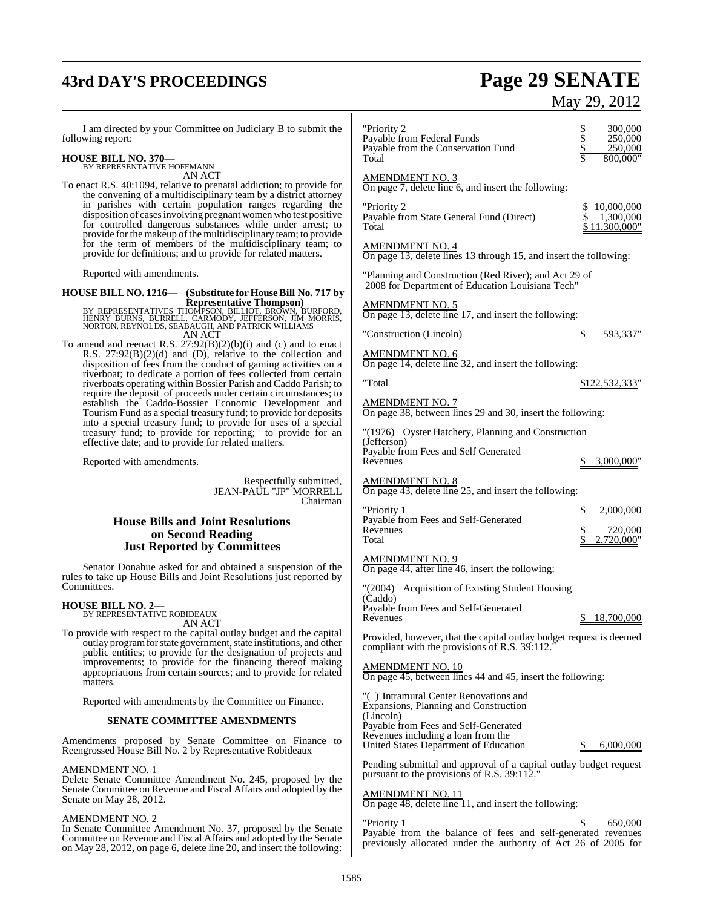# **43rd DAY'S PROCEEDINGS Page 29 SENATE**

# May 29, 2012

I am directed by your Committee on Judiciary B to submit the following report:

#### **HOUSE BILL NO. 370—** BY REPRESENTATIVE HOFFMANN

AN ACT

To enact R.S. 40:1094, relative to prenatal addiction; to provide for the convening of a multidisciplinary team by a district attorney in parishes with certain population ranges regarding the disposition of casesinvolving pregnant women who test positive for controlled dangerous substances while under arrest; to provide for the makeup of the multidisciplinary team; to provide for the term of members of the multidisciplinary team; to provide for definitions; and to provide for related matters.

Reported with amendments.

**HOUSE BILL NO. 1216— (Substitute for HouseBill No. 717 by Representative Thompson)**

BY REPRESENTATIVES THOMPSON, BILLIOT, BROWN, BURFORD, HENRY BURNS, BURRELL, CARMODY, JEFFERSON, JIM MORRIS, NORTON, REYNOLDS, SEABAUGH, AND PATRICK WILLIAMS AN ACT

To amend and reenact R.S. 27:92(B)(2)(b)(i) and (c) and to enact R.S. 27:92(B)(2)(d) and (D), relative to the collection and disposition of fees from the conduct of gaming activities on a riverboat; to dedicate a portion of fees collected from certain riverboats operating within Bossier Parish and Caddo Parish; to require the deposit of proceeds under certain circumstances; to establish the Caddo-Bossier Economic Development and Tourism Fund as a special treasury fund; to provide for deposits into a special treasury fund; to provide for uses of a special treasury fund; to provide for reporting; to provide for an effective date; and to provide for related matters.

Reported with amendments.

Respectfully submitted, JEAN-PAUL "JP" MORRELL Chairman

#### **House Bills and Joint Resolutions on Second Reading Just Reported by Committees**

Senator Donahue asked for and obtained a suspension of the rules to take up House Bills and Joint Resolutions just reported by Committees.

## **HOUSE BILL NO. 2—**

BY REPRESENTATIVE ROBIDEAUX AN ACT

To provide with respect to the capital outlay budget and the capital outlay programfor state government, state institutions, and other public entities; to provide for the designation of projects and improvements; to provide for the financing thereof making appropriations from certain sources; and to provide for related matters.

Reported with amendments by the Committee on Finance.

#### **SENATE COMMITTEE AMENDMENTS**

Amendments proposed by Senate Committee on Finance to Reengrossed House Bill No. 2 by Representative Robideaux

#### AMENDMENT NO. 1

Delete Senate Committee Amendment No. 245, proposed by the Senate Committee on Revenue and Fiscal Affairs and adopted by the Senate on May 28, 2012.

#### AMENDMENT NO. 2

In Senate Committee Amendment No. 37, proposed by the Senate Committee on Revenue and Fiscal Affairs and adopted by the Senate on May 28, 2012, on page 6, delete line 20, and insert the following:

| "Priority 2<br>Payable from Federal Funds<br>Payable from the Conservation Fund<br>Total                             | \$<br>\$\$<br>300,000<br>250,000<br>250,000<br>800,000" |
|----------------------------------------------------------------------------------------------------------------------|---------------------------------------------------------|
| <u>AMENDMENT NO. 3</u><br>On page $7$ , delete line $6$ , and insert the following:                                  |                                                         |
| "Priority 2<br>Payable from State General Fund (Direct)<br>Total                                                     | 10,000,000<br>\$.<br>1,300,000<br>11,300,000"           |
| <b>AMENDMENT NO. 4</b><br>On page 13, delete lines 13 through 15, and insert the following:                          |                                                         |
| "Planning and Construction (Red River); and Act 29 of<br>2008 for Department of Education Louisiana Tech"            |                                                         |
| $\frac{\text{AMENDMENT NO. 5}}{\text{On page 13}}$ , delete line 17, and insert the following:                       |                                                         |
| "Construction (Lincoln)                                                                                              | \$<br>593,337"                                          |
| <u>AMENDMENT NO. 6</u><br>On page 14, delete line 32, and insert the following:                                      |                                                         |
| "Total                                                                                                               | \$122,532,333"                                          |
| <b>AMENDMENT NO. 7</b><br>On page 38, between lines 29 and 30, insert the following:                                 |                                                         |
| "(1976) Oyster Hatchery, Planning and Construction                                                                   |                                                         |
| (Jefferson)<br>Payable from Fees and Self Generated<br>Revenues                                                      | 3,000,000"                                              |
| $\frac{\text{AMENDMENT NO. 8}}{\text{On page 43, delete line 25, and insert the following:}}$                        |                                                         |
| "Priority 1                                                                                                          | \$<br>2,000,000                                         |
| Payable from Fees and Self-Generated<br>Revenues<br>Total                                                            | 720,000<br>720,000"                                     |
| AMENDMENT NO. 9<br>On page 44, after line 46, insert the following:                                                  |                                                         |
| "(2004) Acquisition of Existing Student Housing<br>(Caddo)                                                           |                                                         |
| Payable from Fees and Self-Generated<br>Revenues                                                                     | \$18,700,000                                            |
| Provided, however, that the capital outlay budget request is deemed<br>compliant with the provisions of R.S. 39:112. |                                                         |
| <u>AMENDMENT NO. 10</u><br>On page 45, between lines 44 and 45, insert the following:                                |                                                         |
| "() Intramural Center Renovations and<br>Expansions, Planning and Construction<br>(Lincoln)                          |                                                         |
| Payable from Fees and Self-Generated<br>Revenues including a loan from the<br>United States Department of Education  | \$<br>6,000,000                                         |
| Pending submittal and approval of a capital outlay budget request<br>pursuant to the provisions of R.S. 39:112."     |                                                         |
| <u>AMENDMENT NO. 11</u><br>On page 48, delete line 11, and insert the following:                                     |                                                         |
| "Priority 1<br>Payable from the balance of fees and self-generated revenues                                          | \$<br>650,000                                           |

previously allocated under the authority of Act 26 of 2005 for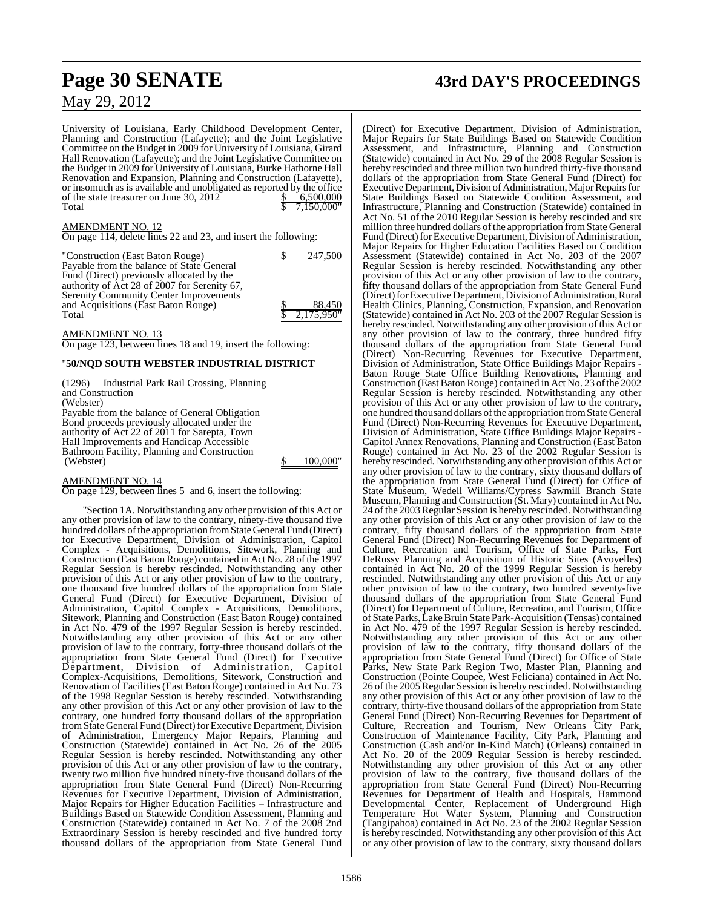University of Louisiana, Early Childhood Development Center, Planning and Construction (Lafayette); and the Joint Legislative Committee on the Budget in 2009 for University of Louisiana, Girard Hall Renovation (Lafayette); and the Joint Legislative Committee on the Budget in 2009 for University of Louisiana, Burke Hathorne Hall Renovation and Expansion, Planning and Construction (Lafayette), or insomuch as is available and unobligated as reported by the office of the state treasurer on June 30,  $2012$  \$ 6,500,000 Total \$ 7,150,000"

#### AMENDMENT NO. 12

On page 114, delete lines 22 and 23, and insert the following:

"Construction (East Baton Rouge) \$ 247,500 Payable from the balance of State General Fund (Direct) previously allocated by the authority of Act 28 of 2007 for Serenity 67, Serenity Community Center Improvements and Acquisitions (East Baton Rouge)  $\qquad$  \$ 88,450 Total  $\frac{1}{\sqrt{2}}$   $\frac{1}{\sqrt{2}}$   $\frac{1}{\sqrt{2}}$   $\frac{1}{\sqrt{2}}$   $\frac{1}{\sqrt{2}}$   $\frac{1}{\sqrt{2}}$   $\frac{1}{\sqrt{2}}$   $\frac{1}{\sqrt{2}}$   $\frac{1}{\sqrt{2}}$   $\frac{1}{\sqrt{2}}$   $\frac{1}{\sqrt{2}}$   $\frac{1}{\sqrt{2}}$   $\frac{1}{\sqrt{2}}$   $\frac{1}{\sqrt{2}}$   $\frac{1}{\sqrt{2}}$   $\frac{1}{\sqrt{2}}$   $\frac{1}{\$ 

AMENDMENT NO. 13

On page 123, between lines 18 and 19, insert the following:

#### "**50/NQD SOUTH WEBSTER INDUSTRIAL DISTRICT**

(1296) Industrial Park Rail Crossing, Planning and Construction (Webster) Payable from the balance of General Obligation Bond proceeds previously allocated under the authority of Act 22 of 2011 for Sarepta, Town Hall Improvements and Handicap Accessible Bathroom Facility, Planning and Construction

AMENDMENT NO. 14

On page 129, between lines 5 and 6, insert the following:

"Section 1A. Notwithstanding any other provision of this Act or any other provision of law to the contrary, ninety-five thousand five hundred dollars of the appropriation from State General Fund (Direct) for Executive Department, Division of Administration, Capitol Complex - Acquisitions, Demolitions, Sitework, Planning and Construction (East Baton Rouge) contained in Act No. 28 of the 1997 Regular Session is hereby rescinded. Notwithstanding any other provision of this Act or any other provision of law to the contrary, one thousand five hundred dollars of the appropriation from State General Fund (Direct) for Executive Department, Division of Administration, Capitol Complex - Acquisitions, Demolitions, Sitework, Planning and Construction (East Baton Rouge) contained in Act No. 479 of the 1997 Regular Session is hereby rescinded. Notwithstanding any other provision of this Act or any other provision of law to the contrary, forty-three thousand dollars of the appropriation from State General Fund (Direct) for Executive Department, Division of Administration, Capitol Complex-Acquisitions, Demolitions, Sitework, Construction and Renovation of Facilities(East Baton Rouge) contained in Act No. 73 of the 1998 Regular Session is hereby rescinded. Notwithstanding any other provision of this Act or any other provision of law to the contrary, one hundred forty thousand dollars of the appropriation from State General Fund (Direct) for Executive Department, Division of Administration, Emergency Major Repairs, Planning and Construction (Statewide) contained in Act No. 26 of the 2005 Regular Session is hereby rescinded. Notwithstanding any other provision of this Act or any other provision of law to the contrary, twenty two million five hundred ninety-five thousand dollars of the appropriation from State General Fund (Direct) Non-Recurring Revenues for Executive Department, Division of Administration, Major Repairs for Higher Education Facilities – Infrastructure and Buildings Based on Statewide Condition Assessment, Planning and Construction (Statewide) contained in Act No. 7 of the 2008 2nd Extraordinary Session is hereby rescinded and five hundred forty thousand dollars of the appropriation from State General Fund

## **Page 30 SENATE 43rd DAY'S PROCEEDINGS**

(Direct) for Executive Department, Division of Administration, Major Repairs for State Buildings Based on Statewide Condition Assessment, and Infrastructure, Planning and Construction (Statewide) contained in Act No. 29 of the 2008 Regular Session is hereby rescinded and three million two hundred thirty-five thousand dollars of the appropriation from State General Fund (Direct) for Executive Department, Division of Administration, Major Repairs for State Buildings Based on Statewide Condition Assessment, and Infrastructure, Planning and Construction (Statewide) contained in Act No. 51 of the 2010 Regular Session is hereby rescinded and six million three hundred dollars of the appropriation from State General Fund (Direct) for Executive Department, Division of Administration, Major Repairs for Higher Education Facilities Based on Condition Assessment (Statewide) contained in Act No. 203 of the 2007 Regular Session is hereby rescinded. Notwithstanding any other provision of this Act or any other provision of law to the contrary, fifty thousand dollars of the appropriation from State General Fund (Direct) for Executive Department, Division of Administration, Rural Health Clinics, Planning, Construction, Expansion, and Renovation (Statewide) contained in Act No. 203 of the 2007 Regular Session is hereby rescinded. Notwithstanding any other provision of this Act or any other provision of law to the contrary, three hundred fifty thousand dollars of the appropriation from State General Fund (Direct) Non-Recurring Revenues for Executive Department, Division of Administration, State Office Buildings Major Repairs - Baton Rouge State Office Building Renovations, Planning and Construction (East Baton Rouge) contained in Act No. 23 of the 2002 Regular Session is hereby rescinded. Notwithstanding any other provision of this Act or any other provision of law to the contrary, one hundred thousand dollars ofthe appropriation fromStateGeneral Fund (Direct) Non-Recurring Revenues for Executive Department, Division of Administration, State Office Buildings Major Repairs - Capitol Annex Renovations, Planning and Construction (East Baton Rouge) contained in Act No. 23 of the 2002 Regular Session is hereby rescinded. Notwithstanding any other provision of this Act or any other provision of law to the contrary, sixty thousand dollars of the appropriation from State General Fund (Direct) for Office of State Museum, Wedell Williams/Cypress Sawmill Branch State Museum, Planning and Construction (St. Mary) contained in Act No. 24 of the 2003 Regular Session is hereby rescinded. Notwithstanding any other provision of this Act or any other provision of law to the contrary, fifty thousand dollars of the appropriation from State General Fund (Direct) Non-Recurring Revenues for Department of Culture, Recreation and Tourism, Office of State Parks, Fort DeRussy Planning and Acquisition of Historic Sites (Avoyelles) contained in Act No. 20 of the 1999 Regular Session is hereby rescinded. Notwithstanding any other provision of this Act or any other provision of law to the contrary, two hundred seventy-five thousand dollars of the appropriation from State General Fund (Direct) for Department of Culture, Recreation, and Tourism, Office of State Parks, Lake Bruin State Park-Acquisition (Tensas) contained in Act No. 479 of the 1997 Regular Session is hereby rescinded. Notwithstanding any other provision of this Act or any other provision of law to the contrary, fifty thousand dollars of the appropriation from State General Fund (Direct) for Office of State Parks, New State Park Region Two, Master Plan, Planning and Construction (Pointe Coupee, West Feliciana) contained in Act No. 26 of the 2005 Regular Session is hereby rescinded. Notwithstanding any other provision of this Act or any other provision of law to the contrary, thirty-five thousand dollars of the appropriation from State General Fund (Direct) Non-Recurring Revenues for Department of Culture, Recreation and Tourism, New Orleans City Park, Construction of Maintenance Facility, City Park, Planning and Construction (Cash and/or In-Kind Match) (Orleans) contained in Act No. 20 of the 2009 Regular Session is hereby rescinded. Notwithstanding any other provision of this Act or any other provision of law to the contrary, five thousand dollars of the appropriation from State General Fund (Direct) Non-Recurring Revenues for Department of Health and Hospitals, Hammond Developmental Center, Replacement of Underground High Temperature Hot Water System, Planning and Construction (Tangipahoa) contained in Act No. 23 of the 2002 Regular Session is hereby rescinded. Notwithstanding any other provision of this Act or any other provision of law to the contrary, sixty thousand dollars

100,000"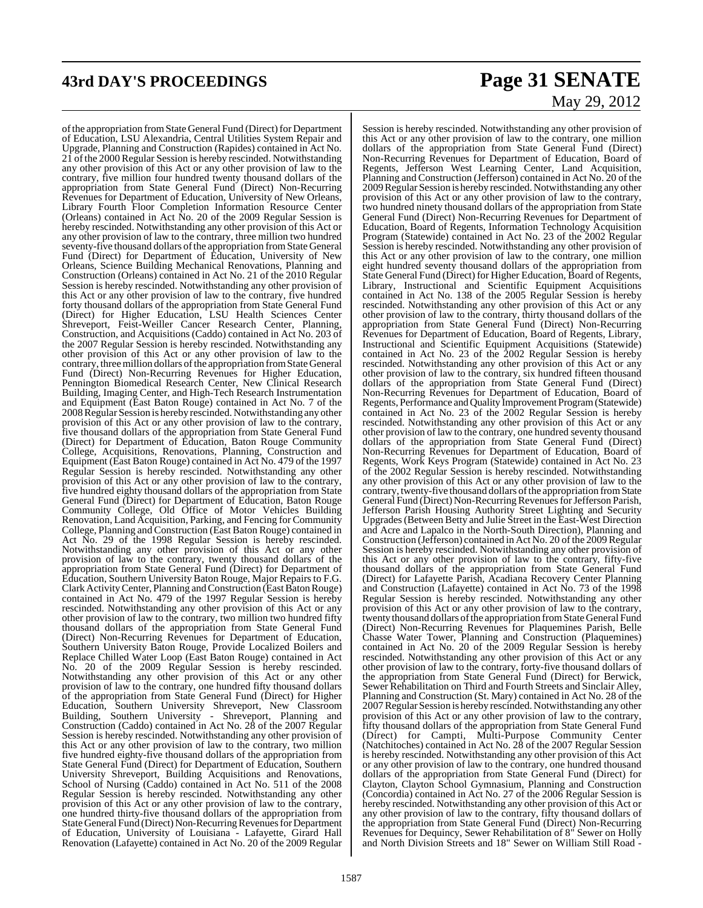# **43rd DAY'S PROCEEDINGS Page 31 SENATE**

# May 29, 2012

of the appropriation from State General Fund (Direct) for Department of Education, LSU Alexandria, Central Utilities System Repair and Upgrade, Planning and Construction (Rapides) contained in Act No. 21 of the 2000 Regular Session is hereby rescinded. Notwithstanding any other provision of this Act or any other provision of law to the contrary, five million four hundred twenty thousand dollars of the appropriation from State General Fund (Direct) Non-Recurring Revenues for Department of Education, University of New Orleans, Library Fourth Floor Completion Information Resource Center (Orleans) contained in Act No. 20 of the 2009 Regular Session is hereby rescinded. Notwithstanding any other provision of this Act or any other provision of law to the contrary, three million two hundred seventy-five thousand dollars ofthe appropriation fromState General Fund (Direct) for Department of Education, University of New Orleans, Science Building Mechanical Renovations, Planning and Construction (Orleans) contained in Act No. 21 of the 2010 Regular Session is hereby rescinded. Notwithstanding any other provision of this Act or any other provision of law to the contrary, five hundred forty thousand dollars of the appropriation from State General Fund (Direct) for Higher Education, LSU Health Sciences Center Shreveport, Feist-Weiller Cancer Research Center, Planning, Construction, and Acquisitions (Caddo) contained in Act No. 203 of the 2007 Regular Session is hereby rescinded. Notwithstanding any other provision of this Act or any other provision of law to the contrary, three million dollars of the appropriation from State General Fund (Direct) Non-Recurring Revenues for Higher Education, Pennington Biomedical Research Center, New Clinical Research Building, Imaging Center, and High-Tech Research Instrumentation and Equipment (East Baton Rouge) contained in Act No. 7 of the 2008Regular Session is hereby rescinded. Notwithstanding any other provision of this Act or any other provision of law to the contrary, five thousand dollars of the appropriation from State General Fund (Direct) for Department of Education, Baton Rouge Community College, Acquisitions, Renovations, Planning, Construction and Equipment (East Baton Rouge) contained in Act No. 479 of the 1997 Regular Session is hereby rescinded. Notwithstanding any other provision of this Act or any other provision of law to the contrary, five hundred eighty thousand dollars of the appropriation from State General Fund (Direct) for Department of Education, Baton Rouge Community College, Old Office of Motor Vehicles Building Renovation, Land Acquisition, Parking, and Fencing for Community College, Planning and Construction (East Baton Rouge) contained in Act No. 29 of the 1998 Regular Session is hereby rescinded. Notwithstanding any other provision of this Act or any other provision of law to the contrary, twenty thousand dollars of the appropriation from State General Fund (Direct) for Department of Education, Southern UniversityBaton Rouge, Major Repairs to F.G. Clark Activity Center, Planning and Construction (East Baton Rouge) contained in Act No. 479 of the 1997 Regular Session is hereby rescinded. Notwithstanding any other provision of this Act or any other provision of law to the contrary, two million two hundred fifty thousand dollars of the appropriation from State General Fund (Direct) Non-Recurring Revenues for Department of Education, Southern University Baton Rouge, Provide Localized Boilers and Replace Chilled Water Loop (East Baton Rouge) contained in Act No. 20 of the 2009 Regular Session is hereby rescinded. Notwithstanding any other provision of this Act or any other provision of law to the contrary, one hundred fifty thousand dollars of the appropriation from State General Fund (Direct) for Higher Education, Southern University Shreveport, New Classroom Building, Southern University - Shreveport, Planning and Construction (Caddo) contained in Act No. 28 of the 2007 Regular Session is hereby rescinded. Notwithstanding any other provision of this Act or any other provision of law to the contrary, two million five hundred eighty-five thousand dollars of the appropriation from State General Fund (Direct) for Department of Education, Southern University Shreveport, Building Acquisitions and Renovations, School of Nursing (Caddo) contained in Act No. 511 of the 2008 Regular Session is hereby rescinded. Notwithstanding any other provision of this Act or any other provision of law to the contrary, one hundred thirty-five thousand dollars of the appropriation from StateGeneral Fund (Direct) Non-Recurring Revenues for Department of Education, University of Louisiana - Lafayette, Girard Hall Renovation (Lafayette) contained in Act No. 20 of the 2009 Regular

Session is hereby rescinded. Notwithstanding any other provision of this Act or any other provision of law to the contrary, one million dollars of the appropriation from State General Fund (Direct) Non-Recurring Revenues for Department of Education, Board of Regents, Jefferson West Learning Center, Land Acquisition, Planning and Construction (Jefferson) contained in Act No. 20 of the 2009 Regular Session is hereby rescinded. Notwithstanding any other provision of this Act or any other provision of law to the contrary, two hundred ninety thousand dollars of the appropriation from State General Fund (Direct) Non-Recurring Revenues for Department of Education, Board of Regents, Information Technology Acquisition Program (Statewide) contained in Act No. 23 of the 2002 Regular Session is hereby rescinded. Notwithstanding any other provision of this Act or any other provision of law to the contrary, one million eight hundred seventy thousand dollars of the appropriation from State General Fund (Direct) for Higher Education, Board of Regents, Library, Instructional and Scientific Equipment Acquisitions contained in Act No. 138 of the 2005 Regular Session is hereby rescinded. Notwithstanding any other provision of this Act or any other provision of law to the contrary, thirty thousand dollars of the appropriation from State General Fund (Direct) Non-Recurring Revenues for Department of Education, Board of Regents, Library, Instructional and Scientific Equipment Acquisitions (Statewide) contained in Act No. 23 of the 2002 Regular Session is hereby rescinded. Notwithstanding any other provision of this Act or any other provision of law to the contrary, six hundred fifteen thousand dollars of the appropriation from State General Fund (Direct) Non-Recurring Revenues for Department of Education, Board of Regents, Performance and Quality Improvement Program (Statewide) contained in Act No. 23 of the 2002 Regular Session is hereby rescinded. Notwithstanding any other provision of this Act or any other provision of law to the contrary, one hundred seventy thousand dollars of the appropriation from State General Fund (Direct) Non-Recurring Revenues for Department of Education, Board of Regents, Work Keys Program (Statewide) contained in Act No. 23 of the 2002 Regular Session is hereby rescinded. Notwithstanding any other provision of this Act or any other provision of law to the contrary, twenty-five thousand dollars ofthe appropriation from State General Fund (Direct) Non-Recurring Revenues for Jefferson Parish, Jefferson Parish Housing Authority Street Lighting and Security Upgrades(Between Betty and Julie Street in the East-West Direction and Acre and Lapalco in the North-South Direction), Planning and Construction (Jefferson) contained in Act No. 20 of the 2009 Regular Session is hereby rescinded. Notwithstanding any other provision of this Act or any other provision of law to the contrary, fifty-five thousand dollars of the appropriation from State General Fund (Direct) for Lafayette Parish, Acadiana Recovery Center Planning and Construction (Lafayette) contained in Act No. 73 of the 1998 Regular Session is hereby rescinded. Notwithstanding any other provision of this Act or any other provision of law to the contrary, twenty thousand dollars of the appropriation from State General Fund (Direct) Non-Recurring Revenues for Plaquemines Parish, Belle Chasse Water Tower, Planning and Construction (Plaquemines) contained in Act No. 20 of the 2009 Regular Session is hereby rescinded. Notwithstanding any other provision of this Act or any other provision of law to the contrary, forty-five thousand dollars of the appropriation from State General Fund (Direct) for Berwick, Sewer Rehabilitation on Third and Fourth Streets and Sinclair Alley, Planning and Construction (St. Mary) contained in Act No. 28 of the 2007 Regular Session is hereby rescinded. Notwithstanding any other provision of this Act or any other provision of law to the contrary, fifty thousand dollars of the appropriation from State General Fund (Direct) for Campti, Multi-Purpose Community Center (Natchitoches) contained in Act No. 28 of the 2007 Regular Session is hereby rescinded. Notwithstanding any other provision of this Act or any other provision of law to the contrary, one hundred thousand dollars of the appropriation from State General Fund (Direct) for Clayton, Clayton School Gymnasium, Planning and Construction (Concordia) contained in Act No. 27 of the 2006 Regular Session is hereby rescinded. Notwithstanding any other provision of this Act or any other provision of law to the contrary, fifty thousand dollars of the appropriation from State General Fund (Direct) Non-Recurring Revenues for Dequincy, Sewer Rehabilitation of 8" Sewer on Holly and North Division Streets and 18" Sewer on William Still Road -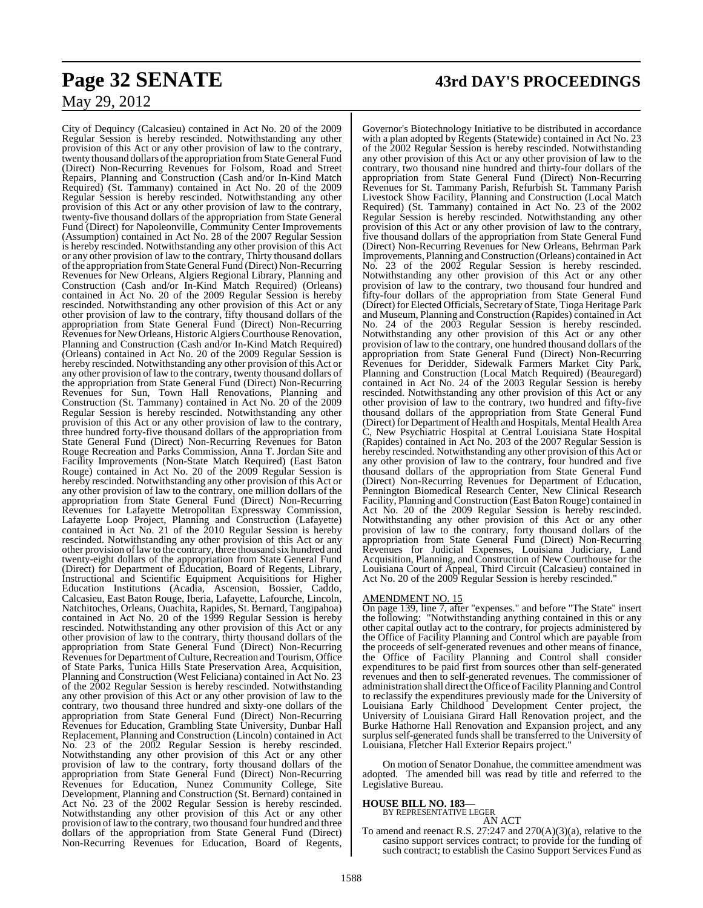City of Dequincy (Calcasieu) contained in Act No. 20 of the 2009 Regular Session is hereby rescinded. Notwithstanding any other provision of this Act or any other provision of law to the contrary, twenty thousand dollars of the appropriation from State General Fund (Direct) Non-Recurring Revenues for Folsom, Road and Street Repairs, Planning and Construction (Cash and/or In-Kind Match Required) (St. Tammany) contained in Act No. 20 of the 2009 Regular Session is hereby rescinded. Notwithstanding any other provision of this Act or any other provision of law to the contrary, twenty-five thousand dollars of the appropriation from State General Fund (Direct) for Napoleonville, Community Center Improvements (Assumption) contained in Act No. 28 of the 2007 Regular Session is hereby rescinded. Notwithstanding any other provision of this Act or any other provision of law to the contrary, Thirty thousand dollars of the appropriation from State General Fund (Direct) Non-Recurring Revenues for New Orleans, Algiers Regional Library, Planning and Construction (Cash and/or In-Kind Match Required) (Orleans) contained in Act No. 20 of the 2009 Regular Session is hereby rescinded. Notwithstanding any other provision of this Act or any other provision of law to the contrary, fifty thousand dollars of the appropriation from State General Fund (Direct) Non-Recurring Revenues for New Orleans, Historic Algiers Courthouse Renovation, Planning and Construction (Cash and/or In-Kind Match Required) (Orleans) contained in Act No. 20 of the 2009 Regular Session is hereby rescinded. Notwithstanding any other provision of this Act or any other provision of law to the contrary, twenty thousand dollars of the appropriation from State General Fund (Direct) Non-Recurring Revenues for Sun, Town Hall Renovations, Planning and Construction (St. Tammany) contained in Act No. 20 of the 2009 Regular Session is hereby rescinded. Notwithstanding any other provision of this Act or any other provision of law to the contrary, three hundred forty-five thousand dollars of the appropriation from State General Fund (Direct) Non-Recurring Revenues for Baton Rouge Recreation and Parks Commission, Anna T. Jordan Site and Facility Improvements (Non-State Match Required) (East Baton Rouge) contained in Act No. 20 of the 2009 Regular Session is hereby rescinded. Notwithstanding any other provision of this Act or any other provision of law to the contrary, one million dollars of the appropriation from State General Fund (Direct) Non-Recurring Revenues for Lafayette Metropolitan Expressway Commission, Lafayette Loop Project, Planning and Construction (Lafayette) contained in Act No. 21 of the 2010 Regular Session is hereby rescinded. Notwithstanding any other provision of this Act or any other provision oflawto the contrary, three thousand six hundred and twenty-eight dollars of the appropriation from State General Fund (Direct) for Department of Education, Board of Regents, Library, Instructional and Scientific Equipment Acquisitions for Higher Education Institutions (Acadia, Ascension, Bossier, Caddo, Calcasieu, East Baton Rouge, Iberia, Lafayette, Lafourche, Lincoln, Natchitoches, Orleans, Ouachita, Rapides, St. Bernard, Tangipahoa) contained in Act No. 20 of the 1999 Regular Session is hereby rescinded. Notwithstanding any other provision of this Act or any other provision of law to the contrary, thirty thousand dollars of the appropriation from State General Fund (Direct) Non-Recurring Revenues for Department of Culture, Recreation and Tourism, Office of State Parks, Tunica Hills State Preservation Area, Acquisition, Planning and Construction (West Feliciana) contained in Act No. 23 of the 2002 Regular Session is hereby rescinded. Notwithstanding any other provision of this Act or any other provision of law to the contrary, two thousand three hundred and sixty-one dollars of the appropriation from State General Fund (Direct) Non-Recurring Revenues for Education, Grambling State University, Dunbar Hall Replacement, Planning and Construction (Lincoln) contained in Act No. 23 of the 2002 Regular Session is hereby rescinded. Notwithstanding any other provision of this Act or any other provision of law to the contrary, forty thousand dollars of the appropriation from State General Fund (Direct) Non-Recurring Revenues for Education, Nunez Community College, Site Development, Planning and Construction (St. Bernard) contained in Act No. 23 of the 2002 Regular Session is hereby rescinded. Notwithstanding any other provision of this Act or any other provision of law to the contrary, two thousand four hundred and three dollars of the appropriation from State General Fund (Direct) Non-Recurring Revenues for Education, Board of Regents,

## **Page 32 SENATE 43rd DAY'S PROCEEDINGS**

Governor's Biotechnology Initiative to be distributed in accordance with a plan adopted by Regents (Statewide) contained in Act No. 23 of the 2002 Regular Session is hereby rescinded. Notwithstanding any other provision of this Act or any other provision of law to the contrary, two thousand nine hundred and thirty-four dollars of the appropriation from State General Fund (Direct) Non-Recurring Revenues for St. Tammany Parish, Refurbish St. Tammany Parish Livestock Show Facility, Planning and Construction (Local Match Required) (St. Tammany) contained in Act No. 23 of the 2002 Regular Session is hereby rescinded. Notwithstanding any other provision of this Act or any other provision of law to the contrary, five thousand dollars of the appropriation from State General Fund (Direct) Non-Recurring Revenues for New Orleans, Behrman Park Improvements, Planning andConstruction (Orleans) contained in Act No. 23 of the 2002 Regular Session is hereby rescinded. Notwithstanding any other provision of this Act or any other provision of law to the contrary, two thousand four hundred and fifty-four dollars of the appropriation from State General Fund (Direct) for Elected Officials, Secretary of State, Tioga Heritage Park and Museum, Planning and Construction (Rapides) contained in Act No. 24 of the 2003 Regular Session is hereby rescinded. Notwithstanding any other provision of this Act or any other provision of law to the contrary, one hundred thousand dollars of the appropriation from State General Fund (Direct) Non-Recurring Revenues for Deridder, Sidewalk Farmers Market City Park, Planning and Construction (Local Match Required) (Beauregard) contained in Act No. 24 of the 2003 Regular Session is hereby rescinded. Notwithstanding any other provision of this Act or any other provision of law to the contrary, two hundred and fifty-five thousand dollars of the appropriation from State General Fund (Direct) for Department of Health and Hospitals, Mental Health Area C, New Psychiatric Hospital at Central Louisiana State Hospital (Rapides) contained in Act No. 203 of the 2007 Regular Session is hereby rescinded. Notwithstanding any other provision of this Act or any other provision of law to the contrary, four hundred and five thousand dollars of the appropriation from State General Fund (Direct) Non-Recurring Revenues for Department of Education, Pennington Biomedical Research Center, New Clinical Research Facility, Planning and Construction (East Baton Rouge) contained in Act No. 20 of the 2009 Regular Session is hereby rescinded. Notwithstanding any other provision of this Act or any other provision of law to the contrary, forty thousand dollars of the appropriation from State General Fund (Direct) Non-Recurring Revenues for Judicial Expenses, Louisiana Judiciary, Land Acquisition, Planning, and Construction of New Courthouse for the Louisiana Court of Appeal, Third Circuit (Calcasieu) contained in Act No. 20 of the 2009 Regular Session is hereby rescinded."

#### AMENDMENT NO. 15

On page 139, line 7, after "expenses." and before "The State" insert the following: "Notwithstanding anything contained in this or any other capital outlay act to the contrary, for projects administered by the Office of Facility Planning and Control which are payable from the proceeds of self-generated revenues and other means of finance, the Office of Facility Planning and Control shall consider expenditures to be paid first from sources other than self-generated revenues and then to self-generated revenues. The commissioner of administration shall direct the Office of Facility Planning and Control to reclassify the expenditures previously made for the University of Louisiana Early Childhood Development Center project, the University of Louisiana Girard Hall Renovation project, and the Burke Hathorne Hall Renovation and Expansion project, and any surplus self-generated funds shall be transferred to the University of Louisiana, Fletcher Hall Exterior Repairs project."

On motion of Senator Donahue, the committee amendment was adopted. The amended bill was read by title and referred to the Legislative Bureau.

#### **HOUSE BILL NO. 183—**

BY REPRESENTATIVE LEGER AN ACT

To amend and reenact R.S. 27:247 and 270(A)(3)(a), relative to the casino support services contract; to provide for the funding of such contract; to establish the Casino Support Services Fund as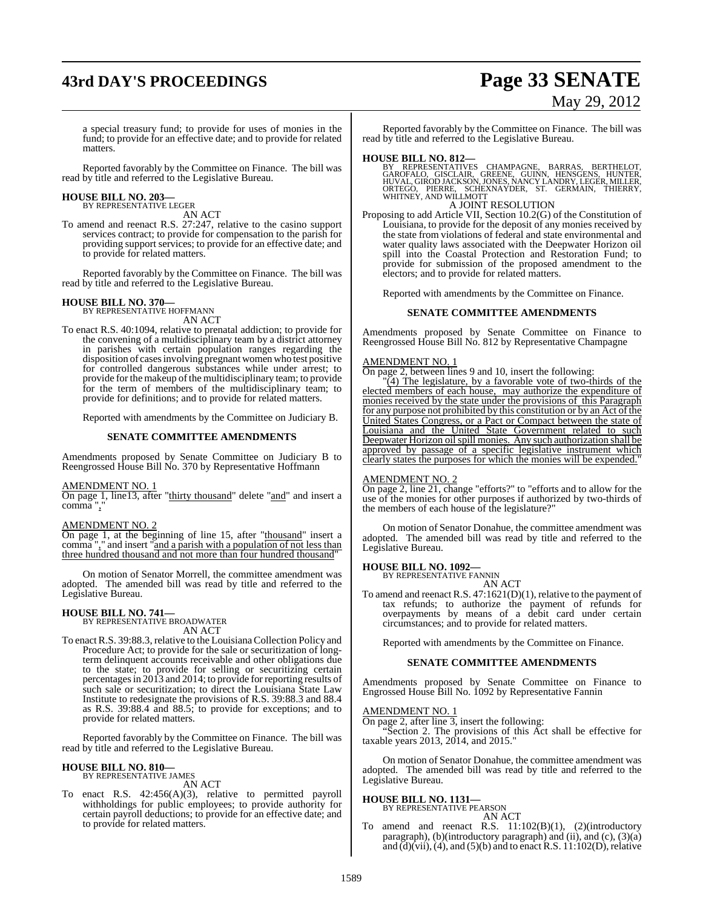# **43rd DAY'S PROCEEDINGS Page 33 SENATE**

# May 29, 2012

a special treasury fund; to provide for uses of monies in the fund; to provide for an effective date; and to provide for related matters.

Reported favorably by the Committee on Finance. The bill was read by title and referred to the Legislative Bureau.

#### **HOUSE BILL NO. 203—** BY REPRESENTATIVE LEGER

AN ACT

To amend and reenact R.S. 27:247, relative to the casino support services contract; to provide for compensation to the parish for providing support services; to provide for an effective date; and to provide for related matters.

Reported favorably by the Committee on Finance. The bill was read by title and referred to the Legislative Bureau.

#### **HOUSE BILL NO. 370—**

BY REPRESENTATIVE HOFFMANN AN ACT

To enact R.S. 40:1094, relative to prenatal addiction; to provide for the convening of a multidisciplinary team by a district attorney in parishes with certain population ranges regarding the disposition of cases involving pregnant women who test positive for controlled dangerous substances while under arrest; to provide for the makeup of the multidisciplinary team; to provide for the term of members of the multidisciplinary team; to provide for definitions; and to provide for related matters.

Reported with amendments by the Committee on Judiciary B.

#### **SENATE COMMITTEE AMENDMENTS**

Amendments proposed by Senate Committee on Judiciary B to Reengrossed House Bill No. 370 by Representative Hoffmann

#### AMENDMENT NO. 1

On page 1, line13, after "thirty thousand" delete "and" and insert a comma ","

#### AMENDMENT NO. 2

On page 1, at the beginning of line 15, after "thousand" insert a comma "," and insert "and a parish with a population of not less than three hundred thousand and not more than four hundred thousand"

On motion of Senator Morrell, the committee amendment was adopted. The amended bill was read by title and referred to the Legislative Bureau.

#### **HOUSE BILL NO. 741—**

BY REPRESENTATIVE BROADWATER AN ACT

To enact R.S. 39:88.3, relative to the Louisiana Collection Policy and Procedure Act; to provide for the sale or securitization of longterm delinquent accounts receivable and other obligations due to the state; to provide for selling or securitizing certain percentagesin 2013 and 2014; to provide for reporting results of such sale or securitization; to direct the Louisiana State Law Institute to redesignate the provisions of R.S. 39:88.3 and 88.4 as R.S. 39:88.4 and 88.5; to provide for exceptions; and to provide for related matters.

Reported favorably by the Committee on Finance. The bill was read by title and referred to the Legislative Bureau.

#### **HOUSE BILL NO. 810—** BY REPRESENTATIVE JAMES

AN ACT

To enact R.S. 42:456(A)(3), relative to permitted payroll withholdings for public employees; to provide authority for certain payroll deductions; to provide for an effective date; and to provide for related matters.

Reported favorably by the Committee on Finance. The bill was read by title and referred to the Legislative Bureau.

**HOUSE BILL NO. 812—**<br>BY REPRESENTATIVES CHAMPAGNE, BARRAS, BERTHELOT,<br>GAROFALO, GISCLAIR, GREENE, GUINN, HENSGENS, HUNTER,<br>HUVAL, GIROD JACKSON, JONES, NANCY LANDRY, LEGER, MILLER,<br>ORTEGO, PIERRE, SCHEXNAYDER, ST. GERMAIN

A JOINT RESOLUTION

Proposing to add Article VII, Section 10.2(G) of the Constitution of Louisiana, to provide for the deposit of any monies received by the state from violations of federal and state environmental and water quality laws associated with the Deepwater Horizon oil spill into the Coastal Protection and Restoration Fund; to provide for submission of the proposed amendment to the electors; and to provide for related matters.

Reported with amendments by the Committee on Finance.

#### **SENATE COMMITTEE AMENDMENTS**

Amendments proposed by Senate Committee on Finance to Reengrossed House Bill No. 812 by Representative Champagne

#### AMENDMENT NO. 1

On page 2, between lines 9 and 10, insert the following:

 $\sqrt{4}$ ) The legislature, by a favorable vote of two-thirds of the elected members of each house, may authorize the expenditure of monies received by the state under the provisions of this Paragraph for any purpose not prohibited by this constitution or by an Act of the United States Congress, or a Pact or Compact between the state of Louisiana and the United State Government related to such Deepwater Horizon oil spill monies. Any such authorization shall be approved by passage of a specific legislative instrument which clearly states the purposes for which the monies will be expended."

### AMENDMENT NO. 2

On page 2, line 21, change "efforts?" to "efforts and to allow for the use of the monies for other purposes if authorized by two-thirds of the members of each house of the legislature?"

On motion of Senator Donahue, the committee amendment was adopted. The amended bill was read by title and referred to the Legislative Bureau.

## **HOUSE BILL NO. 1092—** BY REPRESENTATIVE FANNIN

AN ACT

To amend and reenact R.S. 47:1621(D)(1), relative to the payment of tax refunds; to authorize the payment of refunds for overpayments by means of a debit card under certain circumstances; and to provide for related matters.

Reported with amendments by the Committee on Finance.

#### **SENATE COMMITTEE AMENDMENTS**

Amendments proposed by Senate Committee on Finance to Engrossed House Bill No. 1092 by Representative Fannin

#### AMENDMENT NO. 1

On page 2, after line 3, insert the following:

"Section 2. The provisions of this Act shall be effective for taxable years 2013, 2014, and 2015."

On motion of Senator Donahue, the committee amendment was adopted. The amended bill was read by title and referred to the Legislative Bureau.

#### **HOUSE BILL NO. 1131—**

BY REPRESENTATIVE PEARSON

- AN ACT
- To amend and reenact R.S. 11:102(B)(1), (2)(introductory paragraph), (b)(introductory paragraph) and (ii), and (c), (3)(a) and  $(d)$ (vii), (4), and (5)(b) and to enact R.S. 11:102(D), relative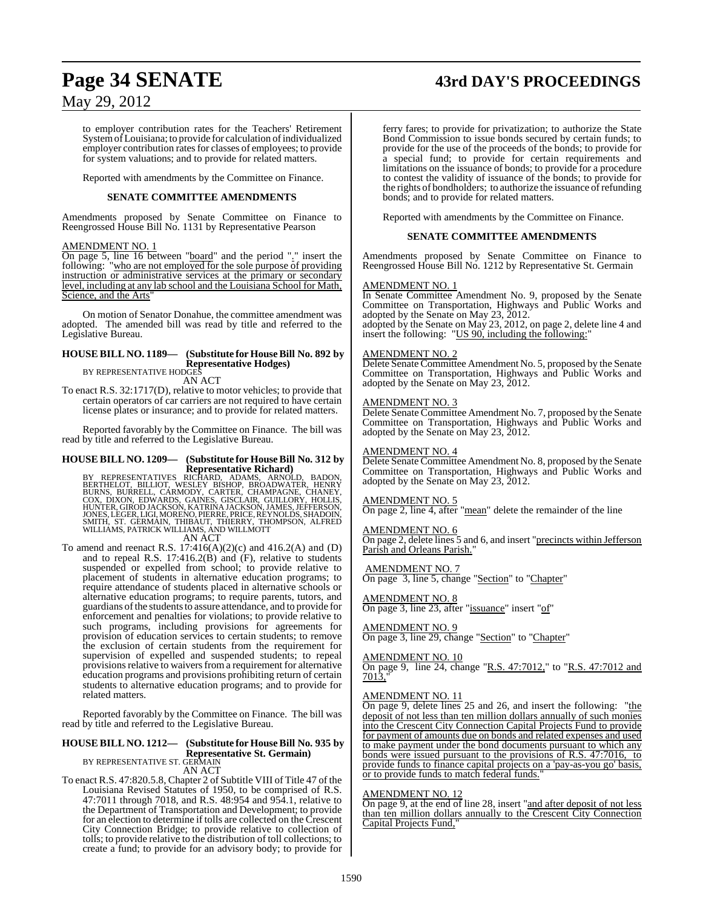# **Page 34 SENATE 43rd DAY'S PROCEEDINGS**

## May 29, 2012

to employer contribution rates for the Teachers' Retirement System of Louisiana; to provide for calculation of individualized employer contribution rates for classes of employees; to provide for system valuations; and to provide for related matters.

Reported with amendments by the Committee on Finance.

#### **SENATE COMMITTEE AMENDMENTS**

Amendments proposed by Senate Committee on Finance to Reengrossed House Bill No. 1131 by Representative Pearson

#### AMENDMENT NO. 1

On page 5, line 16 between "board" and the period "." insert the following: "who are not employed for the sole purpose of providing instruction or administrative services at the primary or secondary level, including at any lab school and the Louisiana School for Math, Science, and the Arts'

On motion of Senator Donahue, the committee amendment was adopted. The amended bill was read by title and referred to the Legislative Bureau.

#### **HOUSE BILL NO. 1189— (Substitute for HouseBill No. 892 by Representative Hodges)**

BY REPRESENTATIVE HODGES

AN ACT

To enact R.S. 32:1717(D), relative to motor vehicles; to provide that certain operators of car carriers are not required to have certain license plates or insurance; and to provide for related matters.

Reported favorably by the Committee on Finance. The bill was read by title and referred to the Legislative Bureau.

## **HOUSE BILL NO. 1209— (Substitute for HouseBill No. 312 by**

Representative Richard)<br>BERTHELOT, BILLIOT, WESLEY BISHOP, BROADS, ARNOLD, BADON,<br>BERTHELOT, BILLIOT, WESLEY BISHOP, BROADWATER, HENRY<br>BURNS, BURRELL, CARMODY, CARTER, CHAMPAGNE, CHANEY,<br>COX, DIXON, EDWARDS, GAINES, GISCLA

AN ACT

To amend and reenact R.S.  $17:416(A)(2)(c)$  and  $416.2(A)$  and  $(D)$ and to repeal R.S. 17:416.2(B) and (F), relative to students suspended or expelled from school; to provide relative to placement of students in alternative education programs; to require attendance of students placed in alternative schools or alternative education programs; to require parents, tutors, and guardians of the students to assure attendance, and to provide for enforcement and penalties for violations; to provide relative to such programs, including provisions for agreements for provision of education services to certain students; to remove the exclusion of certain students from the requirement for supervision of expelled and suspended students; to repeal provisions relative to waivers from a requirement for alternative education programs and provisions prohibiting return of certain students to alternative education programs; and to provide for related matters.

Reported favorably by the Committee on Finance. The bill was read by title and referred to the Legislative Bureau.

#### **HOUSE BILL NO. 1212— (Substitute for House Bill No. 935 by Representative St. Germain)** BY REPRESENTATIVE ST. GERMAIN AN ACT

To enact R.S. 47:820.5.8, Chapter 2 of Subtitle VIII of Title 47 of the Louisiana Revised Statutes of 1950, to be comprised of R.S. 47:7011 through 7018, and R.S. 48:954 and 954.1, relative to the Department of Transportation and Development; to provide for an election to determine if tolls are collected on the Crescent City Connection Bridge; to provide relative to collection of tolls; to provide relative to the distribution of toll collections; to create a fund; to provide for an advisory body; to provide for

ferry fares; to provide for privatization; to authorize the State Bond Commission to issue bonds secured by certain funds; to provide for the use of the proceeds of the bonds; to provide for a special fund; to provide for certain requirements and limitations on the issuance of bonds; to provide for a procedure to contest the validity of issuance of the bonds; to provide for the rights of bondholders; to authorize the issuance of refunding bonds; and to provide for related matters.

Reported with amendments by the Committee on Finance.

#### **SENATE COMMITTEE AMENDMENTS**

Amendments proposed by Senate Committee on Finance to Reengrossed House Bill No. 1212 by Representative St. Germain

#### <u>AMENDMENT NO. 1</u>

In Senate Committee Amendment No. 9, proposed by the Senate Committee on Transportation, Highways and Public Works and adopted by the Senate on May 23, 2012.

adopted by the Senate on May 23, 2012, on page 2, delete line 4 and insert the following: "US 90, including the following:"

#### AMENDMENT NO. 2

Delete Senate Committee Amendment No. 5, proposed by the Senate Committee on Transportation, Highways and Public Works and adopted by the Senate on May 23, 2012.

#### AMENDMENT NO. 3

Delete Senate Committee Amendment No. 7, proposed by the Senate Committee on Transportation, Highways and Public Works and adopted by the Senate on May 23, 2012.

#### AMENDMENT NO. 4

Delete Senate Committee Amendment No. 8, proposed by the Senate Committee on Transportation, Highways and Public Works and adopted by the Senate on May 23, 2012.

#### AMENDMENT NO. 5

On page 2, line 4, after "mean" delete the remainder of the line

#### AMENDMENT NO. 6

On page 2, delete lines 5 and 6, and insert "precincts within Jefferson Parish and Orleans Parish."

#### AMENDMENT NO. 7

On page 3, line 5, change "Section" to "Chapter"

#### AMENDMENT NO. 8

On page 3, line 23, after "issuance" insert "of"

#### AMENDMENT NO. 9

On page 3, line 29, change "Section" to "Chapter"

#### AMENDMENT NO. 10

On page 9, line 24, change "R.S. 47:7012," to "R.S. 47:7012 and 7013,"

#### AMENDMENT NO. 11

On page 9, delete lines 25 and 26, and insert the following: "the deposit of not less than ten million dollars annually of such monies into the Crescent City Connection Capital Projects Fund to provide for payment of amounts due on bonds and related expenses and used to make payment under the bond documents pursuant to which any bonds were issued pursuant to the provisions of R.S. 47:7016, to provide funds to finance capital projects on a 'pay-as-you go' basis, or to provide funds to match federal funds."

#### AMENDMENT NO. 12

On page 9, at the end of line 28, insert "and after deposit of not less than ten million dollars annually to the Crescent City Connection Capital Projects Fund,"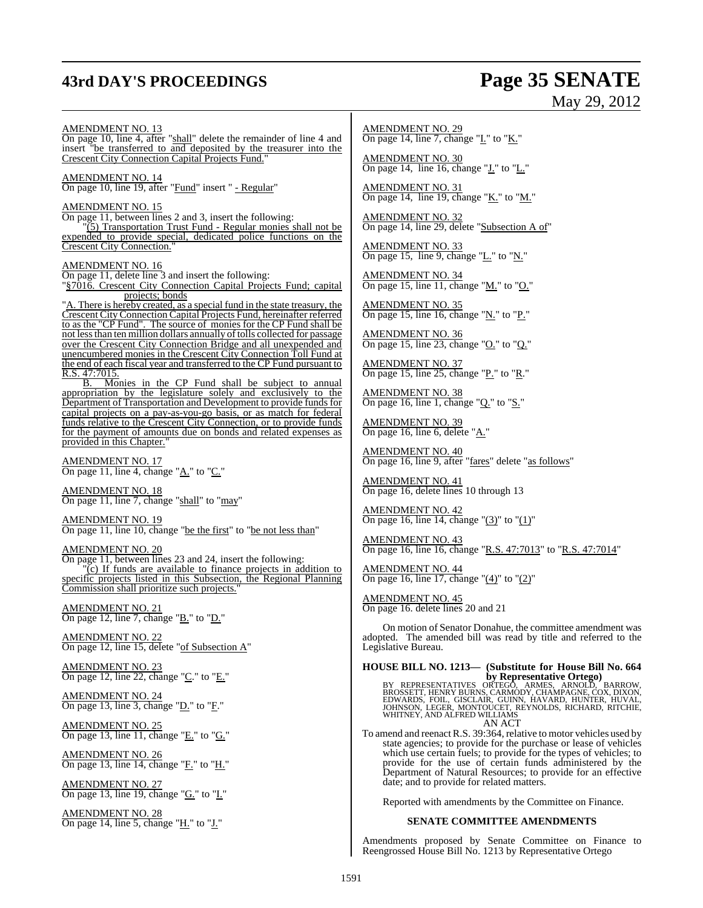## **43rd DAY'S PROCEEDINGS Page 35 SENATE**

# May 29, 2012

#### AMENDMENT NO. 13

On page 10, line 4, after "shall" delete the remainder of line 4 and insert "be transferred to and deposited by the treasurer into the Crescent City Connection Capital Projects Fund."

AMENDMENT NO. 14

On page 10, line 19, after "Fund" insert " - Regular"

#### AMENDMENT NO. 15

On page 11, between lines 2 and 3, insert the following:

"(5) Transportation Trust Fund - Regular monies shall not be expended to provide special, dedicated police functions on the Crescent City Connection."

#### AMENDMENT NO. 16

On page 11, delete line 3 and insert the following:

"§7016. Crescent City Connection Capital Projects Fund; capital projects; bonds

"A. There is hereby created, as a special fund in the state treasury, the Crescent CityConnection Capital Projects Fund, hereinafter referred to as the "CP Fund". The source of monies for the CP Fund shall be not lessthan ten million dollars annually oftolls collected for passage over the Crescent City Connection Bridge and all unexpended and unencumbered monies in the Crescent City Connection Toll Fund at the end of each fiscal year and transferred to the CP Fund pursuant to R.S. 47:7015.

B. Monies in the CP Fund shall be subject to annual appropriation by the legislature solely and exclusively to the Department of Transportation and Development to provide funds for capital projects on a pay-as-you-go basis, or as match for federal funds relative to the Crescent City Connection, or to provide funds for the payment of amounts due on bonds and related expenses as provided in this Chapter.

AMENDMENT NO. 17 On page 11, line 4, change "A." to "C."

AMENDMENT NO. 18 On page 11, line 7, change "shall" to "may"

## AMENDMENT NO. 19

On page 11, line 10, change "be the first" to "be not less than"

AMENDMENT NO. 20

On page 11, between lines 23 and 24, insert the following: "(c) If funds are available to finance projects in addition to specific projects listed in this Subsection, the Regional Planning Commission shall prioritize such projects.

AMENDMENT NO. 21 On page 12, line 7, change " $\underline{B}$ ." to " $\underline{D}$ ."

AMENDMENT NO. 22 On page 12, line 15, delete "of Subsection A"

AMENDMENT NO. 23 On page 12, line 22, change "C." to "E."

AMENDMENT NO. 24 On page 13, line 3, change "D." to "F."

AMENDMENT NO. 25 On page 13, line 11, change "E." to "G."

AMENDMENT NO. 26 On page 13, line 14, change "F." to "H."

AMENDMENT NO. 27 On page 13, line 19, change "G." to "I."

AMENDMENT NO. 28 On page 14, line 5, change "H." to "J."

AMENDMENT NO. 29 On page 14, line 7, change " $L$ " to " $K$ ."

AMENDMENT NO. 30 On page 14, line 16, change " $\underline{\mathbf{J}}$ ." to " $\underline{\mathbf{L}}$ ."

AMENDMENT NO. 31 On page 14, line 19, change "K." to "M."

AMENDMENT NO. 32 On page 14, line 29, delete "Subsection A of"

AMENDMENT NO. 33 On page 15, line 9, change " $L$ ." to " $N$ ."

AMENDMENT NO. 34 On page 15, line 11, change " $M$ " to " $O$ ."

AMENDMENT NO. 35 On page 15, line 16, change "N." to "P."

AMENDMENT NO. 36 On page 15, line 23, change " $Q$ " to " $Q$ ."

AMENDMENT NO. 37 On page 15, line 25, change "P." to "R."

AMENDMENT NO. 38 On page 16, line 1, change " $Q$ ." to " $S$ ."

AMENDMENT NO. 39 On page 16, line 6, delete "A."

AMENDMENT NO. 40 On page 16, line 9, after "fares" delete "as follows"

AMENDMENT NO. 41 On page 16, delete lines 10 through 13

AMENDMENT NO. 42 On page 16, line 14, change " $(3)$ " to " $(1)$ "

AMENDMENT NO. 43 On page 16, line 16, change "R.S. 47:7013" to "R.S. 47:7014"

AMENDMENT NO. 44 On page 16, line 17, change "(4)" to "(2)"

AMENDMENT NO. 45 On page 16. delete lines 20 and 21

On motion of Senator Donahue, the committee amendment was adopted. The amended bill was read by title and referred to the Legislative Bureau.

**HOUSE BILL NO. 1213— (Substitute for House Bill No. 664**

**by Representative Ortego)**<br>BROSSETT, HENRY BURNS, CARMODY, CHAMPAGNE, OR BARROW,<br>EDWARDS, FOIL, GISCLAIR, GUINN, HAVARD, HUNTER, HUVAL,<br>JOHNSON, LEGER, MONTOUCET, REYNOLDS, RICHARD, RITCHIE,<br>WHITNEY, AND ALFRED WILLIAMS AN ACT

To amend and reenact R.S. 39:364, relative to motor vehicles used by state agencies; to provide for the purchase or lease of vehicles which use certain fuels; to provide for the types of vehicles; to provide for the use of certain funds administered by the Department of Natural Resources; to provide for an effective date; and to provide for related matters.

Reported with amendments by the Committee on Finance.

#### **SENATE COMMITTEE AMENDMENTS**

Amendments proposed by Senate Committee on Finance to Reengrossed House Bill No. 1213 by Representative Ortego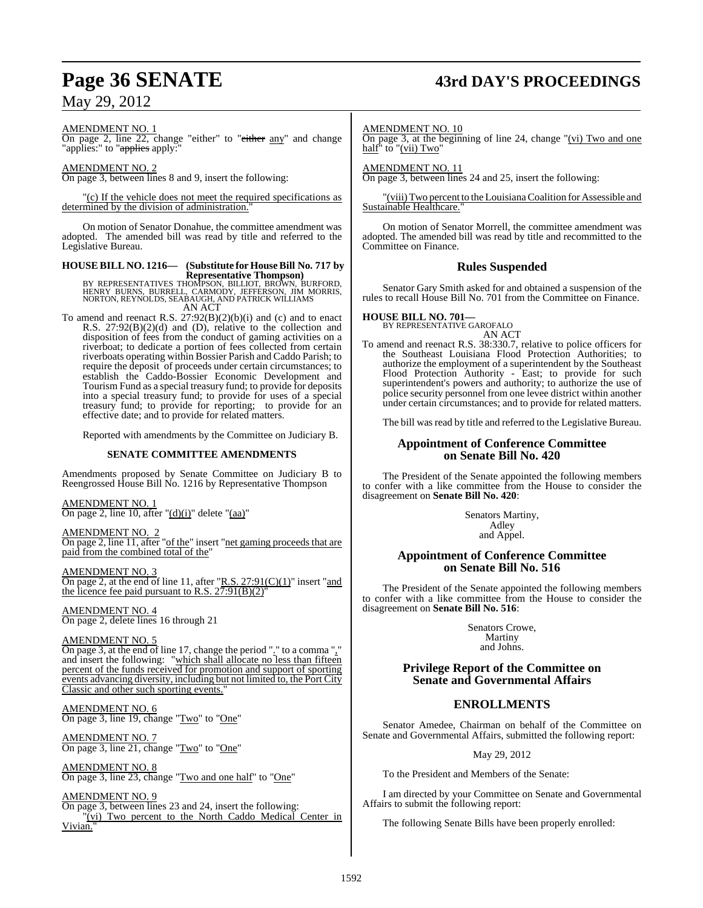## **Page 36 SENATE 43rd DAY'S PROCEEDINGS**

May 29, 2012

AMENDMENT NO. 1

On page 2, line 22, change "either" to "either any" and change "applies:" to "<del>applies</del> apply:"

AMENDMENT NO. 2 On page 3, between lines 8 and 9, insert the following:

"(c) If the vehicle does not meet the required specifications as determined by the division of administration.

On motion of Senator Donahue, the committee amendment was adopted. The amended bill was read by title and referred to the Legislative Bureau.

## **HOUSE BILL NO. 1216— (Substitute for House Bill No. 717 by**

**Representative Thompson)<br>BY REPRESENTATIVES THOMPSON, BILLIOT, BROWN, BURFORD,<br>HENRY BURNS, BURRELL, CARMODY, JEFFERSON, JIM MORRIS,<br>NORTON, REYNOLDS, SEABAUGH, AND PATRICK WILLIAMS** AN ACT

To amend and reenact R.S.  $27:92(B)(2)(b)(i)$  and (c) and to enact R.S. 27:92(B)(2)(d) and (D), relative to the collection and disposition of fees from the conduct of gaming activities on a riverboat; to dedicate a portion of fees collected from certain riverboats operating within Bossier Parish and Caddo Parish; to require the deposit of proceeds under certain circumstances; to establish the Caddo-Bossier Economic Development and Tourism Fund as a special treasury fund; to provide for deposits into a special treasury fund; to provide for uses of a special treasury fund; to provide for reporting; to provide for an effective date; and to provide for related matters.

Reported with amendments by the Committee on Judiciary B.

#### **SENATE COMMITTEE AMENDMENTS**

Amendments proposed by Senate Committee on Judiciary B to Reengrossed House Bill No. 1216 by Representative Thompson

AMENDMENT NO. 1

On page 2, line 10, after  $"(\underline{d})(i)"$  delete  $"(\underline{aa})"$ 

AMENDMENT NO.

On page 2, line 11, after "of the" insert "net gaming proceeds that are paid from the combined total of the"

AMENDMENT NO. 3 On page 2, at the end of line 11, after "R.S.  $27:91(C)(1)$ " insert "and the licence fee paid pursuant to R.S.  $27:91(B)(2)$ "

AMENDMENT NO. 4 On page 2, delete lines 16 through 21

#### AMENDMENT NO. 5

On page 3, at the end of line 17, change the period "." to a comma "," and insert the following: "which shall allocate no less than fifteen percent of the funds received for promotion and support of sporting events advancing diversity, including but not limited to, the Port City Classic and other such sporting events.

AMENDMENT NO. 6 On page 3, line 19, change "Two" to "One"

AMENDMENT NO. 7 On page 3, line 21, change "Two" to "One"

AMENDMENT NO. 8 On page 3, line 23, change "Two and one half" to "One"

AMENDMENT NO. 9 On page 3, between lines 23 and 24, insert the following: "(vi) Two percent to the North Caddo Medical Center in Vivian."

AMENDMENT NO. 10

On page 3, at the beginning of line 24, change "(vi) Two and one half" to "<u>(vii) Two</u>"

AMENDMENT NO. 11

On page 3, between lines 24 and 25, insert the following:

"(viii)Two percent to the LouisianaCoalition for Assessible and Sustainable Healthcare.

On motion of Senator Morrell, the committee amendment was adopted. The amended bill was read by title and recommitted to the Committee on Finance.

#### **Rules Suspended**

Senator Gary Smith asked for and obtained a suspension of the rules to recall House Bill No. 701 from the Committee on Finance.

## **HOUSE BILL NO. 701—**

BY REPRESENTATIVE GAROFALO AN ACT

To amend and reenact R.S. 38:330.7, relative to police officers for the Southeast Louisiana Flood Protection Authorities; to authorize the employment of a superintendent by the Southeast Flood Protection Authority - East; to provide for such superintendent's powers and authority; to authorize the use of police security personnel from one levee district within another under certain circumstances; and to provide for related matters.

The bill was read by title and referred to the Legislative Bureau.

#### **Appointment of Conference Committee on Senate Bill No. 420**

The President of the Senate appointed the following members to confer with a like committee from the House to consider the disagreement on **Senate Bill No. 420**:

> Senators Martiny, Adley and Appel.

#### **Appointment of Conference Committee on Senate Bill No. 516**

The President of the Senate appointed the following members to confer with a like committee from the House to consider the disagreement on **Senate Bill No. 516**:

> Senators Crowe, Martiny and Johns.

#### **Privilege Report of the Committee on Senate and Governmental Affairs**

#### **ENROLLMENTS**

Senator Amedee, Chairman on behalf of the Committee on Senate and Governmental Affairs, submitted the following report:

May 29, 2012

To the President and Members of the Senate:

I am directed by your Committee on Senate and Governmental Affairs to submit the following report:

The following Senate Bills have been properly enrolled: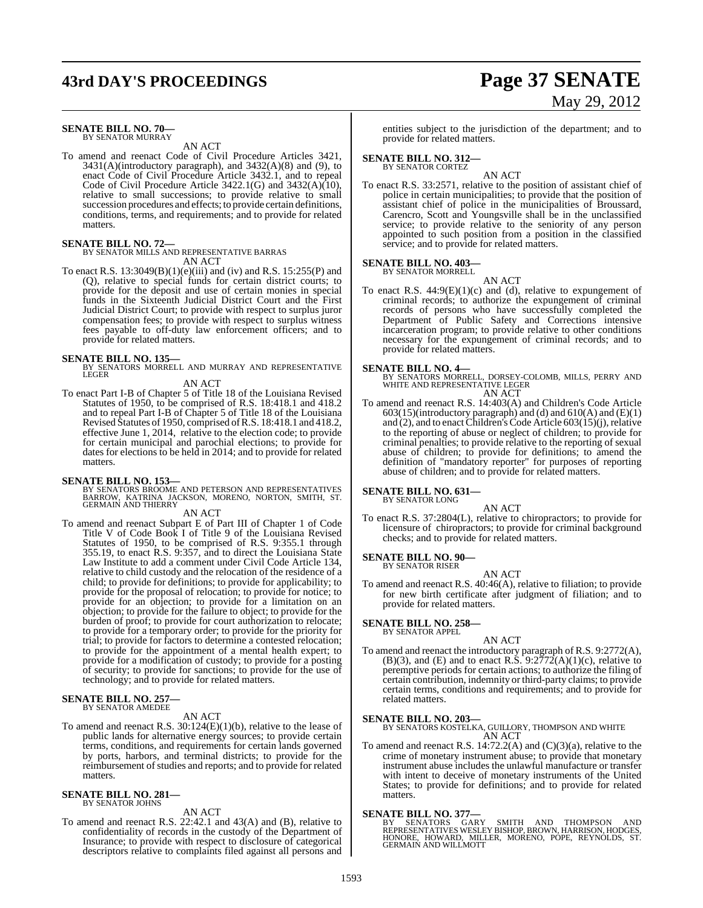## **43rd DAY'S PROCEEDINGS Page 37 SENATE**

# May 29, 2012

#### **SENATE BILL NO. 70—** BY SENATOR MURRAY

AN ACT

To amend and reenact Code of Civil Procedure Articles 3421,  $3431(A)$ (introductory paragraph), and  $3432(A)(8)$  and (9), to enact Code of Civil Procedure Article 3432.1, and to repeal Code of Civil Procedure Article 3422.1(G) and 3432(A)(10), relative to small successions; to provide relative to small succession procedures and effects; to provide certain definitions, conditions, terms, and requirements; and to provide for related matters.

#### **SENATE BILL NO. 72—**

BY SENATOR MILLS AND REPRESENTATIVE BARRAS AN ACT

To enact R.S. 13:3049(B)(1)(e)(iii) and (iv) and R.S. 15:255(P) and (Q), relative to special funds for certain district courts; to provide for the deposit and use of certain monies in special funds in the Sixteenth Judicial District Court and the First Judicial District Court; to provide with respect to surplus juror compensation fees; to provide with respect to surplus witness fees payable to off-duty law enforcement officers; and to provide for related matters.

**SENATE BILL NO. 135—** BY SENATORS MORRELL AND MURRAY AND REPRESENTATIVE **LEGER** 

#### AN ACT

To enact Part I-B of Chapter 5 of Title 18 of the Louisiana Revised Statutes of 1950, to be comprised of R.S. 18:418.1 and 418.2 and to repeal Part I-B of Chapter 5 of Title 18 of the Louisiana Revised Statutes of 1950, comprised ofR.S. 18:418.1 and 418.2, effective June 1, 2014, relative to the election code; to provide for certain municipal and parochial elections; to provide for dates for elections to be held in 2014; and to provide for related matters.

#### **SENATE BILL NO. 153—**

BY SENATORS BROOME AND PETERSON AND REPRESENTATIVES<br>BARROW, KATRINA JACKSON, MORENO, NORTON, SMITH, ST.<br>GERMAIN AND THIERRY

### AN ACT

To amend and reenact Subpart E of Part III of Chapter 1 of Code Title V of Code Book I of Title 9 of the Louisiana Revised Statutes of 1950, to be comprised of R.S. 9:355.1 through 355.19, to enact R.S. 9:357, and to direct the Louisiana State Law Institute to add a comment under Civil Code Article 134, relative to child custody and the relocation of the residence of a child; to provide for definitions; to provide for applicability; to provide for the proposal of relocation; to provide for notice; to provide for an objection; to provide for a limitation on an objection; to provide for the failure to object; to provide for the burden of proof; to provide for court authorization to relocate; to provide for a temporary order; to provide for the priority for trial; to provide for factors to determine a contested relocation; to provide for the appointment of a mental health expert; to provide for a modification of custody; to provide for a posting of security; to provide for sanctions; to provide for the use of technology; and to provide for related matters.

#### **SENATE BILL NO. 257—** BY SENATOR AMEDEE

#### AN ACT

To amend and reenact R.S. 30:124(E)(1)(b), relative to the lease of public lands for alternative energy sources; to provide certain terms, conditions, and requirements for certain lands governed by ports, harbors, and terminal districts; to provide for the reimbursement of studies and reports; and to provide for related matters.

#### **SENATE BILL NO. 281—** BY SENATOR JOHNS

AN ACT

To amend and reenact R.S. 22:42.1 and 43(A) and (B), relative to confidentiality of records in the custody of the Department of Insurance; to provide with respect to disclosure of categorical descriptors relative to complaints filed against all persons and entities subject to the jurisdiction of the department; and to provide for related matters.

## **SENATE BILL NO. 312—** BY SENATOR CORTEZ

AN ACT To enact R.S. 33:2571, relative to the position of assistant chief of police in certain municipalities; to provide that the position of assistant chief of police in the municipalities of Broussard, Carencro, Scott and Youngsville shall be in the unclassified service; to provide relative to the seniority of any person appointed to such position from a position in the classified service; and to provide for related matters.

#### **SENATE BILL NO. 403—** BY SENATOR MORRELL

AN ACT

To enact R.S. 44:9(E)(1)(c) and (d), relative to expungement of criminal records; to authorize the expungement of criminal records of persons who have successfully completed the Department of Public Safety and Corrections intensive incarceration program; to provide relative to other conditions necessary for the expungement of criminal records; and to provide for related matters.

#### **SENATE BILL NO. 4—**

BY SENATORS MORRELL, DORSEY-COLOMB, MILLS, PERRY AND WHITE AND REPRESENTATIVE LEGER AN ACT

To amend and reenact R.S. 14:403(A) and Children's Code Article  $603(15)$ (introductory paragraph) and (d) and  $610(A)$  and  $(E)(1)$ and  $(2)$ , and to enact Children's Code Article 603 $(15)(j)$ , relative to the reporting of abuse or neglect of children; to provide for criminal penalties; to provide relative to the reporting of sexual abuse of children; to provide for definitions; to amend the definition of "mandatory reporter" for purposes of reporting abuse of children; and to provide for related matters.

## **SENATE BILL NO. 631—** BY SENATOR LONG

AN ACT

To enact R.S. 37:2804(L), relative to chiropractors; to provide for licensure of chiropractors; to provide for criminal background checks; and to provide for related matters.

## **SENATE BILL NO. 90—** BY SENATOR RISER

- AN ACT
- To amend and reenact R.S. 40:46(A), relative to filiation; to provide for new birth certificate after judgment of filiation; and to provide for related matters.

#### **SENATE BILL NO. 258—**

BY SENATOR APPEL

#### AN ACT

To amend and reenact the introductory paragraph of R.S. 9:2772(A),  $(B)(3)$ , and  $(E)$  and to enact R.S.  $9:2772(A)(1)(c)$ , relative to peremptive periods for certain actions; to authorize the filing of certain contribution, indemnity or third-party claims; to provide certain terms, conditions and requirements; and to provide for related matters.

**SENATE BILL NO. 203—** BY SENATORS KOSTELKA, GUILLORY, THOMPSON AND WHITE AN ACT

To amend and reenact R.S. 14:72.2(A) and (C)(3)(a), relative to the crime of monetary instrument abuse; to provide that monetary instrument abuse includes the unlawful manufacture or transfer with intent to deceive of monetary instruments of the United States; to provide for definitions; and to provide for related matters.

**SENATE BILL NO. 377—**<br>BY SENATORS GARY SMITH AND THOMPSON AND<br>REPRESENTATIVES WESLEY BISHOP, BROWN, HARRISON, HODGES,<br>HONORE, HOWARD, MILLER, MORENO, POPE, REYNOLDS, ST.<br>GERMAIN AND WILLMOTT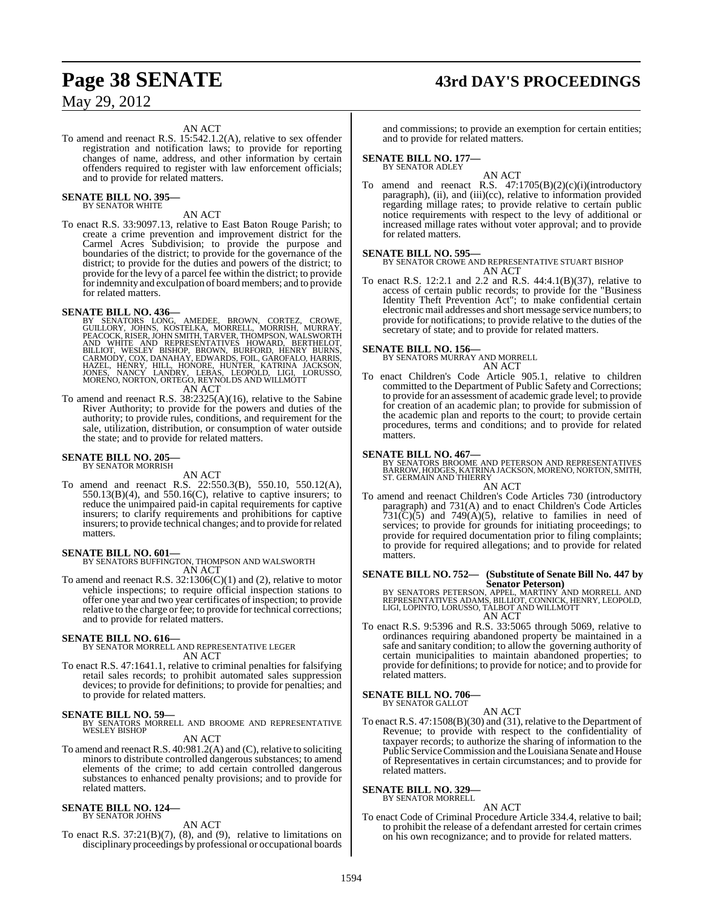# **Page 38 SENATE 43rd DAY'S PROCEEDINGS**

May 29, 2012

#### AN ACT

To amend and reenact R.S. 15:542.1.2(A), relative to sex offender registration and notification laws; to provide for reporting changes of name, address, and other information by certain offenders required to register with law enforcement officials; and to provide for related matters.

#### **SENATE BILL NO. 395—** BY SENATOR WHITE

AN ACT

To enact R.S. 33:9097.13, relative to East Baton Rouge Parish; to create a crime prevention and improvement district for the Carmel Acres Subdivision; to provide the purpose and boundaries of the district; to provide for the governance of the district; to provide for the duties and powers of the district; to provide for the levy of a parcel fee within the district; to provide for indemnity and exculpation of board members; and to provide for related matters.

#### **SENATE BILL NO. 436—**

- BY SENATORS LONG, AMEDEE, BROWN, CORTEZ, CROWE,<br>GUILLORY, JOHNS, KOSTELKA, MORRELL, MORRISH, MURRAY,<br>PEACOCK, RISER, JOHN SMITH, TARVER, THOMPSON, WALSWORTH<br>AND WHITE AND REPRESENTATIVES HOWARD, BERTHELOT,<br>BILLIOT, WESLEY AN ACT
- To amend and reenact R.S. 38:2325(A)(16), relative to the Sabine River Authority; to provide for the powers and duties of the authority; to provide rules, conditions, and requirement for the sale, utilization, distribution, or consumption of water outside the state; and to provide for related matters.

#### **SENATE BILL NO. 205—** BY SENATOR MORRISH

AN ACT

To amend and reenact R.S. 22:550.3(B), 550.10, 550.12(A),  $550.13(B)(4)$ , and  $550.16(C)$ , relative to captive insurers; to reduce the unimpaired paid-in capital requirements for captive insurers; to clarify requirements and prohibitions for captive insurers; to provide technical changes; and to provide forrelated matters.

#### **SENATE BILL NO. 601—**

BY SENATORS BUFFINGTON, THOMPSON AND WALSWORTH AN ACT

To amend and reenact R.S. 32:1306(C)(1) and (2), relative to motor vehicle inspections; to require official inspection stations to offer one year and two year certificates of inspection; to provide relative to the charge or fee; to provide for technical corrections; and to provide for related matters.

#### **SENATE BILL NO. 616—**

BY SENATOR MORRELL AND REPRESENTATIVE LEGER AN ACT

To enact R.S. 47:1641.1, relative to criminal penalties for falsifying retail sales records; to prohibit automated sales suppression devices; to provide for definitions; to provide for penalties; and to provide for related matters.

#### **SENATE BILL NO. 59—**

BY SENATORS MORRELL AND BROOME AND REPRESENTATIVE WESLEY BISHOP

AN ACT

To amend and reenact R.S. 40:981.2(A) and (C), relative to soliciting minors to distribute controlled dangerous substances; to amend elements of the crime; to add certain controlled dangerous substances to enhanced penalty provisions; and to provide for related matters.

#### **SENATE BILL NO. 124—** BY SENATOR JOHNS

AN ACT

To enact R.S.  $37:21(B)(7)$ ,  $(8)$ , and  $(9)$ , relative to limitations on disciplinary proceedings by professional or occupational boards

and commissions; to provide an exemption for certain entities; and to provide for related matters.

## **SENATE BILL NO. 177—** BY SENATOR ADLEY

AN ACT To amend and reenact R.S. 47:1705(B)(2)(c)(i)(introductory paragraph), (ii), and (iii)(cc), relative to information provided regarding millage rates; to provide relative to certain public notice requirements with respect to the levy of additional or increased millage rates without voter approval; and to provide for related matters.

#### **SENATE BILL NO. 595—**

BY SENATOR CROWE AND REPRESENTATIVE STUART BISHOP AN ACT

To enact R.S. 12:2.1 and 2.2 and R.S. 44:4.1(B)(37), relative to access of certain public records; to provide for the "Business Identity Theft Prevention Act"; to make confidential certain electronic mail addresses and short message service numbers; to provide for notifications; to provide relative to the duties of the secretary of state; and to provide for related matters.

**SENATE BILL NO. 156—** BY SENATORS MURRAY AND MORRELL AN ACT

To enact Children's Code Article 905.1, relative to children committed to the Department of Public Safety and Corrections; to provide for an assessment of academic grade level; to provide for creation of an academic plan; to provide for submission of the academic plan and reports to the court; to provide certain procedures, terms and conditions; and to provide for related matters.

**SENATE BILL NO. 467—**<br>BY SENATORS BROOME AND PETERSON AND REPRESENTATIVES<br>BARROW, HODGES, KATRINAJACKSON, MORENO, NORTON, SMITH,<br>ST. GERMAIN AND THIERRY AN ACT

To amend and reenact Children's Code Articles 730 (introductory paragraph) and 731(A) and to enact Children's Code Articles  $731(\text{C})(5)$  and  $749(\text{A})(5)$ , relative to families in need of services; to provide for grounds for initiating proceedings; to provide for required documentation prior to filing complaints; to provide for required allegations; and to provide for related matters.

#### **SENATE BILL NO. 752— (Substitute of Senate Bill No. 447 by Senator Peterson)**

BY SENATORS PETERSON, APPEL, MARTINY AND MORRELL AND<br>REPRESENTATIVES ADAMS, BILLIOT, CONNICK, HENRY, LEOPOLD,<br>LIGI, LOPINTO, LORUSSO, TALBOT AND WILLMOTT AN ACT

To enact R.S. 9:5396 and R.S. 33:5065 through 5069, relative to ordinances requiring abandoned property be maintained in a safe and sanitary condition; to allow the governing authority of certain municipalities to maintain abandoned properties; to provide for definitions; to provide for notice; and to provide for related matters.

## **SENATE BILL NO. 706—** BY SENATOR GALLOT

AN ACT

To enact R.S. 47:1508(B)(30) and (31), relative to the Department of Revenue; to provide with respect to the confidentiality of taxpayer records; to authorize the sharing of information to the Public Service Commission and the Louisiana Senate and House of Representatives in certain circumstances; and to provide for related matters.

#### **SENATE BILL NO. 329—** BY SENATOR MORRELL

AN ACT

To enact Code of Criminal Procedure Article 334.4, relative to bail; to prohibit the release of a defendant arrested for certain crimes on his own recognizance; and to provide for related matters.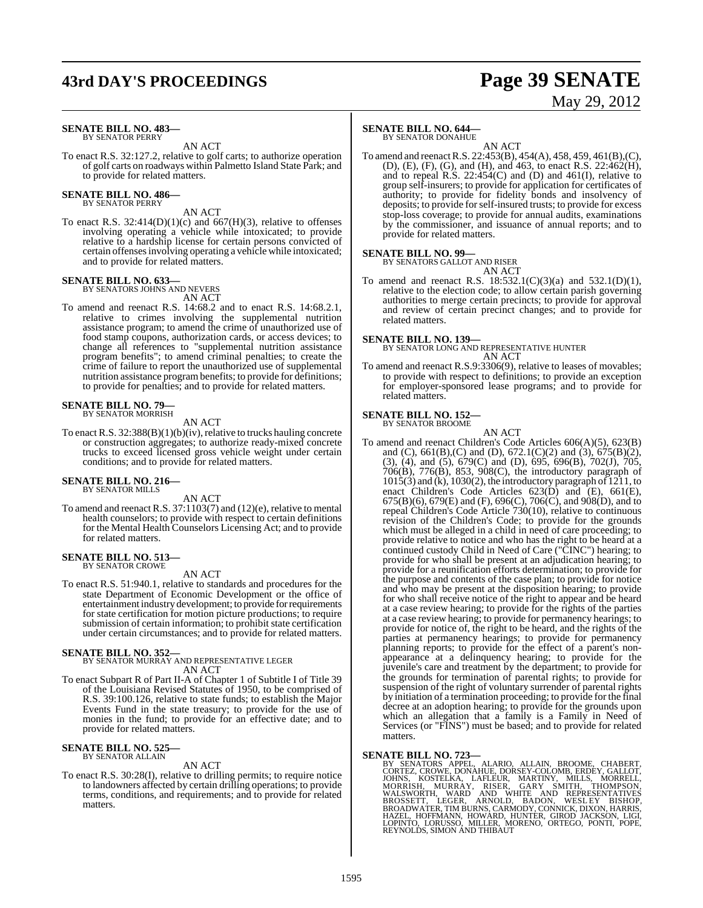## **43rd DAY'S PROCEEDINGS Page 39 SENATE**

# May 29, 2012

#### **SENATE BILL NO. 483—** BY SENATOR PERRY

AN ACT

To enact R.S. 32:127.2, relative to golf carts; to authorize operation of golf carts on roadways within Palmetto Island State Park; and to provide for related matters.

#### **SENATE BILL NO. 486—** BY SENATOR PERRY

AN ACT

To enact R.S. 32:414(D)(1)(c) and 667(H)(3), relative to offenses involving operating a vehicle while intoxicated; to provide relative to a hardship license for certain persons convicted of certain offenses involving operating a vehicle while intoxicated; and to provide for related matters.

## **SENATE BILL NO. 633—** BY SENATORS JOHNS AND NEVERS

AN ACT

To amend and reenact R.S. 14:68.2 and to enact R.S. 14:68.2.1, relative to crimes involving the supplemental nutrition assistance program; to amend the crime of unauthorized use of food stamp coupons, authorization cards, or access devices; to change all references to "supplemental nutrition assistance program benefits"; to amend criminal penalties; to create the crime of failure to report the unauthorized use of supplemental nutrition assistance programbenefits; to provide for definitions; to provide for penalties; and to provide for related matters.

#### **SENATE BILL NO. 79—** BY SENATOR MORRISH

AN ACT

To enact R.S.  $32:388(B)(1)(b)(iv)$ , relative to trucks hauling concrete or construction aggregates; to authorize ready-mixed concrete trucks to exceed licensed gross vehicle weight under certain conditions; and to provide for related matters.

#### **SENATE BILL NO. 216—** BY SENATOR MILLS

AN ACT

To amend and reenact R.S. 37:1103(7) and (12)(e), relative to mental health counselors; to provide with respect to certain definitions for the Mental Health Counselors Licensing Act; and to provide for related matters.

## **SENATE BILL NO. 513—** BY SENATOR CROWE

AN ACT

To enact R.S. 51:940.1, relative to standards and procedures for the state Department of Economic Development or the office of entertainment industry development; to provide for requirements for state certification for motion picture productions; to require submission of certain information; to prohibit state certification under certain circumstances; and to provide for related matters.

#### **SENATE BILL NO. 352—**

BY SENATOR MURRAY AND REPRESENTATIVE LEGER AN ACT

To enact Subpart R of Part II-A of Chapter 1 of Subtitle I of Title 39 of the Louisiana Revised Statutes of 1950, to be comprised of R.S. 39:100.126, relative to state funds; to establish the Major Events Fund in the state treasury; to provide for the use of monies in the fund; to provide for an effective date; and to provide for related matters.

#### **SENATE BILL NO. 525—** BY SENATOR ALLAIN

#### AN ACT

To enact R.S. 30:28(I), relative to drilling permits; to require notice to landowners affected by certain drilling operations; to provide terms, conditions, and requirements; and to provide for related matters.

#### **SENATE BILL NO. 644—**

BY SENATOR DONAHUE

AN ACT To amend and reenactR.S. 22:453(B), 454(A), 458, 459, 461(B),(C), (D), (E), (F), (G), and (H), and 463, to enact R.S. 22:462(H), and to repeal  $R.S. 22:454(C)$  and  $(D)$  and  $461(I)$ , relative to group self-insurers; to provide for application for certificates of authority; to provide for fidelity bonds and insolvency of deposits; to provide forself-insured trusts; to provide for excess stop-loss coverage; to provide for annual audits, examinations by the commissioner, and issuance of annual reports; and to provide for related matters.

#### **SENATE BILL NO. 99—**

BY SENATORS GALLOT AND RISER AN ACT

To amend and reenact R.S. 18:532.1(C)(3)(a) and 532.1(D)(1), relative to the election code; to allow certain parish governing authorities to merge certain precincts; to provide for approval and review of certain precinct changes; and to provide for related matters.

#### **SENATE BILL NO. 139—**

BY SENATOR LONG AND REPRESENTATIVE HUNTER AN ACT

To amend and reenact R.S.9:3306(9), relative to leases of movables; to provide with respect to definitions; to provide an exception for employer-sponsored lease programs; and to provide for related matters.

#### **SENATE BILL NO. 152—** BY SENATOR BROOME

AN ACT

To amend and reenact Children's Code Articles 606(A)(5), 623(B) and (C),  $661(B)$ , (C) and (D),  $672.1(C)(2)$  and (3),  $675(B)(2)$ , (3), (4), and (5), 679(C) and (D), 695, 696(B), 702(J), 705, 706(B), 776(B), 853, 908(C), the introductory paragraph of 1015(3) and (k), 1030(2), the introductory paragraph of 1211, to enact Children's Code Articles 623(D) and (E), 661(E), 675(B)(6), 679(E) and (F), 696(C), 706(C), and 908(D), and to repeal Children's Code Article 730(10), relative to continuous revision of the Children's Code; to provide for the grounds which must be alleged in a child in need of care proceeding; to provide relative to notice and who has the right to be heard at a continued custody Child in Need of Care ("CINC") hearing; to provide for who shall be present at an adjudication hearing; to provide for a reunification efforts determination; to provide for the purpose and contents of the case plan; to provide for notice and who may be present at the disposition hearing; to provide for who shall receive notice of the right to appear and be heard at a case review hearing; to provide for the rights of the parties at a case review hearing; to provide for permanency hearings; to provide for notice of, the right to be heard, and the rights of the parties at permanency hearings; to provide for permanency planning reports; to provide for the effect of a parent's nonappearance at a delinquency hearing; to provide for the juvenile's care and treatment by the department; to provide for the grounds for termination of parental rights; to provide for suspension of the right of voluntary surrender of parental rights by initiation of a termination proceeding; to provide for the final decree at an adoption hearing; to provide for the grounds upon which an allegation that a family is a Family in Need of Services (or "FINS") must be based; and to provide for related matters.

**SENATE BILL NO. 723**—<br>
BY SENATORS APPEL, ALARIO, ALLAIN, BROOME, CHABERT,<br>
CORTEZ, CROWE, DONAHUE, DORSEY-COLOMB, ERDEY, GALLOT,<br>
JOHNS, KOSTELKA, LAFLEUR, MARTINY, MILLS, MORRELL,<br>
MALSWORTH, WARD AND WHITE AND REPRESEN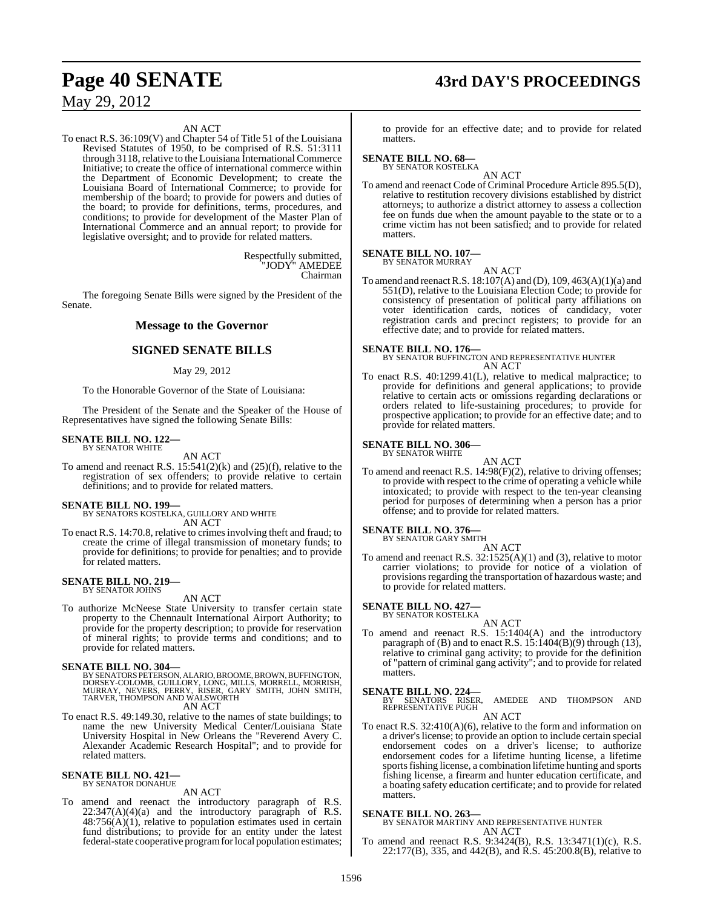## **Page 40 SENATE 43rd DAY'S PROCEEDINGS**

May 29, 2012

#### AN ACT

To enact R.S. 36:109(V) and Chapter 54 of Title 51 of the Louisiana Revised Statutes of 1950, to be comprised of R.S. 51:3111 through 3118, relative to the Louisiana International Commerce Initiative; to create the office of international commerce within the Department of Economic Development; to create the Louisiana Board of International Commerce; to provide for membership of the board; to provide for powers and duties of the board; to provide for definitions, terms, procedures, and conditions; to provide for development of the Master Plan of International Commerce and an annual report; to provide for legislative oversight; and to provide for related matters.

> Respectfully submitted, "JODY" AMEDEE Chairman

The foregoing Senate Bills were signed by the President of the Senate.

#### **Message to the Governor**

### **SIGNED SENATE BILLS**

#### May 29, 2012

To the Honorable Governor of the State of Louisiana:

The President of the Senate and the Speaker of the House of Representatives have signed the following Senate Bills:

## **SENATE BILL NO. 122—** BY SENATOR WHITE

AN ACT

To amend and reenact R.S.  $15:541(2)(k)$  and  $(25)(f)$ , relative to the registration of sex offenders; to provide relative to certain definitions; and to provide for related matters.

#### **SENATE BILL NO. 199—**

BY SENATORS KOSTELKA, GUILLORY AND WHITE AN ACT

To enact R.S. 14:70.8, relative to crimes involving theft and fraud; to create the crime of illegal transmission of monetary funds; to provide for definitions; to provide for penalties; and to provide for related matters.

## **SENATE BILL NO. 219—** BY SENATOR JOHNS

AN ACT

To authorize McNeese State University to transfer certain state property to the Chennault International Airport Authority; to provide for the property description; to provide for reservation of mineral rights; to provide terms and conditions; and to provide for related matters.

SENATE BILL NO. 304—<br>BY SENATORS PETERSON, ALARIO, BROOME, BROWN, BUFFINGTON, DORSEY-COLOMB, GUILORY, LONG, MILLS, MORRELL, MORRISH,<br>MURRAY, NEVERS, PERRY, RISER, GARY SMITH, JOHN SMITH,<br>TARVER, THOMPSON AND WALSWORTH AN ACT

To enact R.S. 49:149.30, relative to the names of state buildings; to name the new University Medical Center/Louisiana State University Hospital in New Orleans the "Reverend Avery C. Alexander Academic Research Hospital"; and to provide for related matters.

## **SENATE BILL NO. 421—** BY SENATOR DONAHUE

AN ACT

To amend and reenact the introductory paragraph of R.S.  $22:347(A)(4)(a)$  and the introductory paragraph of R.S.  $48:756(A)(1)$ , relative to population estimates used in certain fund distributions; to provide for an entity under the latest federal-state cooperative programforlocal population estimates;

to provide for an effective date; and to provide for related matters.

## **SENATE BILL NO. 68—** BY SENATOR KOSTELKA

AN ACT To amend and reenact Code of Criminal Procedure Article 895.5(D), relative to restitution recovery divisions established by district attorneys; to authorize a district attorney to assess a collection fee on funds due when the amount payable to the state or to a crime victim has not been satisfied; and to provide for related matters.

#### **SENATE BILL NO. 107—** BY SENATOR MURRAY

AN ACT

To amend and reenactR.S. 18:107(A) and (D), 109, 463(A)(1)(a) and 551(D), relative to the Louisiana Election Code; to provide for consistency of presentation of political party affiliations on voter identification cards, notices of candidacy, voter registration cards and precinct registers; to provide for an effective date; and to provide for related matters.

**SENATE BILL NO. 176—** BY SENATOR BUFFINGTON AND REPRESENTATIVE HUNTER AN ACT

To enact R.S. 40:1299.41(L), relative to medical malpractice; to provide for definitions and general applications; to provide relative to certain acts or omissions regarding declarations or orders related to life-sustaining procedures; to provide for prospective application; to provide for an effective date; and to provide for related matters.

#### **SENATE BILL NO. 306—** BY SENATOR WHITE

- AN ACT
- To amend and reenact R.S. 14:98(F)(2), relative to driving offenses; to provide with respect to the crime of operating a vehicle while intoxicated; to provide with respect to the ten-year cleansing period for purposes of determining when a person has a prior offense; and to provide for related matters.

#### **SENATE BILL NO. 376—**

BY SENATOR GARY SMITH AN ACT

To amend and reenact R.S. 32:1525(A)(1) and (3), relative to motor carrier violations; to provide for notice of a violation of provisions regarding the transportation of hazardous waste; and to provide for related matters.

## **SENATE BILL NO. 427—** BY SENATOR KOSTELKA

AN ACT

To amend and reenact R.S. 15:1404(A) and the introductory paragraph of (B) and to enact R.S. 15:1404(B)(9) through (13), relative to criminal gang activity; to provide for the definition of "pattern of criminal gang activity"; and to provide for related matters.

**SENATE BILL NO. 224—**<br>BY SENATORS RISER, AMEDEE AND THOMPSON AND REPRESENTATIVE PUGH

AN ACT

To enact R.S. 32:410(A)(6), relative to the form and information on a driver's license; to provide an option to include certain special endorsement codes on a driver's license; to authorize endorsement codes for a lifetime hunting license, a lifetime sports fishing license, a combination lifetime hunting and sports fishing license, a firearm and hunter education certificate, and a boating safety education certificate; and to provide for related matters.

#### **SENATE BILL NO. 263—**

BY SENATOR MARTINY AND REPRESENTATIVE HUNTER AN ACT

To amend and reenact R.S. 9:3424(B), R.S. 13:3471(1)(c), R.S. 22:177(B), 335, and 442(B), and R.S. 45:200.8(B), relative to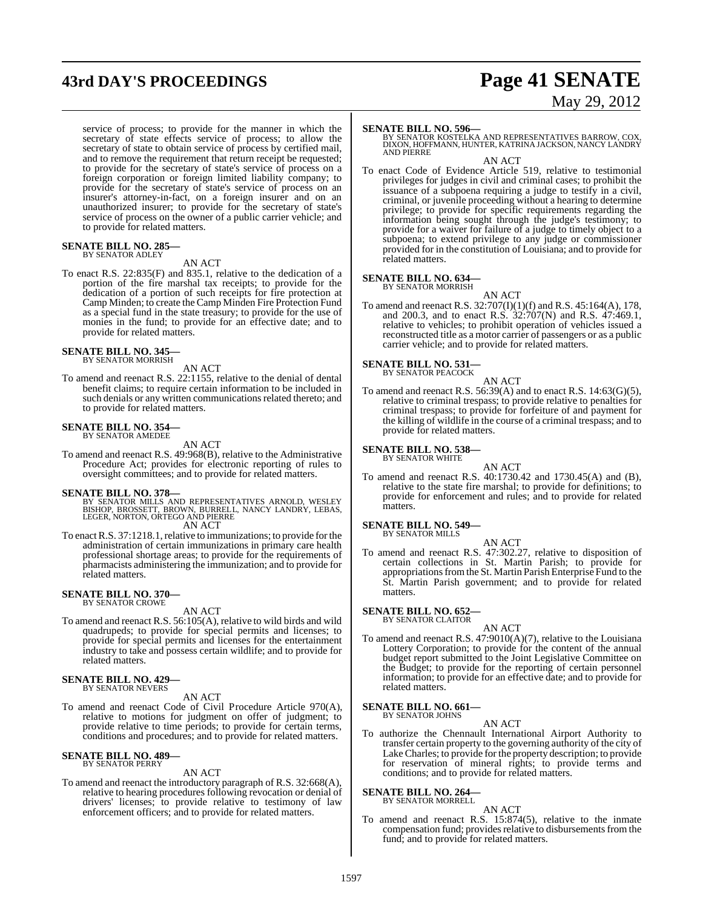# **43rd DAY'S PROCEEDINGS Page 41 SENATE**

service of process; to provide for the manner in which the secretary of state effects service of process; to allow the secretary of state to obtain service of process by certified mail. and to remove the requirement that return receipt be requested; to provide for the secretary of state's service of process on a foreign corporation or foreign limited liability company; to provide for the secretary of state's service of process on an insurer's attorney-in-fact, on a foreign insurer and on an unauthorized insurer; to provide for the secretary of state's service of process on the owner of a public carrier vehicle; and to provide for related matters.

#### **SENATE BILL NO. 285—** BY SENATOR ADLEY

AN ACT

To enact R.S. 22:835(F) and 835.1, relative to the dedication of a portion of the fire marshal tax receipts; to provide for the dedication of a portion of such receipts for fire protection at Camp Minden; to create the Camp Minden Fire Protection Fund as a special fund in the state treasury; to provide for the use of monies in the fund; to provide for an effective date; and to provide for related matters.

#### **SENATE BILL NO. 345—** BY SENATOR MORRISH

AN ACT

To amend and reenact R.S. 22:1155, relative to the denial of dental benefit claims; to require certain information to be included in such denials or any written communications related thereto; and to provide for related matters.

## **SENATE BILL NO. 354—** BY SENATOR AMEDEE

AN ACT

To amend and reenact R.S. 49:968(B), relative to the Administrative Procedure Act; provides for electronic reporting of rules to oversight committees; and to provide for related matters.

#### **SENATE BILL NO. 378—**

- BY SENATOR MILLS AND REPRESENTATIVES ARNOLD, WESLEY<br>BISHOP, BROSSETT, BROWN, BURRELL, NANCY LANDRY, LEBAS,<br>LEGER, NORTON, ORTEGO AND PIERRE AN ACT
	-
- To enact R.S. 37:1218.1, relative to immunizations; to provide for the administration of certain immunizations in primary care health professional shortage areas; to provide for the requirements of pharmacists administering the immunization; and to provide for related matters.

## **SENATE BILL NO. 370—** BY SENATOR CROWE

AN ACT

To amend and reenact R.S. 56:105(A), relative to wild birds and wild quadrupeds; to provide for special permits and licenses; to provide for special permits and licenses for the entertainment industry to take and possess certain wildlife; and to provide for related matters.

#### **SENATE BILL NO. 429—** BY SENATOR NEVERS

AN ACT

To amend and reenact Code of Civil Procedure Article 970(A), relative to motions for judgment on offer of judgment; to provide relative to time periods; to provide for certain terms, conditions and procedures; and to provide for related matters.

## **SENATE BILL NO. 489—** BY SENATOR PERRY

AN ACT

To amend and reenact the introductory paragraph of R.S. 32:668(A), relative to hearing procedures following revocation or denial of drivers' licenses; to provide relative to testimony of law enforcement officers; and to provide for related matters.

# May 29, 2012

**SENATE BILL NO. 596—**<br>BY SENATOR KOSTELKA AND REPRESENTATIVES BARROW, COX,<br>DIXON, HOFFMANN, HUNTER, KATRINA JACKSON, NANCY LANDRY<br>AND PIERRE

AN ACT

To enact Code of Evidence Article 519, relative to testimonial privileges for judges in civil and criminal cases; to prohibit the issuance of a subpoena requiring a judge to testify in a civil, criminal, or juvenile proceeding without a hearing to determine privilege; to provide for specific requirements regarding the information being sought through the judge's testimony; to provide for a waiver for failure of a judge to timely object to a subpoena; to extend privilege to any judge or commissioner provided for in the constitution of Louisiana; and to provide for related matters.

#### **SENATE BILL NO. 634—**

BY SENATOR MORRISH

AN ACT To amend and reenact R.S. 32:707(I)(1)(f) and R.S. 45:164(A), 178, and 200.3, and to enact R.S. 32:707(N) and R.S. 47:469.1, relative to vehicles; to prohibit operation of vehicles issued a reconstructed title as a motor carrier of passengers or as a public carrier vehicle; and to provide for related matters.

# **SENATE BILL NO. 531—** BY SENATOR PEACOCK

#### AN ACT

To amend and reenact R.S.  $56:39(A)$  and to enact R.S.  $14:63(G)(5)$ , relative to criminal trespass; to provide relative to penalties for criminal trespass; to provide for forfeiture of and payment for the killing of wildlife in the course of a criminal trespass; and to provide for related matters.

## **SENATE BILL NO. 538—** BY SENATOR WHITE

AN ACT To amend and reenact R.S. 40:1730.42 and 1730.45(A) and (B), relative to the state fire marshal; to provide for definitions; to provide for enforcement and rules; and to provide for related **matters** 

#### **SENATE BILL NO. 549—** BY SENATOR MILLS

AN ACT

To amend and reenact R.S. 47:302.27, relative to disposition of certain collections in St. Martin Parish; to provide for appropriations from the St. Martin Parish Enterprise Fund to the St. Martin Parish government; and to provide for related matters.

**SENATE BILL NO. 652—** BY SENATOR CLAITOR

#### AN ACT

To amend and reenact R.S. 47:9010(A)(7), relative to the Louisiana Lottery Corporation; to provide for the content of the annual budget report submitted to the Joint Legislative Committee on the Budget; to provide for the reporting of certain personnel information; to provide for an effective date; and to provide for related matters.

#### **SENATE BILL NO. 661—** BY SENATOR JOHNS

AN ACT

To authorize the Chennault International Airport Authority to transfer certain property to the governing authority of the city of Lake Charles; to provide for the property description; to provide for reservation of mineral rights; to provide terms and conditions; and to provide for related matters.

#### **SENATE BILL NO. 264—**

BY SENATOR MORRELL

AN ACT To amend and reenact R.S. 15:874(5), relative to the inmate compensation fund; provides relative to disbursements from the fund; and to provide for related matters.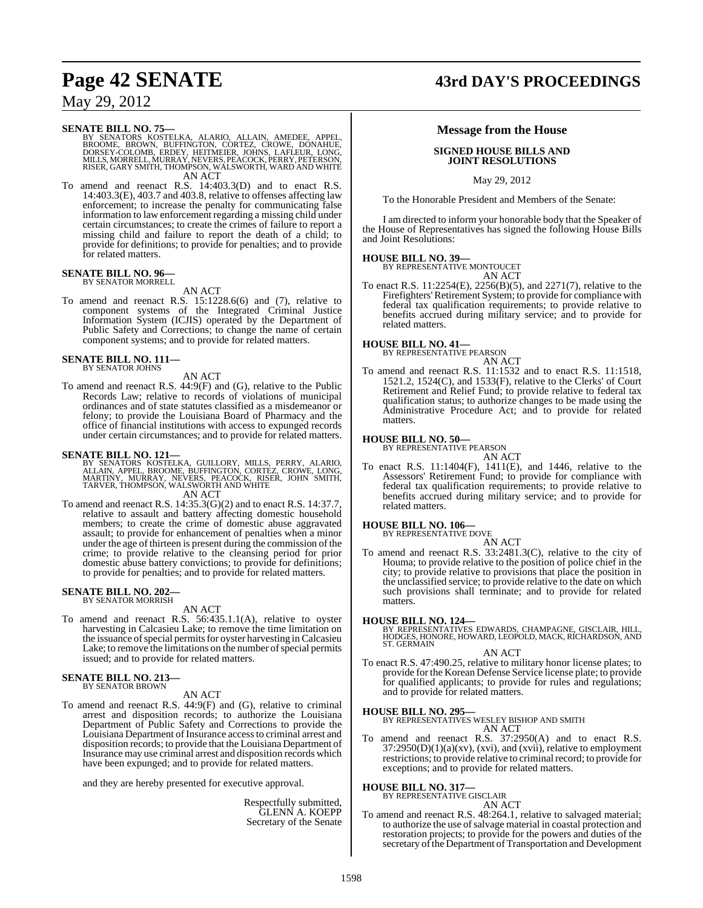SENATE BILL NO. 75—<br>BY SENATORS KOSTELKA, ALARIO, ALLAIN, AMEDEE, APPEL,<br>BROOME, BROWN, BUFFINGTON, CORTEZ, CROWE, DONAHUE,<br>DORSEY-COLOMB, ERDEY, HEITMEIER, JOHNS, LAFLEUR, LONG,<br>MILLS, MORRELL, MURRAY, NEVERS, PEACOCK, PE AN ACT

To amend and reenact R.S. 14:403.3(D) and to enact R.S. 14:403.3(E), 403.7 and 403.8, relative to offenses affecting law enforcement; to increase the penalty for communicating false information to law enforcement regarding a missing child under certain circumstances; to create the crimes of failure to report a missing child and failure to report the death of a child; to provide for definitions; to provide for penalties; and to provide for related matters.

## **SENATE BILL NO. 96—** BY SENATOR MORRELL

AN ACT

To amend and reenact R.S. 15:1228.6(6) and (7), relative to component systems of the Integrated Criminal Justice Information System (ICJIS) operated by the Department of Public Safety and Corrections; to change the name of certain component systems; and to provide for related matters.

**SENATE BILL NO. 111—** BY SENATOR JOHNS

AN ACT

To amend and reenact R.S. 44:9(F) and (G), relative to the Public Records Law; relative to records of violations of municipal ordinances and of state statutes classified as a misdemeanor or felony; to provide the Louisiana Board of Pharmacy and the office of financial institutions with access to expunged records under certain circumstances; and to provide for related matters.

#### **SENATE BILL NO. 121—**

BY SENATORS KOSTELKA, GUILLORY, MILLS, PERRY, ALARIO,<br>ALLAIN, APPEL, BROOME, BUFFINGTON, CORTEZ, CROWE, LONG,<br>MARTINY, MURRAY, NEVERS, PEACOCK, RISER, JOHN SMITH,<br>TARVER, THOMPSON,WALSWORTH AND WHITE AN ACT

To amend and reenact R.S. 14:35.3(G)(2) and to enact R.S. 14:37.7, relative to assault and battery affecting domestic household members; to create the crime of domestic abuse aggravated assault; to provide for enhancement of penalties when a minor under the age of thirteen is present during the commission of the crime; to provide relative to the cleansing period for prior domestic abuse battery convictions; to provide for definitions; to provide for penalties; and to provide for related matters.

#### **SENATE BILL NO. 202—** BY SENATOR MORRISH

AN ACT

To amend and reenact R.S. 56:435.1.1(A), relative to oyster harvesting in Calcasieu Lake; to remove the time limitation on the issuance of special permits for oyster harvesting in Calcasieu Lake; to remove the limitations on the number of special permits issued; and to provide for related matters.

#### **SENATE BILL NO. 213—** BY SENATOR BROWN

AN ACT

To amend and reenact R.S. 44:9(F) and (G), relative to criminal arrest and disposition records; to authorize the Louisiana Department of Public Safety and Corrections to provide the Louisiana Department of Insurance access to criminal arrest and disposition records; to provide that the Louisiana Department of Insurance may use criminal arrest and disposition records which have been expunged; and to provide for related matters.

and they are hereby presented for executive approval.

Respectfully submitted, GLENN A. KOEPP Secretary of the Senate

# **Page 42 SENATE 43rd DAY'S PROCEEDINGS**

## **Message from the House**

#### **SIGNED HOUSE BILLS AND JOINT RESOLUTIONS**

May 29, 2012

To the Honorable President and Members of the Senate:

I am directed to inform your honorable body that the Speaker of the House of Representatives has signed the following House Bills and Joint Resolutions:

## **HOUSE BILL NO. 39—** BY REPRESENTATIVE MONTOUCET

AN ACT

To enact R.S. 11:2254(E), 2256(B)(5), and 2271(7), relative to the Firefighters'Retirement System; to provide for compliance with federal tax qualification requirements; to provide relative to benefits accrued during military service; and to provide for related matters.

**HOUSE BILL NO. 41—** BY REPRESENTATIVE PEARSON

AN ACT To amend and reenact R.S. 11:1532 and to enact R.S. 11:1518, 1521.2, 1524(C), and 1533(F), relative to the Clerks' of Court Retirement and Relief Fund; to provide relative to federal tax qualification status; to authorize changes to be made using the Administrative Procedure Act; and to provide for related matters.

#### **HOUSE BILL NO. 50—**

BY REPRESENTATIVE PEARSON

AN ACT To enact R.S. 11:1404(F), 1411(E), and 1446, relative to the Assessors' Retirement Fund; to provide for compliance with federal tax qualification requirements; to provide relative to benefits accrued during military service; and to provide for related matters.

### **HOUSE BILL NO. 106—**

BY REPRESENTATIVE DOVE AN ACT

To amend and reenact R.S. 33:2481.3(C), relative to the city of Houma; to provide relative to the position of police chief in the city; to provide relative to provisions that place the position in the unclassified service; to provide relative to the date on which such provisions shall terminate; and to provide for related matters.

**HOUSE BILL NO. 124—** BY REPRESENTATIVES EDWARDS, CHAMPAGNE, GISCLAIR, HILL, HODGES, HONORE, HOWARD, LEOPOLD, MACK, RICHARDSON, AND ST. GERMAIN

AN ACT

To enact R.S. 47:490.25, relative to military honor license plates; to provide for the Korean Defense Service license plate; to provide for qualified applicants; to provide for rules and regulations; and to provide for related matters.

#### **HOUSE BILL NO. 295—**

BY REPRESENTATIVES WESLEY BISHOP AND SMITH AN ACT

To amend and reenact R.S. 37:2950(A) and to enact R.S. 37:2950(D)(1)(a)(xv), (xvi), and (xvii), relative to employment restrictions; to provide relative to criminal record; to provide for exceptions; and to provide for related matters.

## **HOUSE BILL NO. 317—** BY REPRESENTATIVE GISCLAIR

AN ACT

To amend and reenact R.S. 48:264.1, relative to salvaged material; to authorize the use ofsalvage material in coastal protection and restoration projects; to provide for the powers and duties of the secretary of the Department of Transportation and Development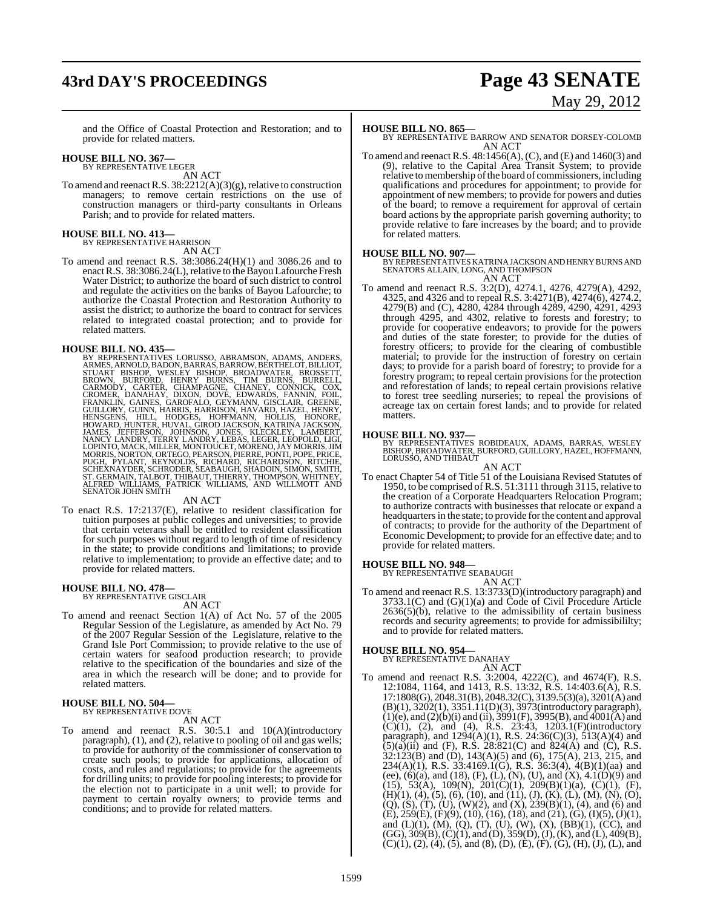# **43rd DAY'S PROCEEDINGS Page 43 SENATE**

# May 29, 2012

and the Office of Coastal Protection and Restoration; and to provide for related matters.

#### **HOUSE BILL NO. 367—** BY REPRESENTATIVE LEGER

AN ACT

To amend and reenact R.S.  $38:2212(A)(3)(g)$ , relative to construction managers; to remove certain restrictions on the use of construction managers or third-party consultants in Orleans Parish; and to provide for related matters.

## **HOUSE BILL NO. 413—** BY REPRESENTATIVE HARRISON

AN ACT

To amend and reenact R.S. 38:3086.24(H)(1) and 3086.26 and to enact R.S. 38:3086.24(L), relative to the Bayou Lafourche Fresh Water District; to authorize the board of such district to control and regulate the activities on the banks of Bayou Lafourche; to authorize the Coastal Protection and Restoration Authority to assist the district; to authorize the board to contract for services related to integrated coastal protection; and to provide for related matters.

**HOUSE BILL NO. 435—**<br>BY REPRESENTATIVES LORUSSO, ABRAMSON, ADAMS, ANDERS, REPRESENTATIVES LORUSSO, ABRANOW, BERTHELOT, BILLIOT, STUART BISHOP, WESLEY BISHOP, BROADWATER, BROSSETT, BROWN, BURFORD, HENRY BURNS, TIM BURNS, B

To enact R.S. 17:2137(E), relative to resident classification for tuition purposes at public colleges and universities; to provide that certain veterans shall be entitled to resident classification for such purposes without regard to length of time of residency in the state; to provide conditions and limitations; to provide relative to implementation; to provide an effective date; and to provide for related matters.

## **HOUSE BILL NO. 478—** BY REPRESENTATIVE GISCLAIR

- AN ACT
- To amend and reenact Section 1(A) of Act No. 57 of the 2005 Regular Session of the Legislature, as amended by Act No. 79 of the 2007 Regular Session of the Legislature, relative to the Grand Isle Port Commission; to provide relative to the use of certain waters for seafood production research; to provide relative to the specification of the boundaries and size of the area in which the research will be done; and to provide for related matters.

## **HOUSE BILL NO. 504—** BY REPRESENTATIVE DOVE

#### AN ACT

To amend and reenact R.S. 30:5.1 and 10(A)(introductory paragraph), (1), and (2), relative to pooling of oil and gas wells; to provide for authority of the commissioner of conservation to create such pools; to provide for applications, allocation of costs, and rules and regulations; to provide for the agreements for drilling units; to provide for pooling interests; to provide for the election not to participate in a unit well; to provide for payment to certain royalty owners; to provide terms and conditions; and to provide for related matters.

#### **HOUSE BILL NO. 865—**

BY REPRESENTATIVE BARROW AND SENATOR DORSEY-COLOMB AN ACT

To amend and reenact R.S. 48:1456(A), (C), and (E) and 1460(3) and (9), relative to the Capital Area Transit System; to provide relative to membership of the board of commissioners, including qualifications and procedures for appointment; to provide for appointment of new members; to provide for powers and duties of the board; to remove a requirement for approval of certain board actions by the appropriate parish governing authority; to provide relative to fare increases by the board; and to provide for related matters.

#### **HOUSE BILL NO. 907—**

BY REPRESENTATIVESKATRINA JACKSON AND HENRY BURNS AND SENATORS ALLAIN, LONG, AND THOMPSON AN ACT

To amend and reenact R.S. 3:2(D), 4274.1, 4276, 4279(A), 4292, 4325, and 4326 and to repeal R.S. 3:4271(B), 4274(6), 4274.2, 4279(B) and (C), 4280, 4284 through 4289, 4290, 4291, 4293 through 4295, and 4302, relative to forests and forestry; to provide for cooperative endeavors; to provide for the powers and duties of the state forester; to provide for the duties of forestry officers; to provide for the clearing of combustible material; to provide for the instruction of forestry on certain days; to provide for a parish board of forestry; to provide for a forestry program; to repeal certain provisions for the protection and reforestation of lands; to repeal certain provisions relative to forest tree seedling nurseries; to repeal the provisions of acreage tax on certain forest lands; and to provide for related matters.

#### **HOUSE BILL NO. 937—**

BY REPRESENTATIVES ROBIDEAUX, ADAMS, BARRAS, WESLEY BISHOP, BROADWATER, BURFORD, GUILLORY, HAZEL, HOFFMANN, LORUSSO, AND THIBAUT

#### AN ACT

To enact Chapter 54 of Title 51 of the Louisiana Revised Statutes of 1950, to be comprised of R.S. 51:3111 through 3115, relative to the creation of a Corporate Headquarters Relocation Program; to authorize contracts with businesses that relocate or expand a headquarters in the state; to provide for the content and approval of contracts; to provide for the authority of the Department of Economic Development; to provide for an effective date; and to provide for related matters.

## **HOUSE BILL NO. 948—** BY REPRESENTATIVE SEABAUGH

AN ACT

To amend and reenact R.S. 13:3733(D)(introductory paragraph) and 3733.1(C) and (G)(1)(a) and Code of Civil Procedure Article  $2636(5)(b)$ , relative to the admissibility of certain business records and security agreements; to provide for admissibililty; and to provide for related matters.

#### **HOUSE BILL NO. 954—**

BY REPRESENTATIVE DANAHAY

AN ACT To amend and reenact R.S. 3:2004, 4222(C), and 4674(F), R.S. 12:1084, 1164, and 1413, R.S. 13:32, R.S. 14:403.6(A), R.S. 17:1808(G), 2048.31(B), 2048.32(C), 3139.5(3)(a), 3201(A) and (B)(1), 3202(1), 3351.11(D)(3), 3973(introductory paragraph),  $(1)(e)$ , and  $(2)(b)(i)$  and  $(ii)$ , 3991(F), 3995(B), and 4001(A) and  $(C)(1)$ ,  $(2)$ , and  $(4)$ , R.S. 23:43, 1203.1(F)(introductory paragraph), and 1294(A)(1), R.S. 24:36(C)(3), 513(A)(4) and  $(5)(a)(ii)$  and (F), R.S. 28:821(C) and 824(A) and (C), R.S. 32:123(B) and (D), 143(A)(5) and (6), 175(A), 213, 215, and 234(A)(1), R.S. 33:4169.1(G), R.S. 36:3(4),  $4(B)(1)(aa)$  and (ee),  $(6)(a)$ , and  $(18)$ ,  $(F)$ ,  $(L)$ ,  $(N)$ ,  $(U)$ , and  $(X)$ ,  $4.1(D)(9)$  and (15), 53(A), 109(N), 201(C)(1), 209(B)(1)(a), (C)(1), (F),  $(H)(1)$ ,  $(4)$ ,  $(5)$ ,  $(6)$ ,  $(10)$ , and  $(11)$ ,  $(J)$ ,  $(K)$ ,  $(L)$ ,  $(M)$ ,  $(N)$ ,  $(O)$ ,  $(Q)$ ,  $(S)$ ,  $(T)$ ,  $(U)$ ,  $(W)(2)$ , and  $(X)$ ,  $239(B)(1)$ ,  $(4)$ , and  $(6)$  and  $(E)$ , 259 $(E)$ ,  $(F)(9)$ ,  $(10)$ ,  $(16)$ ,  $(18)$ , and  $(21)$ ,  $(G)$ ,  $(I)(5)$ ,  $(J)(1)$ , and (L)(1), (M), (Q), (T), (U), (W), (X), (BB)(1), (CC), and  $(GG), 309(B), (C)(1), and (D), 359(D), (J), (K), and (L), 409(B),$  $(C)(1), (2), (4), (5),$  and  $(8), (D), (E), (F), (G), (H), (J), (L),$  and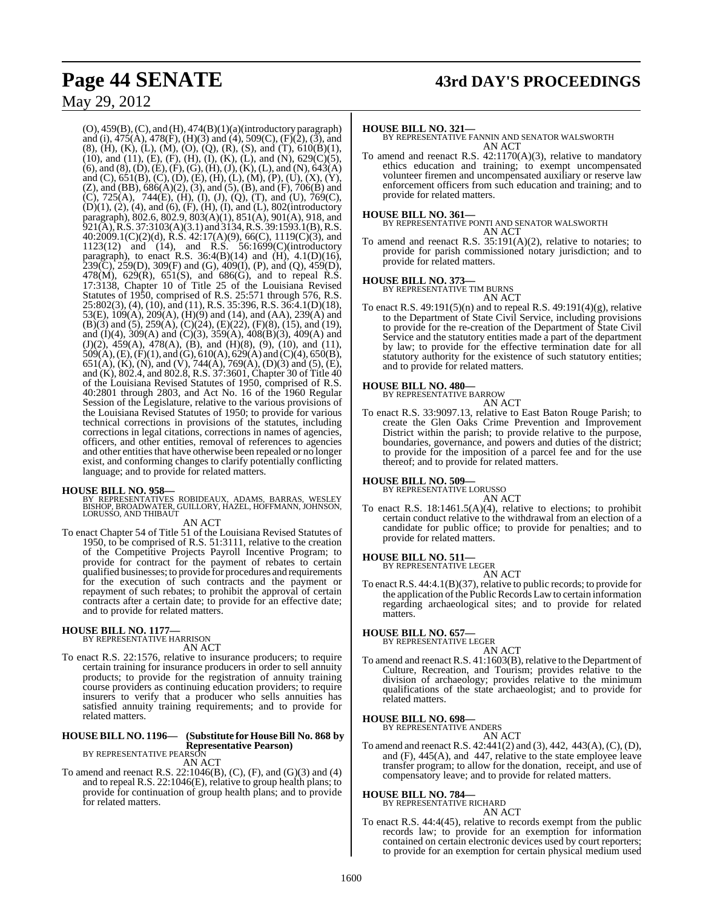(O), 459(B),(C), and (H), 474(B)(1)(a)(introductory paragraph) and (i), 475(A), 478(F), (H)(3) and (4), 509(C), (F)(2), (3), and (8), (H), (K), (L), (M), (O), (Q), (R), (S), and (T), 610(B)(1), (10), and (11), (E), (F), (H), (I), (K), (L), and (N), 629(C)(5),  $(6)$ , and  $(8)$ ,  $(D)$ ,  $(E)$ ,  $(F)$ ,  $(G)$ ,  $(H)$ ,  $(J)$ ,  $(K)$ ,  $(L)$ , and  $(N)$ ,  $643(A)$ and (C), 651(B), (C), (D), (E), (H), (L), (M), (P), (U), (X), (Y), (Z), and (BB), 686(A)(2), (3), and (5), (B), and (F), 706(B) and (C), 725(A), 744(E), (H), (I), (J), (Q), (T), and (U), 769(C), (D)(1), (2), (4), and (6), (F), (H), (I), and (L), 802(introductory paragraph), 802.6, 802.9, 803(A)(1), 851(A), 901(A), 918, and 921(A), R.S. 37:3103(A)(3.1) and 3134, R.S. 39:1593.1(B), R.S. 40:2009.1(C)(2)(d), R.S. 42:17(A)(9), 66(C), 1119(C)(3), and 1123(12) and (14), and R.S. 56:1699(C)(introductory paragraph), to enact R.S. 36:4(B)(14) and (H), 4.1(D)(16),  $239(C)$ ,  $259(D)$ ,  $309(F)$  and (G),  $409(I)$ , (P), and (Q),  $459(D)$ , 478(M),  $629(R)$ ,  $651(S)$ , and  $686(G)$ , and to repeal R.S. 17:3138, Chapter 10 of Title 25 of the Louisiana Revised Statutes of 1950, comprised of R.S. 25:571 through 576, R.S. 25:802(3), (4), (10), and (11), R.S. 35:396, R.S. 36:4.1(D)(18), 53(E), 109(A), 209(A), (H)(9) and (14), and (AA), 239(A) and (B)(3) and (5), 259(A), (C)(24), (E)(22), (F)(8), (15), and (19), and (I)(4), 309(A) and (C)(3), 359(A), 408(B)(3), 409(A) and (J)(2), 459(A), 478(A), (B), and (H)(8), (9), (10), and (11),  $509(A), (E), (F)(1),$  and  $(G), 610(A), 629(A)$  and  $(C)(4), 650(B),$ 651(A), (K), (N), and (V), 744(A), 769(A), (D)(3) and (5), (E), and (K), 802.4, and 802.8, R.S. 37:3601, Chapter 30 of Title 40 of the Louisiana Revised Statutes of 1950, comprised of R.S. 40:2801 through 2803, and Act No. 16 of the 1960 Regular Session of the Legislature, relative to the various provisions of the Louisiana Revised Statutes of 1950; to provide for various technical corrections in provisions of the statutes, including corrections in legal citations, corrections in names of agencies, officers, and other entities, removal of references to agencies and other entities that have otherwise been repealed or no longer exist, and conforming changes to clarify potentially conflicting language; and to provide for related matters.

**HOUSE BILL NO. 958—** BY REPRESENTATIVES ROBIDEAUX, ADAMS, BARRAS, WESLEY BISHOP, BROADWATER, GUILLORY, HAZEL, HOFFMANN, JOHNSON, LORUSSO, AND THIBAUT AN ACT

To enact Chapter 54 of Title 51 of the Louisiana Revised Statutes of 1950, to be comprised of R.S. 51:3111, relative to the creation of the Competitive Projects Payroll Incentive Program; to provide for contract for the payment of rebates to certain qualified businesses; to provide for procedures and requirements for the execution of such contracts and the payment or repayment of such rebates; to prohibit the approval of certain contracts after a certain date; to provide for an effective date; and to provide for related matters.

#### **HOUSE BILL NO. 1177—** BY REPRESENTATIVE HARRISON

AN ACT

To enact R.S. 22:1576, relative to insurance producers; to require certain training for insurance producers in order to sell annuity products; to provide for the registration of annuity training course providers as continuing education providers; to require insurers to verify that a producer who sells annuities has satisfied annuity training requirements; and to provide for related matters.

## **HOUSE BILL NO. 1196— (Substitute for HouseBill No. 868 by Representative Pearson)** BY REPRESENTATIVE PEARSON

### AN ACT

To amend and reenact R.S. 22:1046(B), (C), (F), and (G)(3) and (4) and to repeal R.S. 22:1046(E), relative to group health plans; to provide for continuation of group health plans; and to provide for related matters.

#### **HOUSE BILL NO. 321—**

BY REPRESENTATIVE FANNIN AND SENATOR WALSWORTH AN ACT

To amend and reenact R.S. 42:1170(A)(3), relative to mandatory ethics education and training; to exempt uncompensated volunteer firemen and uncompensated auxiliary or reserve law enforcement officers from such education and training; and to provide for related matters.

#### **HOUSE BILL NO. 361—**

BY REPRESENTATIVE PONTI AND SENATOR WALSWORTH AN ACT

To amend and reenact R.S. 35:191(A)(2), relative to notaries; to provide for parish commissioned notary jurisdiction; and to provide for related matters.

**HOUSE BILL NO. 373—** BY REPRESENTATIVE TIM BURNS AN ACT

To enact R.S. 49:191(5)(n) and to repeal R.S. 49:191(4)(g), relative to the Department of State Civil Service, including provisions to provide for the re-creation of the Department of State Civil Service and the statutory entities made a part of the department by law; to provide for the effective termination date for all statutory authority for the existence of such statutory entities; and to provide for related matters.

#### **HOUSE BILL NO. 480—**

BY REPRESENTATIVE BARROW AN ACT

To enact R.S. 33:9097.13, relative to East Baton Rouge Parish; to create the Glen Oaks Crime Prevention and Improvement District within the parish; to provide relative to the purpose, boundaries, governance, and powers and duties of the district; to provide for the imposition of a parcel fee and for the use thereof; and to provide for related matters.

#### **HOUSE BILL NO. 509—**

BY REPRESENTATIVE LORUSSO

AN ACT To enact R.S. 18:1461.5(A)(4), relative to elections; to prohibit certain conduct relative to the withdrawal from an election of a candidate for public office; to provide for penalties; and to provide for related matters.

# **HOUSE BILL NO. 511—** BY REPRESENTATIVE LEGER

AN ACT

To enact R.S. 44:4.1(B)(37), relative to public records; to provide for the application of the Public Records Law to certain information regarding archaeological sites; and to provide for related matters.

## **HOUSE BILL NO. 657—** BY REPRESENTATIVE LEGER

AN ACT

To amend and reenact R.S. 41:1603(B), relative to the Department of Culture, Recreation, and Tourism; provides relative to the division of archaeology; provides relative to the minimum qualifications of the state archaeologist; and to provide for related matters.

## **HOUSE BILL NO. 698—** BY REPRESENTATIVE ANDERS

AN ACT

To amend and reenact R.S. 42:441(2) and (3), 442, 443(A), (C), (D), and (F), 445(A), and 447, relative to the state employee leave transfer program; to allow for the donation, receipt, and use of compensatory leave; and to provide for related matters.

#### **HOUSE BILL NO. 784—**

BY REPRESENTATIVE RICHARD AN ACT

To enact R.S. 44:4(45), relative to records exempt from the public records law; to provide for an exemption for information contained on certain electronic devices used by court reporters; to provide for an exemption for certain physical medium used